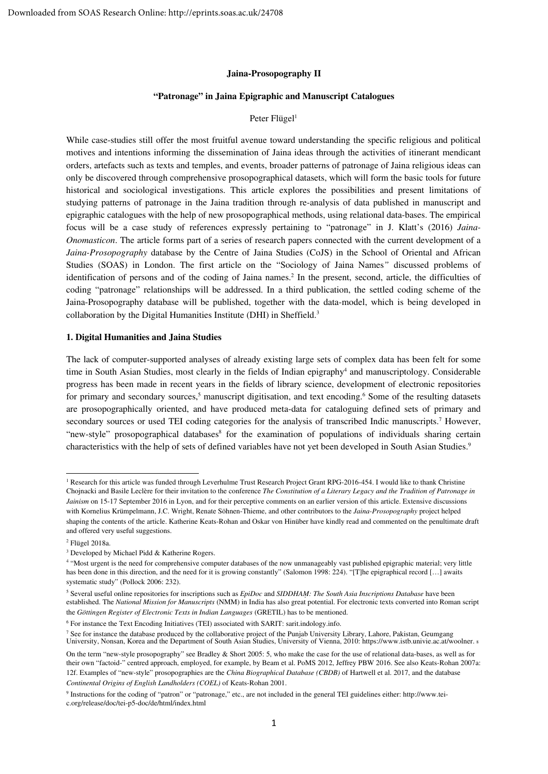#### **Jaina-Prosopography II**

## **"Patronage" in Jaina Epigraphic and Manuscript Catalogues**

### Peter Flügel<sup>[1](#page-0-0)</sup>

While case-studies still offer the most fruitful avenue toward understanding the specific religious and political motives and intentions informing the dissemination of Jaina ideas through the activities of itinerant mendicant orders, artefacts such as texts and temples, and events, broader patterns of patronage of Jaina religious ideas can only be discovered through comprehensive prosopographical datasets, which will form the basic tools for future historical and sociological investigations. This article explores the possibilities and present limitations of studying patterns of patronage in the Jaina tradition through re-analysis of data published in manuscript and epigraphic catalogues with the help of new prosopographical methods, using relational data-bases. The empirical focus will be a case study of references expressly pertaining to "patronage" in J. Klatt's (2016) *Jaina-Onomasticon*. The article forms part of a series of research papers connected with the current development of a *Jaina-Prosopography* database by the Centre of Jaina Studies (CoJS) in the School of Oriental and African Studies (SOAS) in London. The first article on the "Sociology of Jaina Names*"* discussed problems of identification of persons and of the coding of Jaina names. [2](#page-0-1) In the present, second, article, the difficulties of coding "patronage" relationships will be addressed. In a third publication, the settled coding scheme of the Jaina-Prosopography database will be published, together with the data-model, which is being developed in collaboration by the Digital Humanities Institute (DHI) in Sheffield.<sup>[3](#page-0-2)</sup>

#### **1. Digital Humanities and Jaina Studies**

The lack of computer-supported analyses of already existing large sets of complex data has been felt for some time in South Asian Studies, most clearly in the fields of Indian epigraphy<sup>[4](#page-0-3)</sup> and manuscriptology. Considerable progress has been made in recent years in the fields of library science, development of electronic repositories for primary and secondary sources,<sup>[5](#page-0-4)</sup> manuscript digitisation, and text encoding.<sup>[6](#page-0-5)</sup> Some of the resulting datasets are prosopographically oriented, and have produced meta-data for cataloguing defined sets of primary and secondary sources or used TEI coding categories for the analysis of transcribed Indic manuscripts.<sup>[7](#page-0-6)</sup> However, "new-style" prosopographical databases<sup>[8](#page-0-7)</sup> for the examination of populations of individuals sharing certain characteristics with the help of sets of defined variables have not yet been developed in South Asian Studies. [9](#page-0-8)

<span id="page-0-5"></span><sup>6</sup> For instance the Text Encoding Initiatives (TEI) associated with SARIT: sarit.indology.info.

<span id="page-0-0"></span><sup>&</sup>lt;sup>1</sup> Research for this article was funded through Leverhulme Trust Research Project Grant RPG-2016-454. I would like to thank Christine Chojnacki and Basile Leclère for their invitation to the conference *The Constitution of a Literary Legacy and the Tradition of Patronage in Jainism* on 15-17 September 2016 in Lyon, and for their perceptive comments on an earlier version of this article. Extensive discussions with Kornelius Krümpelmann, J.C. Wright, Renate Söhnen-Thieme, and other contributors to the *Jaina-Prosopography* project helped shaping the contents of the article. Katherine Keats-Rohan and Oskar von Hinüber have kindly read and commented on the penultimate draft and offered very useful suggestions.

<span id="page-0-1"></span><sup>2</sup> Flügel 2018a.

<span id="page-0-2"></span><sup>3</sup> Developed by Michael Pidd & Katherine Rogers.

<span id="page-0-3"></span><sup>4</sup> "Most urgent is the need for comprehensive computer databases of the now unmanageably vast published epigraphic material; very little has been done in this direction, and the need for it is growing constantly" (Salomon 1998: 224). "[T]he epigraphical record [...] awaits systematic study" (Pollock 2006: 232).

<span id="page-0-4"></span><sup>5</sup> Several useful online repositories for inscriptions such as *EpiDoc* and *SIDDHAṂ: The South Asia Inscriptions Database* have been established. The *National Mission for Manuscripts* (NMM) in India has also great potential. For electronic texts converted into Roman script the *Göttingen Register of Electronic Texts in Indian Languages* (GRETIL) has to be mentioned.

<span id="page-0-6"></span><sup>&</sup>lt;sup>7</sup> See for instance the database produced by the collaborative project of the Punjab University Library, Lahore, Pakistan, Geumgang University, Nonsan, Korea and the Department of South Asian Studies, University of Vienna, 2010: https://www.istb.univie.ac.at/woolner. <sup>8</sup>

<span id="page-0-7"></span>On the term "new-style prosopography" see Bradley & Short 2005: 5, who make the case for the use of relational data-bases, as well as for their own "factoid-" centred approach, employed, for example, by Beam et al. PoMS 2012, Jeffrey PBW 2016. See also Keats-Rohan 2007a: 12f. Examples of "new-style" prosopographies are the *China Biographical Database (CBDB)* of Hartwell et al. 2017, and the database *Continental Origins of English Landholders (COEL)* of Keats-Rohan 2001.

<span id="page-0-8"></span><sup>&</sup>lt;sup>9</sup> Instructions for the coding of "patron" or "patronage," etc., are not included in the general TEI guidelines either: http://www.teic.org/release/doc/tei-p5-doc/de/html/index.html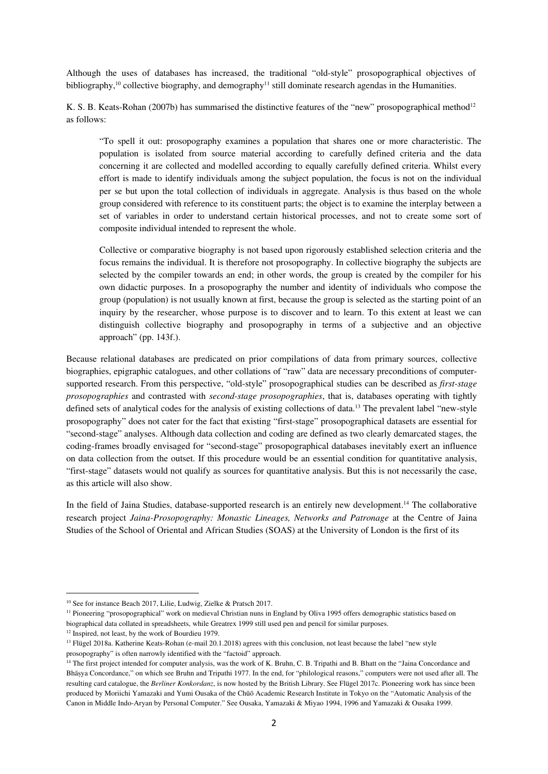Although the uses of databases has increased, the traditional "old-style" prosopographical objectives of bibliography,<sup>[10](#page-1-0)</sup> collective biography, and demography<sup>[11](#page-1-1)</sup> still dominate research agendas in the Humanities.

K. S. B. Keats-Rohan (2007b) has summarised the distinctive features of the "new" prosopographical method<sup>[12](#page-1-2)</sup> as follows:

"To spell it out: prosopography examines a population that shares one or more characteristic. The population is isolated from source material according to carefully defined criteria and the data concerning it are collected and modelled according to equally carefully defined criteria. Whilst every effort is made to identify individuals among the subject population, the focus is not on the individual per se but upon the total collection of individuals in aggregate. Analysis is thus based on the whole group considered with reference to its constituent parts; the object is to examine the interplay between a set of variables in order to understand certain historical processes, and not to create some sort of composite individual intended to represent the whole.

Collective or comparative biography is not based upon rigorously established selection criteria and the focus remains the individual. It is therefore not prosopography. In collective biography the subjects are selected by the compiler towards an end; in other words, the group is created by the compiler for his own didactic purposes. In a prosopography the number and identity of individuals who compose the group (population) is not usually known at first, because the group is selected as the starting point of an inquiry by the researcher, whose purpose is to discover and to learn. To this extent at least we can distinguish collective biography and prosopography in terms of a subjective and an objective approach" (pp. 143f.).

Because relational databases are predicated on prior compilations of data from primary sources, collective biographies, epigraphic catalogues, and other collations of "raw" data are necessary preconditions of computersupported research. From this perspective, "old-style" prosopographical studies can be described as *first-stage prosopographies* and contrasted with *second-stage prosopographies*, that is, databases operating with tightly defined sets of analytical codes for the analysis of existing collections of data. [13](#page-1-3) The prevalent label "new-style prosopography" does not cater for the fact that existing "first-stage" prosopographical datasets are essential for "second-stage" analyses. Although data collection and coding are defined as two clearly demarcated stages, the coding-frames broadly envisaged for "second-stage" prosopographical databases inevitably exert an influence on data collection from the outset. If this procedure would be an essential condition for quantitative analysis, "first-stage" datasets would not qualify as sources for quantitative analysis. But this is not necessarily the case, as this article will also show.

In the field of Jaina Studies, database-supported research is an entirely new development. [14](#page-1-4) The collaborative research project *Jaina-Prosopography: Monastic Lineages, Networks and Patronage* at the Centre of Jaina Studies of the School of Oriental and African Studies (SOAS) at the University of London is the first of its

<span id="page-1-0"></span><sup>10</sup> See for instance Beach 2017, Lilie, Ludwig, Zielke & Pratsch 2017.

<span id="page-1-1"></span><sup>&</sup>lt;sup>11</sup> Pioneering "prosopographical" work on medieval Christian nuns in England by Oliva 1995 offers demographic statistics based on biographical data collated in spreadsheets, while Greatrex 1999 still used pen and pencil for similar purposes.

<span id="page-1-2"></span><sup>&</sup>lt;sup>12</sup> Inspired, not least, by the work of Bourdieu 1979.

<span id="page-1-3"></span><sup>&</sup>lt;sup>13</sup> Flügel 2018a. Katherine Keats-Rohan (e-mail 20.1.2018) agrees with this conclusion, not least because the label "new style prosopography" is often narrowly identified with the "factoid" approach.<br><sup>14</sup> The first project intended for computer analysis, was the work of K. Bruhn, C. B. Tripathi and B. Bhatt on the "Jaina Concordance and

<span id="page-1-4"></span>Bhāṣya Concordance," on which see Bruhn and Tripathi 1977. In the end, for "philological reasons," computers were not used after all. The resulting card catalogue, the *Berliner Konkordanz*, is now hosted by the British Library. See Flügel 2017c. Pioneering work has since been produced by Moriichi Yamazaki and Yumi Ousaka of the Chūō Academic Research Institute in Tokyo on the "Automatic Analysis of the Canon in Middle Indo-Aryan by Personal Computer." See Ousaka, Yamazaki & Miyao 1994, 1996 and Yamazaki & Ousaka 1999.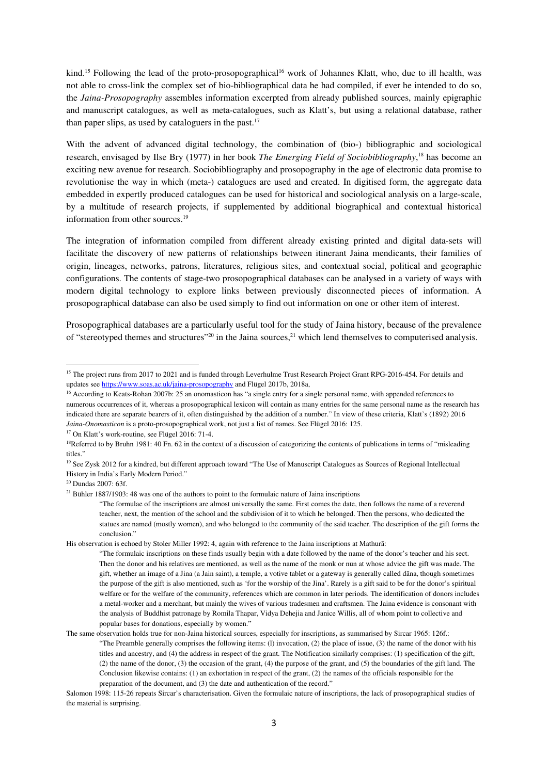kind.<sup>[15](#page-2-0)</sup> Following the lead of the proto-prosopographical<sup>[16](#page-2-1)</sup> work of Johannes Klatt, who, due to ill health, was not able to cross-link the complex set of bio-bibliographical data he had compiled, if ever he intended to do so, the *Jaina-Prosopography* assembles information excerpted from already published sources, mainly epigraphic and manuscript catalogues, as well as meta-catalogues, such as Klatt's, but using a relational database, rather than paper slips, as used by cataloguers in the past. [17](#page-2-2)

With the advent of advanced digital technology, the combination of (bio-) bibliographic and sociological research, envisaged by Ilse Bry (1977) in her book *The Emerging Field of Sociobibliography*, [18](#page-2-3) has become an exciting new avenue for research. Sociobibliography and prosopography in the age of electronic data promise to revolutionise the way in which (meta-) catalogues are used and created. In digitised form, the aggregate data embedded in expertly produced catalogues can be used for historical and sociological analysis on a large-scale, by a multitude of research projects, if supplemented by additional biographical and contextual historical information from other sources. [19](#page-2-4)

The integration of information compiled from different already existing printed and digital data-sets will facilitate the discovery of new patterns of relationships between itinerant Jaina mendicants, their families of origin, lineages, networks, patrons, literatures, religious sites, and contextual social, political and geographic configurations. The contents of stage-two prosopographical databases can be analysed in a variety of ways with modern digital technology to explore links between previously disconnected pieces of information. A prosopographical database can also be used simply to find out information on one or other item of interest.

Prosopographical databases are a particularly useful tool for the study of Jaina history, because of the prevalence of "stereotyped themes and structures"<sup>[20](#page-2-5)</sup> in the Jaina sources,<sup>[21](#page-2-6)</sup> which lend themselves to computerised analysis.

His observation is echoed by Stoler Miller 1992: 4, again with reference to the Jaina inscriptions at Mathurā:

<span id="page-2-0"></span><sup>&</sup>lt;sup>15</sup> The project runs from 2017 to 2021 and is funded through Leverhulme Trust Research Project Grant RPG-2016-454. For details and upd[a](https://www.soas.ac.uk/jaina-prosopography)tes see https://www.soas.ac.uk/jaina-prosopography and Flügel 2017b, 2018a,<br><sup>16</sup> According to Keats-Rohan 2007b: 25 an onomasticon has "a single entry for a single personal name, with appended references to

<span id="page-2-1"></span>numerous occurrences of it, whereas a prosopographical lexicon will contain as many entries for the same personal name as the research has indicated there are separate bearers of it, often distinguished by the addition of a number." In view of these criteria, Klatt's (1892) 2016 *Jaina-Onomasticon* is a proto-prosopographical work, not just a list of names. See Flügel 2016: 125.

<span id="page-2-2"></span><sup>&</sup>lt;sup>17</sup> On Klatt's work-routine, see Flügel 2016: 71-4.

<span id="page-2-3"></span><sup>&</sup>lt;sup>18</sup>Referred to by Bruhn 1981: 40 Fn. 62 in the context of a discussion of categorizing the contents of publications in terms of "misleading" titles."

<span id="page-2-4"></span><sup>&</sup>lt;sup>19</sup> See Zysk 2012 for a kindred, but different approach toward "The Use of Manuscript Catalogues as Sources of Regional Intellectual History in India's Early Modern Period."

<span id="page-2-5"></span><sup>20</sup> Dundas 2007: 63f.

<span id="page-2-6"></span><sup>&</sup>lt;sup>21</sup> Bühler 1887/1903: 48 was one of the authors to point to the formulaic nature of Jaina inscriptions

<sup>&</sup>quot;The formulae of the inscriptions are almost universally the same. First comes the date, then follows the name of a reverend teacher, next, the mention of the school and the subdivision of it to which he belonged. Then the persons, who dedicated the statues are named (mostly women), and who belonged to the community of the said teacher. The description of the gift forms the conclusion."

<sup>&</sup>quot;The formulaic inscriptions on these finds usually begin with a date followed by the name of the donor's teacher and his sect. Then the donor and his relatives are mentioned, as well as the name of the monk or nun at whose advice the gift was made. The gift, whether an image of a Jina (a Jain saint), a temple, a votive tablet or a gateway is generally called dāna, though sometimes the purpose of the gift is also mentioned, such as 'for the worship of the Jina'. Rarely is a gift said to be for the donor's spiritual welfare or for the welfare of the community, references which are common in later periods. The identification of donors includes a metal-worker and a merchant, but mainly the wives of various tradesmen and craftsmen. The Jaina evidence is consonant with the analysis of Buddhist patronage by Romila Thapar, Vidya Dehejia and Janice Willis, all of whom point to collective and popular bases for donations, especially by women."

The same observation holds true for non-Jaina historical sources, especially for inscriptions, as summarised by Sircar 1965: 126f.: "The Preamble generally comprises the following items: (1) invocation, (2) the place of issue, (3) the name of the donor with his titles and ancestry, and (4) the address in respect of the grant. The Notification similarly comprises: (1) specification of the gift, (2) the name of the donor, (3) the occasion of the grant, (4) the purpose of the grant, and (5) the boundaries of the gift land. The Conclusion likewise contains: (1) an exhortation in respect of the grant, (2) the names of the officials responsible for the preparation of the document, and (3) the date and authentication of the record."

Salomon 1998: 115-26 repeats Sircar's characterisation. Given the formulaic nature of inscriptions, the lack of prosopographical studies of the material is surprising.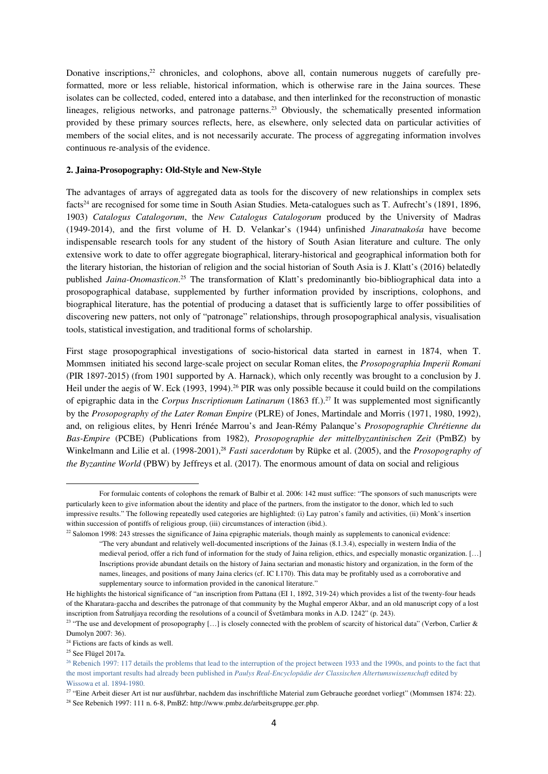Donative inscriptions,<sup>[22](#page-3-0)</sup> chronicles, and colophons, above all, contain numerous nuggets of carefully preformatted, more or less reliable, historical information, which is otherwise rare in the Jaina sources. These isolates can be collected, coded, entered into a database, and then interlinked for the reconstruction of monastic lineages, religious networks, and patronage patterns. [23](#page-3-1) Obviously, the schematically presented information provided by these primary sources reflects, here, as elsewhere, only selected data on particular activities of members of the social elites, and is not necessarily accurate. The process of aggregating information involves continuous re-analysis of the evidence.

#### **2. Jaina-Prosopography: Old-Style and New-Style**

The advantages of arrays of aggregated data as tools for the discovery of new relationships in complex sets facts[24](#page-3-2) are recognised for some time in South Asian Studies. Meta-catalogues such as T. Aufrecht's (1891, 1896, 1903) *Catalogus Catalogorum*, the *New Catalogus Catalogorum* produced by the University of Madras (1949-2014), and the first volume of H. D. Velankar's (1944) unfinished *Jinaratnakośa* have become indispensable research tools for any student of the history of South Asian literature and culture. The only extensive work to date to offer aggregate biographical, literary-historical and geographical information both for the literary historian, the historian of religion and the social historian of South Asia is J. Klatt's (2016) belatedly published *Jaina-Onomasticon*. [25](#page-3-3) The transformation of Klatt's predominantly bio-bibliographical data into a prosopographical database, supplemented by further information provided by inscriptions, colophons, and biographical literature, has the potential of producing a dataset that is sufficiently large to offer possibilities of discovering new patters, not only of "patronage" relationships, through prosopographical analysis, visualisation tools, statistical investigation, and traditional forms of scholarship.

First stage prosopographical investigations of socio-historical data started in earnest in 1874, when T. Mommsen initiated his second large-scale project on secular Roman elites, the *Prosopographia Imperii Romani* (PIR 1897-2015) (from 1901 supported by A. Harnack), which only recently was brought to a conclusion by J. Heil under the aegis of W. Eck (1993, 1994). [26](#page-3-4) PIR was only possible because it could build on the compilations of epigraphic data in the *Corpus Inscriptionum Latinarum* (1863 ff.). [27](#page-3-5) It was supplemented most significantly by the *Prosopography of the Later Roman Empire* (PLRE) of Jones, Martindale and Morris (1971, 1980, 1992), and, on religious elites, by Henri Irénée Marrou's and Jean-Rémy Palanque's *Prosopographie Chrétienne du Bas-Empire* (PCBE) (Publications from 1982), *Prosopographie der mittelbyzantinischen Zeit* (PmBZ) by Winkelmann and Lilie et al. (1998-2001),<sup>[28](#page-3-6)</sup> *Fasti sacerdotum* by Rüpke et al. (2005), and the *Prosopography of the Byzantine World* (PBW) by Jeffreys et al. (2017). The enormous amount of data on social and religious

For formulaic contents of colophons the remark of Balbir et al. 2006: 142 must suffice: "The sponsors of such manuscripts were particularly keen to give information about the identity and place of the partners, from the instigator to the donor, which led to such impressive results." The following repeatedly used categories are highlighted: (i) Lay patron's family and activities, (ii) Monk's insertion within succession of pontiffs of religious group, (iii) circumstances of interaction (ibid.).

<span id="page-3-0"></span><sup>&</sup>lt;sup>22</sup> Salomon 1998: 243 stresses the significance of Jaina epigraphic materials, though mainly as supplements to canonical evidence: "The very abundant and relatively well-documented inscriptions of the Jainas (8.1.3.4), especially in western India of the medieval period, offer a rich fund of information for the study of Jaina religion, ethics, and especially monastic organization. […] Inscriptions provide abundant details on the history of Jaina sectarian and monastic history and organization, in the form of the names, lineages, and positions of many Jaina clerics (cf. IC I.170). This data may be profitably used as a corroborative and supplementary source to information provided in the canonical literature."

He highlights the historical significance of "an inscription from Pattana (EI 1, 1892, 319-24) which provides a list of the twenty-four heads of the Kharatara-gaccha and describes the patronage of that community by the Mughal emperor Akbar, and an old manuscript copy of a lost inscription from Śatruñjaya recording the resolutions of a council of Śvetāmbara monks in A.D. 1242" (p. 243).

<span id="page-3-1"></span><sup>&</sup>lt;sup>23</sup> "The use and development of prosopography [...] is closely connected with the problem of scarcity of historical data" (Verbon, Carlier  $\&$ Dumolyn 2007: 36).

<span id="page-3-2"></span><sup>&</sup>lt;sup>24</sup> Fictions are facts of kinds as well.

<span id="page-3-3"></span><sup>&</sup>lt;sup>25</sup> See Flügel 2017a.

<span id="page-3-4"></span><sup>&</sup>lt;sup>26</sup> Rebenich 1997: 117 details the problems that lead to the interruption of the project between 1933 and the 1990s, and points to the fact that the most important results had already been published in *Paulys Real-Encyclopädie der Classischen Altertumswissenschaft* edited by Wissowa et al. 1894-1980.<br><sup>27</sup> "Eine Arbeit dieser Art ist nur ausführbar, nachdem das inschriftliche Material zum Gebrauche geordnet vorliegt" (Mommsen 1874: 22).

<span id="page-3-6"></span><span id="page-3-5"></span><sup>28</sup> See Rebenich 1997: 111 n. 6-8, PmBZ: http://www.pmbz.de/arbeitsgruppe.ger.php.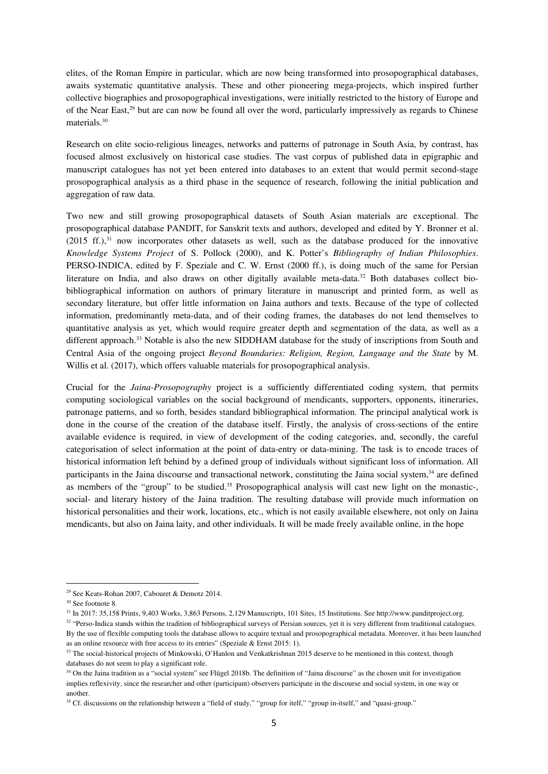elites, of the Roman Empire in particular, which are now being transformed into prosopographical databases, awaits systematic quantitative analysis. These and other pioneering mega-projects, which inspired further collective biographies and prosopographical investigations, were initially restricted to the history of Europe and of the Near East,[29](#page-4-0) but are can now be found all over the word, particularly impressively as regards to Chinese materials. [30](#page-4-1)

Research on elite socio-religious lineages, networks and patterns of patronage in South Asia, by contrast, has focused almost exclusively on historical case studies. The vast corpus of published data in epigraphic and manuscript catalogues has not yet been entered into databases to an extent that would permit second-stage prosopographical analysis as a third phase in the sequence of research, following the initial publication and aggregation of raw data.

Two new and still growing prosopographical datasets of South Asian materials are exceptional. The prosopographical database PANDIT, for Sanskrit texts and authors, developed and edited by Y. Bronner et al.  $(2015 \text{ ff.})$ ,<sup>[31](#page-4-2)</sup> now incorporates other datasets as well, such as the database produced for the innovative *Knowledge Systems Project* of S. Pollock (2000), and K. Potter's *Bibliography of Indian Philosophies*. PERSO-INDICA, edited by F. Speziale and C. W. Ernst (2000 ff.), is doing much of the same for Persian literature on India, and also draws on other digitally available meta-data.<sup>[32](#page-4-3)</sup> Both databases collect biobibliographical information on authors of primary literature in manuscript and printed form, as well as secondary literature, but offer little information on Jaina authors and texts. Because of the type of collected information, predominantly meta-data, and of their coding frames, the databases do not lend themselves to quantitative analysis as yet, which would require greater depth and segmentation of the data, as well as a different approach.<sup>[33](#page-4-4)</sup> Notable is also the new SIDDHAM database for the study of inscriptions from South and Central Asia of the ongoing project *Beyond Boundaries: Religion, Region, Language and the State* by M. Willis et al. (2017), which offers valuable materials for prosopographical analysis.

Crucial for the *Jaina-Prosopography* project is a sufficiently differentiated coding system, that permits computing sociological variables on the social background of mendicants, supporters, opponents, itineraries, patronage patterns, and so forth, besides standard bibliographical information. The principal analytical work is done in the course of the creation of the database itself. Firstly, the analysis of cross-sections of the entire available evidence is required, in view of development of the coding categories, and, secondly, the careful categorisation of select information at the point of data-entry or data-mining. The task is to encode traces of historical information left behind by a defined group of individuals without significant loss of information. All participants in the Jaina discourse and transactional network, constituting the Jaina social system,<sup>[34](#page-4-5)</sup> are defined as members of the "group" to be studied.<sup>[35](#page-4-6)</sup> Prosopographical analysis will cast new light on the monastic-, social- and literary history of the Jaina tradition. The resulting database will provide much information on historical personalities and their work, locations, etc., which is not easily available elsewhere, not only on Jaina mendicants, but also on Jaina laity, and other individuals. It will be made freely available online, in the hope

<span id="page-4-3"></span><sup>32</sup> "Perso-Indica stands within the tradition of bibliographical surveys of Persian sources, yet it is very different from traditional catalogues. By the use of flexible computing tools the database allows to acquire textual and prosopographical metadata. Moreover, it has been launched

as an online resource with free access to its entries" (Speziale & Ernst 2015: 1).

<span id="page-4-0"></span><sup>29</sup> See Keats-Rohan 2007, Cabouret & Demotz 2014.

<sup>30</sup> See footnote 8.

<span id="page-4-2"></span><span id="page-4-1"></span><sup>31</sup> In 2017: 35,158 Prints, 9,403 Works, 3,863 Persons, 2,129 Manuscripts, 101 Sites, 15 Institutions. See http://www.panditproject.org.

<span id="page-4-4"></span><sup>&</sup>lt;sup>33</sup> The social-historical projects of Minkowski, O'Hanlon and Venkatkrishnan 2015 deserve to be mentioned in this context, though databases do not seem to play a significant role.

<span id="page-4-5"></span><sup>&</sup>lt;sup>34</sup> On the Jaina tradition as a "social system" see Flügel 2018b. The definition of "Jaina discourse" as the chosen unit for investigation implies reflexivity, since the researcher and other (participant) observers participate in the discourse and social system, in one way or another.<br><sup>35</sup> Cf. discussions on the relationship between a "field of study," "group for itelf," "group in-itself," and "quasi-group."

<span id="page-4-6"></span>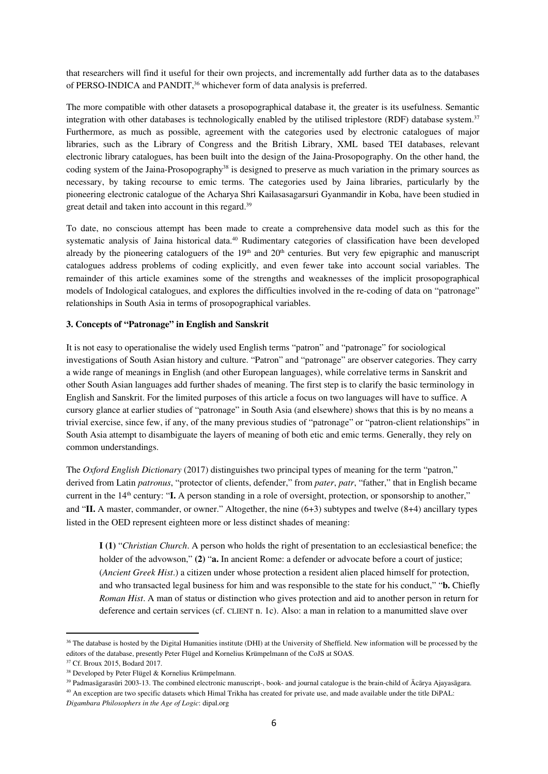that researchers will find it useful for their own projects, and incrementally add further data as to the databases of PERSO-INDICA and PANDIT,<sup>[36](#page-5-0)</sup> whichever form of data analysis is preferred.

The more compatible with other datasets a prosopographical database it, the greater is its usefulness. Semantic integration with other databases is technologically enabled by the utilised triplestore (RDF) database system.<sup>[37](#page-5-1)</sup> Furthermore, as much as possible, agreement with the categories used by electronic catalogues of major libraries, such as the Library of Congress and the British Library, XML based TEI databases, relevant electronic library catalogues, has been built into the design of the Jaina-Prosopography. On the other hand, the coding system of the Jaina-Prosopography<sup>[38](#page-5-2)</sup> is designed to preserve as much variation in the primary sources as necessary, by taking recourse to emic terms. The categories used by Jaina libraries, particularly by the pioneering electronic catalogue of the Acharya Shri Kailasasagarsuri Gyanmandir in Koba, have been studied in great detail and taken into account in this regard.<sup>[39](#page-5-3)</sup>

To date, no conscious attempt has been made to create a comprehensive data model such as this for the systematic analysis of Jaina historical data.<sup>[40](#page-5-4)</sup> Rudimentary categories of classification have been developed already by the pioneering cataloguers of the  $19<sup>th</sup>$  and  $20<sup>th</sup>$  centuries. But very few epigraphic and manuscript catalogues address problems of coding explicitly, and even fewer take into account social variables. The remainder of this article examines some of the strengths and weaknesses of the implicit prosopographical models of Indological catalogues, and explores the difficulties involved in the re-coding of data on "patronage" relationships in South Asia in terms of prosopographical variables.

### **3. Concepts of "Patronage" in English and Sanskrit**

It is not easy to operationalise the widely used English terms "patron" and "patronage" for sociological investigations of South Asian history and culture. "Patron" and "patronage" are observer categories. They carry a wide range of meanings in English (and other European languages), while correlative terms in Sanskrit and other South Asian languages add further shades of meaning. The first step is to clarify the basic terminology in English and Sanskrit. For the limited purposes of this article a focus on two languages will have to suffice. A cursory glance at earlier studies of "patronage" in South Asia (and elsewhere) shows that this is by no means a trivial exercise, since few, if any, of the many previous studies of "patronage" or "patron-client relationships" in South Asia attempt to disambiguate the layers of meaning of both etic and emic terms. Generally, they rely on common understandings.

The *Oxford English Dictionary* (2017) distinguishes two principal types of meaning for the term "patron," derived from Latin *patronus*, "protector of clients, defender," from *pater*, *patr*, "father," that in English became current in the 14<sup>th</sup> century: "**I.** A person standing in a role of oversight, protection, or sponsorship to another," and "**II.** A master, commander, or owner." Altogether, the nine (6+3) subtypes and twelve (8+4) ancillary types listed in the OED represent eighteen more or less distinct shades of meaning:

**I (1)** "*Christian Church*. A person who holds the right of presentation to an ecclesiastical benefice; the holder of the advowson," **(2)** "**a.** In ancient Rome: a defender or advocate before a court of justice; (*Ancient Greek Hist*.) a citizen under whose protection a resident alien placed himself for protection, and who transacted legal business for him and was responsible to the state for his conduct," "**b.** Chiefly *Roman Hist*. A man of status or distinction who gives protection and aid to another person in return for deference and certain services (cf. CLIENT n. 1c). Also: a man in relation to a manumitted slave over

<span id="page-5-3"></span><sup>39</sup> Padmasāgarasūri 2003-13. The combined electronic manuscript-, book- and journal catalogue is the brain-child of Ācārya Ajayasāgara.

<span id="page-5-0"></span><sup>&</sup>lt;sup>36</sup> The database is hosted by the Digital Humanities institute (DHI) at the University of Sheffield. New information will be processed by the editors of the database, presently Peter Flügel and Kornelius Krümpelmann of the CoJS at SOAS.

<span id="page-5-1"></span><sup>37</sup> Cf. Broux 2015, Bodard 2017.

<span id="page-5-2"></span><sup>38</sup> Developed by Peter Flügel & Kornelius Krümpelmann.

<span id="page-5-4"></span><sup>&</sup>lt;sup>40</sup> An exception are two specific datasets which Himal Trikha has created for private use, and made available under the title DiPAL:

*Digambara Philosophers in the Age of Logic*: dipal.org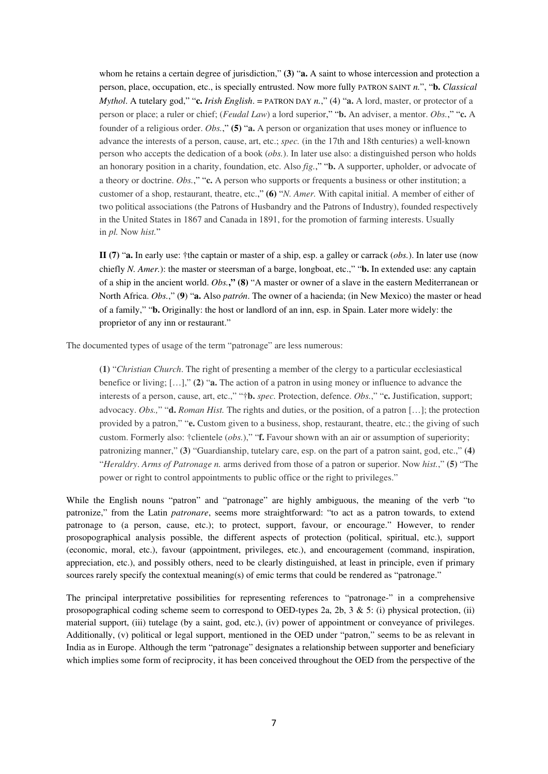whom he retains a certain degree of jurisdiction," (3) "**a.** A saint to whose intercession and protection a person, place, occupation, etc., is specially entrusted. Now more fully [PATRON SAINT](http://www.oed.com.331745941.erf.sbb.spk-berlin.de/view/Entry/261972#eid10569764) *n.*", "**b.** *Classical Mythol*. A tutelary god," "**c.** *Irish English*. = [PATRON DAY](http://www.oed.com.331745941.erf.sbb.spk-berlin.de/view/Entry/261173#eid10675195) *n.*," (4) "**a.** A lord, master, or protector of a person or place; a ruler or chief; (*Feudal Law*) a lord superior," "**b.** An adviser, a mentor. *Obs.*," "**c.** A founder of a religious order. *Obs.*," **(5)** "**a.** A person or organization that uses money or influence to advance the interests of a person, cause, art, etc.; *spec.* (in the 17th and 18th centuries) a well-known person who accepts the dedication of a book (*obs.*). In later use also: a distinguished person who holds an honorary position in a charity, foundation, etc. Also *fig.*," "**b.** A supporter, upholder, or advocate of a theory or doctrine. *Obs.*," "**c.** A person who supports or frequents a business or other institution; a customer of a shop, restaurant, theatre, etc.," **(6)** "*N. Amer.* With capital initial. A member of either of two political associations (the Patrons of Husbandry and the Patrons of Industry), founded respectively in the United States in 1867 and Canada in 1891, for the promotion of farming interests. Usually in *pl.* Now *hist.*"

**II (7)** "**a.** In early use: †the captain or master of a ship, esp. a galley or carrack (*obs.*). In later use (now chiefly *N. Amer.*): the master or steersman of a barge, longboat, etc.," "**b.** In extended use: any captain of a ship in the ancient world. *Obs.***," (8)** "A master or owner of a slave in the eastern Mediterranean or North Africa. *Obs.*," (**9**) "**a.** Also *patrón*. The owner of a hacienda; (in New Mexico) the master or head of a family," "**b.** Originally: the host or landlord of an inn, esp. in Spain. Later more widely: the proprietor of any inn or restaurant."

The documented types of usage of the term "patronage" are less numerous:

**(1)** "*Christian Church*. The right of presenting a member of the clergy to a particular ecclesiastical benefice or living; […]," **(2)** "**a.** The action of a patron in using money or influence to advance the interests of a person, cause, art, etc.," "†**b.** *spec.* Protection, defence. *Obs.*," "**c.** Justification, support; advocacy. *Obs.,*" "**d.** *Roman Hist.* The rights and duties, or the position, of a patron […]; the protection provided by a patron," "**e.** Custom given to a business, shop, restaurant, theatre, etc.; the giving of such custom. Formerly also: †clientele (*obs.*)," "**f.** Favour shown with an air or assumption of superiority; patronizing manner," **(3)** "Guardianship, tutelary care, esp. on the part of a patron saint, god, etc.," **(4)** "*Heraldry*. *Arms of Patronage n.* arms derived from those of a patron or superior. Now *hist.*," **(5)** "The power or right to control appointments to public office or the right to privileges."

While the English nouns "patron" and "patronage" are highly ambiguous, the meaning of the verb "to" patronize," from the Latin *patronare*, seems more straightforward: "to act as a patron towards, to extend patronage to (a person, cause, etc.); to protect, support, favour, or encourage." However, to render prosopographical analysis possible, the different aspects of protection (political, spiritual, etc.), support (economic, moral, etc.), favour (appointment, privileges, etc.), and encouragement (command, inspiration, appreciation, etc.), and possibly others, need to be clearly distinguished, at least in principle, even if primary sources rarely specify the contextual meaning(s) of emic terms that could be rendered as "patronage."

The principal interpretative possibilities for representing references to "patronage-" in a comprehensive prosopographical coding scheme seem to correspond to OED-types 2a, 2b, 3  $\&$  5: (i) physical protection, (ii) material support, (iii) tutelage (by a saint, god, etc.), (iv) power of appointment or conveyance of privileges. Additionally, (v) political or legal support, mentioned in the OED under "patron," seems to be as relevant in India as in Europe. Although the term "patronage" designates a relationship between supporter and beneficiary which implies some form of reciprocity, it has been conceived throughout the OED from the perspective of the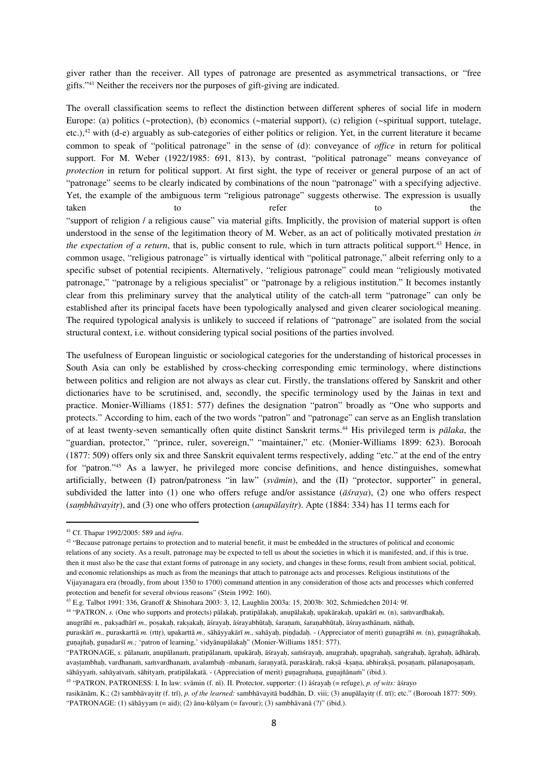giver rather than the receiver. All types of patronage are presented as asymmetrical transactions, or "free gifts." [41](#page-7-0) Neither the receivers nor the purposes of gift-giving are indicated.

The overall classification seems to reflect the distinction between different spheres of social life in modern Europe: (a) politics (~protection), (b) economics (~material support), (c) religion (~spiritual support, tutelage, etc.),<sup>[42](#page-7-1)</sup> with (d-e) arguably as sub-categories of either politics or religion. Yet, in the current literature it became common to speak of "political patronage" in the sense of (d): conveyance of *office* in return for political support. For M. Weber (1922/1985: 691, 813), by contrast, "political patronage" means conveyance of *protection* in return for political support. At first sight, the type of receiver or general purpose of an act of "patronage" seems to be clearly indicated by combinations of the noun "patronage" with a specifying adjective. Yet, the example of the ambiguous term "religious patronage" suggests otherwise. The expression is usually taken to to refer to the the "support of religion / a religious cause" via material gifts. Implicitly, the provision of material support is often understood in the sense of the legitimation theory of M. Weber, as an act of politically motivated prestation *in the expectation of a return*, that is, public consent to rule, which in turn attracts political support.<sup>[43](#page-7-2)</sup> Hence, in common usage, "religious patronage" is virtually identical with "political patronage," albeit referring only to a specific subset of potential recipients. Alternatively, "religious patronage" could mean "religiously motivated patronage," "patronage by a religious specialist" or "patronage by a religious institution." It becomes instantly clear from this preliminary survey that the analytical utility of the catch-all term "patronage" can only be established after its principal facets have been typologically analysed and given clearer sociological meaning. The required typological analysis is unlikely to succeed if relations of "patronage" are isolated from the social structural context, i.e. without considering typical social positions of the parties involved.

The usefulness of European linguistic or sociological categories for the understanding of historical processes in South Asia can only be established by cross-checking corresponding emic terminology, where distinctions between politics and religion are not always as clear cut. Firstly, the translations offered by Sanskrit and other dictionaries have to be scrutinised, and, secondly, the specific terminology used by the Jainas in text and practice. Monier-Williams (1851: 577) defines the designation "patron" broadly as "One who supports and protects." According to him, each of the two words "patron" and "patronage" can serve as an English translation of at least twenty-seven semantically often quite distinct Sanskrit terms. [44](#page-7-3) His privileged term is *pālaka*, the "guardian, protector," "prince, ruler, sovereign," "maintainer," etc. (Monier-Williams 1899: 623). Borooah (1877: 509) offers only six and three Sanskrit equivalent terms respectively, adding "etc." at the end of the entry for "patron." [45](#page-7-4) As a lawyer, he privileged more concise definitions, and hence distinguishes, somewhat artificially, between (I) patron/patroness "in law" (*svāmin*), and the (II) "protector, supporter" in general, subdivided the latter into (1) one who offers refuge and/or assistance (*āśraya*), (2) one who offers respect (*saṃbhāvayitṛ*), and (3) one who offers protection (*anupālayitṛ*). Apte (1884: 334) has 11 terms each for

<span id="page-7-1"></span><span id="page-7-0"></span><sup>&</sup>lt;sup>41</sup> Cf. Thapar 1992/2005: 589 and *infra*.<br><sup>42</sup> "Because patronage pertains to protection and to material benefit, it must be embedded in the structures of political and economic relations of any society. As a result, patronage may be expected to tell us about the societies in which it is manifested, and, if this is true, then it must also be the case that extant forms of patronage in any society, and changes in these forms, result from ambient social, political, and economic relationships as much as from the meanings that attach to patronage acts and processes. Religious institutions of the Vijayanagara era (broadly, from about 1350 to 1700) command attention in any consideration of those acts and processes which conferred protection and benefit for several obvious reasons" (Stein 1992: 160).

<sup>43</sup> E.g. Talbot 1991: 336, Granoff & Shinohara 2003: 3, 12, Laughlin 2003a: 15, 2003b: 302, Schmiedchen 2014: 9f.

<span id="page-7-3"></span><span id="page-7-2"></span><sup>44 &</sup>quot;PATRON, *s.* (One who supports and protects) pālakaḥ, pratipālakaḥ, anupālakaḥ, upakārakaḥ, upakārī *m.* (n), saṁvardhakaḥ,

anugrāhī *m.*, paksadhārī *m.*, posakah, raksakah, āśrayah, āśrayabhūtah, śaranaṁ, śaranabhūtah, āśrayasthānaṁ, nāthah,

puraskārī *m.,* puraskarttā *m.* (rttṛ), upakarttā *m.,* sāhāyyakārī *m.,* sahāyaḥ, piṇḍadaḥ. - (Appreciator of merit) guṇagrāhī *m.* (n), guṇagrāhakaḥ, gunajñah, gunadarśī *m.*; 'patron of learning,' vidyānupālakah'' (Monier-Williams 1851: 577).

<sup>&</sup>quot;PATRONAGE, *s.* pālanaṁ, anupālanaṁ, pratipālanaṁ, upakāraḥ, āśrayaḥ, saṁśrayaḥ, anugrahaḥ, upagrahaḥ, saṅgrahaḥ, āgrahaḥ, ādhāraḥ, avaṣṭambhaḥ, vardhanaṁ, saṁvardhanaṁ, avalambaḥ -mbanaṁ, śaraṇyatā, puraskāraḥ, rakṣā -kṣaṇa, abhirakṣā, poṣaṇaṁ, pālanapoṣaṇaṁ, sāhāyyam, sahāyatvam, sāhityam, pratipālakatā. - (Appreciation of merit) guṇagrahaṇa, guṇajñānaṁ" (ibid.).

<span id="page-7-4"></span><sup>45 &</sup>quot;PATRON, PATRONESS: I. In law: svāmin (f. nī). II. Protector, supporter: (1) āśrayaḥ (= refuge), *p. of wits:* āśrayo

rasikānām, K.; (2) sambhāvayitṛ (f. trī), *p. of the learned:* sambhāvayitā buddhān, D. viii; (3) anupālayitṛ (f. trī); etc." (Borooah 1877: 509). "PATRONAGE: (1) sāhāyyam (= aid); (2) ānu-kūlyam (= favour); (3) sambhāvanā (?)" (ibid.).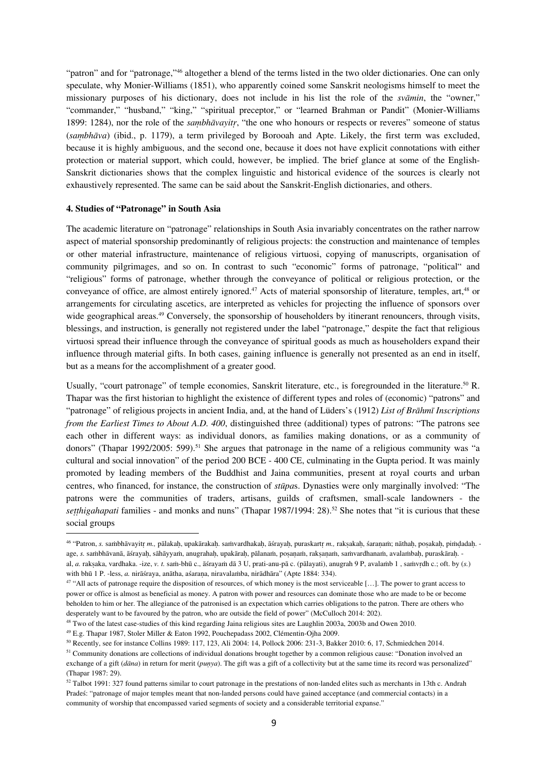"patron" and for "patronage,"<sup>[46](#page-8-0)</sup> altogether a blend of the terms listed in the two older dictionaries. One can only speculate, why Monier-Williams (1851), who apparently coined some Sanskrit neologisms himself to meet the missionary purposes of his dictionary, does not include in his list the role of the *svāmin*, the "owner," "commander," "husband," "king," "spiritual preceptor," or "learned Brahman or Pandit" (Monier-Williams 1899: 1284), nor the role of the *saṃbhāvayitṛ*, "the one who honours or respects or reveres" someone of status (*saṃbhāva*) (ibid., p. 1179), a term privileged by Borooah and Apte. Likely, the first term was excluded, because it is highly ambiguous, and the second one, because it does not have explicit connotations with either protection or material support, which could, however, be implied. The brief glance at some of the English-Sanskrit dictionaries shows that the complex linguistic and historical evidence of the sources is clearly not exhaustively represented. The same can be said about the Sanskrit-English dictionaries, and others.

#### **4. Studies of "Patronage" in South Asia**

The academic literature on "patronage" relationships in South Asia invariably concentrates on the rather narrow aspect of material sponsorship predominantly of religious projects: the construction and maintenance of temples or other material infrastructure, maintenance of religious virtuosi, copying of manuscripts, organisation of community pilgrimages, and so on. In contrast to such "economic" forms of patronage, "political" and "religious" forms of patronage, whether through the conveyance of political or religious protection, or the conveyance of office, are almost entirely ignored.<sup>[47](#page-8-1)</sup> Acts of material sponsorship of literature, temples, art,<sup>[48](#page-8-2)</sup> or arrangements for circulating ascetics, are interpreted as vehicles for projecting the influence of sponsors over wide geographical areas.<sup>[49](#page-8-3)</sup> Conversely, the sponsorship of householders by itinerant renouncers, through visits, blessings, and instruction, is generally not registered under the label "patronage," despite the fact that religious virtuosi spread their influence through the conveyance of spiritual goods as much as householders expand their influence through material gifts. In both cases, gaining influence is generally not presented as an end in itself, but as a means for the accomplishment of a greater good.

Usually, "court patronage" of temple economies, Sanskrit literature, etc., is foregrounded in the literature.<sup>[50](#page-8-4)</sup> R. Thapar was the first historian to highlight the existence of different types and roles of (economic) "patrons" and "patronage" of religious projects in ancient India, and, at the hand of Lüders's (1912) *List of Brāhmī Inscriptions from the Earliest Times to About A.D. 400*, distinguished three (additional) types of patrons: "The patrons see each other in different ways: as individual donors, as families making donations, or as a community of donors" (Thapar 1992/2005: 599).<sup>[51](#page-8-5)</sup> She argues that patronage in the name of a religious community was "a cultural and social innovation" of the period 200 BCE - 400 CE, culminating in the Gupta period. It was mainly promoted by leading members of the Buddhist and Jaina communities, present at royal courts and urban centres, who financed, for instance, the construction of *stūpa*s. Dynasties were only marginally involved: "The patrons were the communities of traders, artisans, guilds of craftsmen, small-scale landowners - the *setthigahapati* families - and monks and nuns" (Thapar 1987/1994: 28).<sup>[52](#page-8-6)</sup> She notes that "it is curious that these social groups

<span id="page-8-0"></span><sup>46 &</sup>quot;Patron, *s.* saṁbhāvayitṛ *m.,* pālakaḥ, upakārakaḥ. saṁvardhakaḥ, āśrayaḥ, puraskartṛ *m.,* rakṣakaḥ, śaraṇaṁ; nāthaḥ, poṣakaḥ, piṁḍadaḥ. age, *s.* saṁbhāvanā, āśrayaḥ, sāhāyyaṁ, anugrahaḥ, upakāraḥ, pālanaṁ, poṣaṇaṁ, rakṣaṇaṁ, saṁvardhanaṁ, avalaṁbaḥ, puraskāraḥ. al, *a.* rakṣaka, vardhaka. -ize, *v. t.* saṁ-bhū c., āśrayaṁ dā 3 U, prati-anu-pā c. (pālayati), anugrah 9 P, avalaṁb 1 , saṁvṛdh c.; oft. by (*s.*) with bhū 1 P. -less, *a.* nirāśraya, anātha, aśaraṇa, niravalaṁba, nirādhāra" (Apte 1884: 334).

<span id="page-8-1"></span><sup>&</sup>lt;sup>47</sup> "All acts of patronage require the disposition of resources, of which money is the most serviceable [...]. The power to grant access to power or office is almost as beneficial as money. A patron with power and resources can dominate those who are made to be or become beholden to him or her. The allegiance of the patronised is an expectation which carries obligations to the patron. There are others who desperately want to be favoured by the patron, who are outside the field of power" (McCulloch 2014: 202).

<span id="page-8-2"></span><sup>48</sup> Two of the latest case-studies of this kind regarding Jaina religious sites are Laughlin 2003a, 2003b and Owen 2010.

<span id="page-8-3"></span><sup>49</sup> E.g. Thapar 1987, Stoler Miller & Eaton 1992, Pouchepadass 2002, Clémentin-Ojha 2009.

<span id="page-8-4"></span><sup>50</sup> Recently, see for instance Collins 1989: 117, 123, Ali 2004: 14, Pollock 2006: 231-3, Bakker 2010: 6, 17, Schmiedchen 2014.

<span id="page-8-5"></span><sup>&</sup>lt;sup>51</sup> Community donations are collections of individual donations brought together by a common religious cause: "Donation involved an exchange of a gift (*dāna*) in return for merit (*punya*). The gift was a gift of a collectivity but at the same time its record was personalized" (Thapar 1987: 29).

<span id="page-8-6"></span><sup>52</sup> Talbot 1991: 327 found patterns similar to court patronage in the prestations of non-landed elites such as merchants in 13th c. Andrah Pradeś: "patronage of major temples meant that non-landed persons could have gained acceptance (and commercial contacts) in a community of worship that encompassed varied segments of society and a considerable territorial expanse."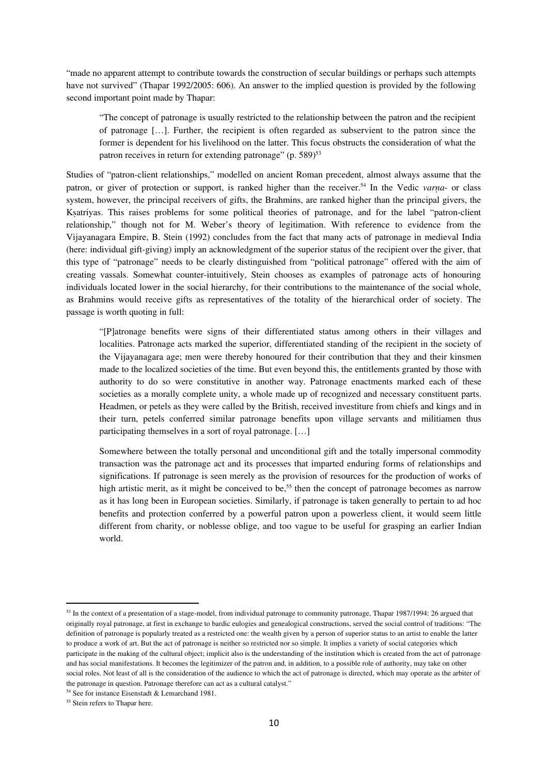"made no apparent attempt to contribute towards the construction of secular buildings or perhaps such attempts have not survived" (Thapar 1992/2005: 606). An answer to the implied question is provided by the following second important point made by Thapar:

"The concept of patronage is usually restricted to the relationship between the patron and the recipient of patronage […]. Further, the recipient is often regarded as subservient to the patron since the former is dependent for his livelihood on the latter. This focus obstructs the consideration of what the patron receives in return for extending patronage" (p. 589)<sup>[53](#page-9-0)</sup>

Studies of "patron-client relationships," modelled on ancient Roman precedent, almost always assume that the patron, or giver of protection or support, is ranked higher than the receiver.<sup>[54](#page-9-1)</sup> In the Vedic *varna*- or class system, however, the principal receivers of gifts, the Brahmins, are ranked higher than the principal givers, the Ksatriyas. This raises problems for some political theories of patronage, and for the label "patron-client" relationship," though not for M. Weber's theory of legitimation. With reference to evidence from the Vijayanagara Empire, B. Stein (1992) concludes from the fact that many acts of patronage in medieval India (here: individual gift-giving) imply an acknowledgment of the superior status of the recipient over the giver, that this type of "patronage" needs to be clearly distinguished from "political patronage" offered with the aim of creating vassals. Somewhat counter-intuitively, Stein chooses as examples of patronage acts of honouring individuals located lower in the social hierarchy, for their contributions to the maintenance of the social whole, as Brahmins would receive gifts as representatives of the totality of the hierarchical order of society. The passage is worth quoting in full:

"[P]atronage benefits were signs of their differentiated status among others in their villages and localities. Patronage acts marked the superior, differentiated standing of the recipient in the society of the Vijayanagara age; men were thereby honoured for their contribution that they and their kinsmen made to the localized societies of the time. But even beyond this, the entitlements granted by those with authority to do so were constitutive in another way. Patronage enactments marked each of these societies as a morally complete unity, a whole made up of recognized and necessary constituent parts. Headmen, or petels as they were called by the British, received investiture from chiefs and kings and in their turn, petels conferred similar patronage benefits upon village servants and militiamen thus participating themselves in a sort of royal patronage. […]

Somewhere between the totally personal and unconditional gift and the totally impersonal commodity transaction was the patronage act and its processes that imparted enduring forms of relationships and significations. If patronage is seen merely as the provision of resources for the production of works of high artistic merit, as it might be conceived to be,<sup>[55](#page-9-2)</sup> then the concept of patronage becomes as narrow as it has long been in European societies. Similarly, if patronage is taken generally to pertain to ad hoc benefits and protection conferred by a powerful patron upon a powerless client, it would seem little different from charity, or noblesse oblige, and too vague to be useful for grasping an earlier Indian world.

<span id="page-9-0"></span><sup>53</sup> In the context of a presentation of a stage-model, from individual patronage to community patronage, Thapar 1987/1994: 26 argued that originally royal patronage, at first in exchange to bardic eulogies and genealogical constructions, served the social control of traditions: "The definition of patronage is popularly treated as a restricted one: the wealth given by a person of superior status to an artist to enable the latter to produce a work of art. But the act of patronage is neither so restricted nor so simple. It implies a variety of social categories which participate in the making of the cultural object; implicit also is the understanding of the institution which is created from the act of patronage and has social manifestations. It becomes the legitimizer of the patron and, in addition, to a possible role of authority, may take on other social roles. Not least of all is the consideration of the audience to which the act of patronage is directed, which may operate as the arbiter of the patronage in question. Patronage therefore can act as a cultural catalyst."

<span id="page-9-1"></span><sup>54</sup> See for instance Eisenstadt & Lemarchand 1981.

<span id="page-9-2"></span><sup>&</sup>lt;sup>55</sup> Stein refers to Thapar here.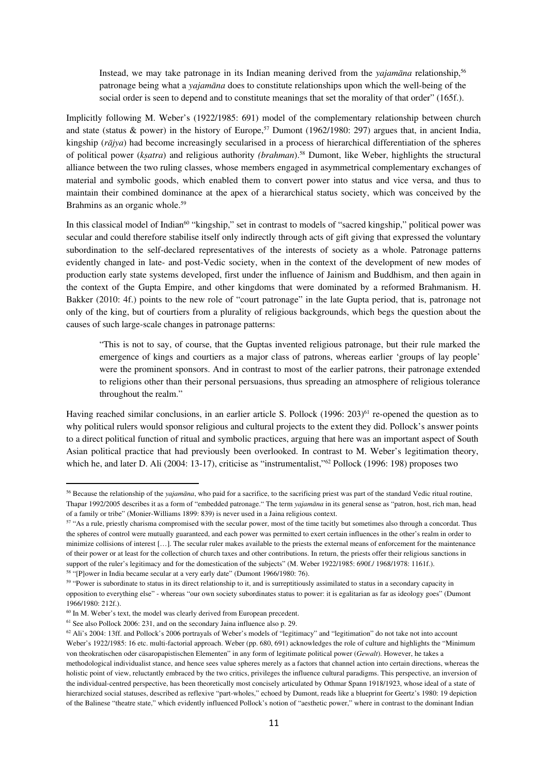Instead, we may take patronage in its Indian meaning derived from the *yajamāna* relationship.<sup>[56](#page-10-0)</sup> patronage being what a *yajamāna* does to constitute relationships upon which the well-being of the social order is seen to depend and to constitute meanings that set the morality of that order" (165f.).

Implicitly following M. Weber's (1922/1985: 691) model of the complementary relationship between church and state (status & power) in the history of Europe,<sup>[57](#page-10-1)</sup> Dumont (1962/1980: 297) argues that, in ancient India, kingship (*rājya*) had become increasingly secularised in a process of hierarchical differentiation of the spheres of political power (*kṣatra*) and religious authority *(brahman*).[58](#page-10-2) Dumont, like Weber, highlights the structural alliance between the two ruling classes, whose members engaged in asymmetrical complementary exchanges of material and symbolic goods, which enabled them to convert power into status and vice versa, and thus to maintain their combined dominance at the apex of a hierarchical status society, which was conceived by the Brahmins as an organic whole. [59](#page-10-3)

In this classical model of Indian<sup>[60](#page-10-4)</sup> "kingship," set in contrast to models of "sacred kingship," political power was secular and could therefore stabilise itself only indirectly through acts of gift giving that expressed the voluntary subordination to the self-declared representatives of the interests of society as a whole. Patronage patterns evidently changed in late- and post-Vedic society, when in the context of the development of new modes of production early state systems developed, first under the influence of Jainism and Buddhism, and then again in the context of the Gupta Empire, and other kingdoms that were dominated by a reformed Brahmanism. H. Bakker (2010: 4f.) points to the new role of "court patronage" in the late Gupta period, that is, patronage not only of the king, but of courtiers from a plurality of religious backgrounds, which begs the question about the causes of such large-scale changes in patronage patterns:

"This is not to say, of course, that the Guptas invented religious patronage, but their rule marked the emergence of kings and courtiers as a major class of patrons, whereas earlier 'groups of lay people' were the prominent sponsors. And in contrast to most of the earlier patrons, their patronage extended to religions other than their personal persuasions, thus spreading an atmosphere of religious tolerance throughout the realm."

Having reached similar conclusions, in an earlier article S. Pollock (1996: 203)<sup>[61](#page-10-5)</sup> re-opened the question as to why political rulers would sponsor religious and cultural projects to the extent they did. Pollock's answer points to a direct political function of ritual and symbolic practices, arguing that here was an important aspect of South Asian political practice that had previously been overlooked. In contrast to M. Weber's legitimation theory, which he, and later D. Ali (2004: 13-17), criticise as "instrumentalist,"<sup>[62](#page-10-6)</sup> Pollock (1996: 198) proposes two

<span id="page-10-0"></span><sup>56</sup> Because the relationship of the *yajamāna*, who paid for a sacrifice, to the sacrificing priest was part of the standard Vedic ritual routine, Thapar 1992/2005 describes it as a form of "embedded patronage." The term *yajamāna* in its general sense as "patron, host, rich man, head of a family or tribe" (Monier-Williams 1899: 839) is never used in a Jaina religious context.

<span id="page-10-1"></span><sup>&</sup>lt;sup>57</sup> "As a rule, priestly charisma compromised with the secular power, most of the time tacitly but sometimes also through a concordat. Thus the spheres of control were mutually guaranteed, and each power was permitted to exert certain influences in the other's realm in order to minimize collisions of interest […]. The secular ruler makes available to the priests the external means of enforcement for the maintenance of their power or at least for the collection of church taxes and other contributions. In return, the priests offer their religious sanctions in support of the ruler's legitimacy and for the domestication of the subjects" (M. Weber 1922/1985: 690f./ 1968/1978: 1161f.).

<span id="page-10-2"></span><sup>58</sup> "[P]ower in India became secular at a very early date" (Dumont 1966/1980: 76).

<span id="page-10-3"></span><sup>&</sup>lt;sup>59</sup> "Power is subordinate to status in its direct relationship to it, and is surreptitiously assimilated to status in a secondary capacity in opposition to everything else" - whereas "our own society subordinates status to power: it is egalitarian as far as ideology goes" (Dumont 1966/1980: 212f.).

<span id="page-10-4"></span><sup>60</sup> In M. Weber's text, the model was clearly derived from European precedent.

<span id="page-10-5"></span><sup>61</sup> See also Pollock 2006: 231, and on the secondary Jaina influence also p. 29.

<span id="page-10-6"></span><sup>62</sup> Ali's 2004: 13ff. and Pollock's 2006 portrayals of Weber's models of "legitimacy" and "legitimation" do not take not into account Weber's 1922/1985: 16 etc. multi-factorial approach. Weber (pp. 680, 691) acknowledges the role of culture and highlights the "Minimum von theokratischen oder cäsaropapistischen Elementen" in any form of legitimate political power (*Gewalt*). However, he takes a methodological individualist stance, and hence sees value spheres merely as a factors that channel action into certain directions, whereas the holistic point of view, reluctantly embraced by the two critics, privileges the influence cultural paradigms. This perspective, an inversion of the individual-centred perspective, has been theoretically most concisely articulated by Othmar Spann 1918/1923, whose ideal of a state of hierarchized social statuses, described as reflexive "part-wholes," echoed by Dumont, reads like a blueprint for Geertz's 1980: 19 depiction of the Balinese "theatre state," which evidently influenced Pollock's notion of "aesthetic power," where in contrast to the dominant Indian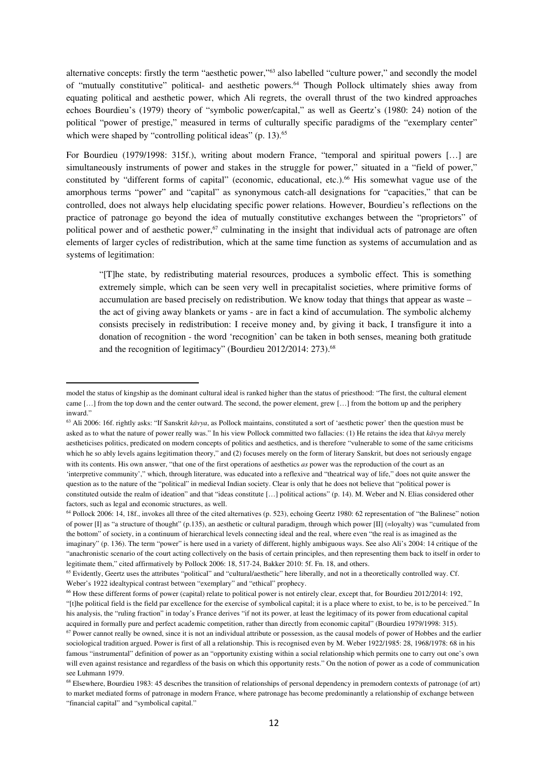alternative concepts: firstly the term "aesthetic power,"<sup>[63](#page-11-0)</sup> also labelled "culture power," and secondly the model of "mutually constitutive" political- and aesthetic powers.<sup>[64](#page-11-1)</sup> Though Pollock ultimately shies away from equating political and aesthetic power, which Ali regrets, the overall thrust of the two kindred approaches echoes Bourdieu's (1979) theory of "symbolic power/capital," as well as Geertz's (1980: 24) notion of the political "power of prestige," measured in terms of culturally specific paradigms of the "exemplary center" which were shaped by "controlling political ideas" (p. 13).<sup>[65](#page-11-2)</sup>

For Bourdieu (1979/1998: 315f.), writing about modern France, "temporal and spiritual powers [...] are simultaneously instruments of power and stakes in the struggle for power," situated in a "field of power," constituted by "different forms of capital" (economic, educational, etc.).<sup>[66](#page-11-3)</sup> His somewhat vague use of the amorphous terms "power" and "capital" as synonymous catch-all designations for "capacities," that can be controlled, does not always help elucidating specific power relations. However, Bourdieu's reflections on the practice of patronage go beyond the idea of mutually constitutive exchanges between the "proprietors" of political power and of aesthetic power,<sup>[67](#page-11-4)</sup> culminating in the insight that individual acts of patronage are often elements of larger cycles of redistribution, which at the same time function as systems of accumulation and as systems of legitimation:

"[T]he state, by redistributing material resources, produces a symbolic effect. This is something extremely simple, which can be seen very well in precapitalist societies, where primitive forms of accumulation are based precisely on redistribution. We know today that things that appear as waste – the act of giving away blankets or yams - are in fact a kind of accumulation. The symbolic alchemy consists precisely in redistribution: I receive money and, by giving it back, I transfigure it into a donation of recognition - the word 'recognition' can be taken in both senses, meaning both gratitude and the recognition of legitimacy" (Bourdieu 2012/2014: 273).<sup>[68](#page-11-5)</sup>

model the status of kingship as the dominant cultural ideal is ranked higher than the status of priesthood: "The first, the cultural element came […] from the top down and the center outward. The second, the power element, grew […] from the bottom up and the periphery inward."

<span id="page-11-0"></span><sup>63</sup> Ali 2006: 16f. rightly asks: "If Sanskrit *kāvya*, as Pollock maintains, constituted a sort of 'aesthetic power' then the question must be asked as to what the nature of power really was." In his view Pollock committed two fallacies: (1) He retains the idea that *kāvya* merely aestheticises politics, predicated on modern concepts of politics and aesthetics, and is therefore "vulnerable to some of the same criticisms which he so ably levels agains legitimation theory," and **(**2) focuses merely on the form of literary Sanskrit, but does not seriously engage with its contents. His own answer, "that one of the first operations of aesthetics *as* power was the reproduction of the court as an 'interpretive community'," which, through literature, was educated into a reflexive and "theatrical way of life," does not quite answer the question as to the nature of the "political" in medieval Indian society. Clear is only that he does not believe that "political power is constituted outside the realm of ideation" and that "ideas constitute […] political actions" (p. 14). M. Weber and N. Elias considered other factors, such as legal and economic structures, as well.

<span id="page-11-1"></span><sup>&</sup>lt;sup>64</sup> Pollock 2006: 14, 18f., invokes all three of the cited alternatives (p. 523), echoing Geertz 1980: 62 representation of "the Balinese" notion of power [I] as "a structure of thought" (p.135), an aesthetic or cultural paradigm, through which power [II] (=loyalty) was "cumulated from the bottom" of society, in a continuum of hierarchical levels connecting ideal and the real, where even "the real is as imagined as the imaginary" (p. 136). The term "power" is here used in a variety of different, highly ambiguous ways. See also Ali's 2004: 14 critique of the "anachronistic scenario of the court acting collectively on the basis of certain principles, and then representing them back to itself in order to legitimate them," cited affirmatively by Pollock 2006: 18, 517-24, Bakker 2010: 5f. Fn. 18, and others.

<span id="page-11-2"></span><sup>&</sup>lt;sup>65</sup> Evidently, Geertz uses the attributes "political" and "cultural/aesthetic" here liberally, and not in a theoretically controlled way. Cf. Weber's 1922 idealtypical contrast between "exemplary" and "ethical" prophecy.<br><sup>66</sup> How these different forms of power (capital) relate to political power is not entirely clear, except that, for Bourdieu 2012/2014: 192,

<span id="page-11-3"></span><sup>&</sup>quot;[t]he political field is the field par excellence for the exercise of symbolical capital; it is a place where to exist, to be, is to be perceived." In his analysis, the "ruling fraction" in today's France derives "if not its power, at least the legitimacy of its power from educational capital acquired in formally pure and perfect academic competition, rather than directly from economic capital" (Bourdieu 1979/1998: 315).

<span id="page-11-4"></span> $67$  Power cannot really be owned, since it is not an individual attribute or possession, as the causal models of power of Hobbes and the earlier sociological tradition argued. Power is first of all a relationship. This is recognised even by M. Weber 1922/1985: 28, 1968/1978: 68 in his famous "instrumental" definition of power as an "opportunity existing within a social relationship which permits one to carry out one's own will even against resistance and regardless of the basis on which this opportunity rests." On the notion of power as a code of communication see Luhmann 1979.

<span id="page-11-5"></span><sup>68</sup> Elsewhere, Bourdieu 1983: 45 describes the transition of relationships of personal dependency in premodern contexts of patronage (of art) to market mediated forms of patronage in modern France, where patronage has become predominantly a relationship of exchange between "financial capital" and "symbolical capital."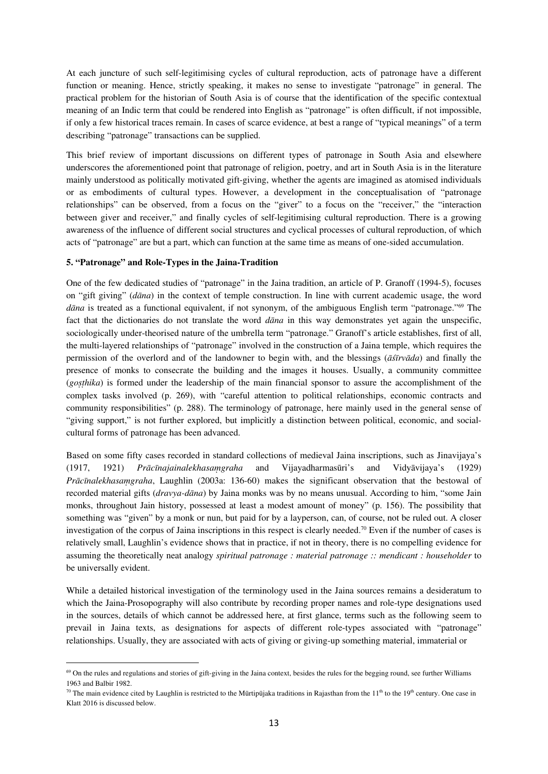At each juncture of such self-legitimising cycles of cultural reproduction, acts of patronage have a different function or meaning. Hence, strictly speaking, it makes no sense to investigate "patronage" in general. The practical problem for the historian of South Asia is of course that the identification of the specific contextual meaning of an Indic term that could be rendered into English as "patronage" is often difficult, if not impossible, if only a few historical traces remain. In cases of scarce evidence, at best a range of "typical meanings" of a term describing "patronage" transactions can be supplied.

This brief review of important discussions on different types of patronage in South Asia and elsewhere underscores the aforementioned point that patronage of religion, poetry, and art in South Asia is in the literature mainly understood as politically motivated gift-giving, whether the agents are imagined as atomised individuals or as embodiments of cultural types. However, a development in the conceptualisation of "patronage relationships" can be observed, from a focus on the "giver" to a focus on the "receiver," the "interaction between giver and receiver," and finally cycles of self-legitimising cultural reproduction. There is a growing awareness of the influence of different social structures and cyclical processes of cultural reproduction, of which acts of "patronage" are but a part, which can function at the same time as means of one-sided accumulation.

#### **5. "Patronage" and Role-Types in the Jaina-Tradition**

One of the few dedicated studies of "patronage" in the Jaina tradition, an article of P. Granoff (1994-5), focuses on "gift giving" (*dāna*) in the context of temple construction. In line with current academic usage, the word *dāna* is treated as a functional equivalent, if not synonym, of the ambiguous English term "patronage."[69](#page-12-0) The fact that the dictionaries do not translate the word *dāna* in this way demonstrates yet again the unspecific, sociologically under-theorised nature of the umbrella term "patronage." Granoff's article establishes, first of all, the multi-layered relationships of "patronage" involved in the construction of a Jaina temple, which requires the permission of the overlord and of the landowner to begin with, and the blessings (*āśīrvāda*) and finally the presence of monks to consecrate the building and the images it houses. Usually, a community committee (*goṣṭhika*) is formed under the leadership of the main financial sponsor to assure the accomplishment of the complex tasks involved (p. 269), with "careful attention to political relationships, economic contracts and community responsibilities" (p. 288). The terminology of patronage, here mainly used in the general sense of "giving support," is not further explored, but implicitly a distinction between political, economic, and socialcultural forms of patronage has been advanced.

Based on some fifty cases recorded in standard collections of medieval Jaina inscriptions, such as Jinavijaya's (1917, 1921) *Prācīnajainalekhasaṃgraha* and Vijayadharmasūri's and Vidyāvijaya's (1929) *Prācīnalekhasaṃgraha*, Laughlin (2003a: 136-60) makes the significant observation that the bestowal of recorded material gifts (*dravya-dāna*) by Jaina monks was by no means unusual. According to him, "some Jain monks, throughout Jain history, possessed at least a modest amount of money" (p. 156). The possibility that something was "given" by a monk or nun, but paid for by a layperson, can, of course, not be ruled out. A closer investigation of the corpus of Jaina inscriptions in this respect is clearly needed.<sup>[70](#page-12-1)</sup> Even if the number of cases is relatively small, Laughlin's evidence shows that in practice, if not in theory, there is no compelling evidence for assuming the theoretically neat analogy *spiritual patronage : material patronage :: mendicant : householder* to be universally evident.

While a detailed historical investigation of the terminology used in the Jaina sources remains a desideratum to which the Jaina-Prosopography will also contribute by recording proper names and role-type designations used in the sources, details of which cannot be addressed here, at first glance, terms such as the following seem to prevail in Jaina texts, as designations for aspects of different role-types associated with "patronage" relationships. Usually, they are associated with acts of giving or giving-up something material, immaterial or

<span id="page-12-0"></span><sup>&</sup>lt;sup>69</sup> On the rules and regulations and stories of gift-giving in the Jaina context, besides the rules for the begging round, see further Williams 1963 and Balbir 1982.

<span id="page-12-1"></span><sup>&</sup>lt;sup>70</sup> The main evidence cited by Laughlin is restricted to the Mūrtipūjaka traditions in Rajasthan from the  $11<sup>th</sup>$  to the 19<sup>th</sup> century. One case in Klatt 2016 is discussed below.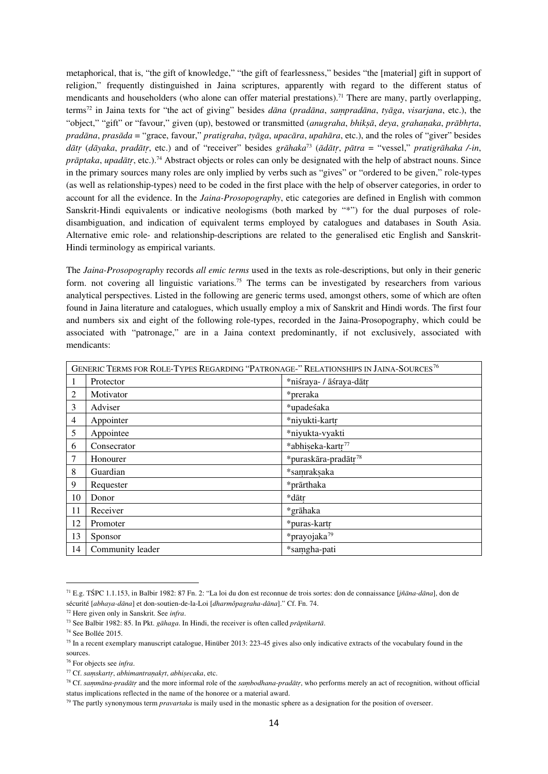metaphorical, that is, "the gift of knowledge," "the gift of fearlessness," besides "the [material] gift in support of religion," frequently distinguished in Jaina scriptures, apparently with regard to the different status of mendicants and householders (who alone can offer material prestations).<sup>[71](#page-13-0)</sup> There are many, partly overlapping, terms[72](#page-13-1) in Jaina texts for "the act of giving" besides *dāna* (*pradāna*, *saṃpradāna*, *tyāga*, *visarjana*, etc.), the "object," "gift" or "favour," given (up), bestowed or transmitted (*anugraha*, *bhikṣā*, *deya*, *grahaṇaka*, *prābhṛta*, *pradāna*, *prasāda* = "grace, favour," *pratigraha*, *tyāga*, *upacāra*, *upahāra*, etc.), and the roles of "giver" besides *dātṛ* (*dāyaka*, *pradātṛ*, etc.) and of "receiver" besides *grāhaka*[73](#page-13-2) (*ādātṛ*, *pātra* = "vessel," *pratigrāhaka /-in*, *prāptaka*, *upadātṛ*, etc.).[74](#page-13-3) Abstract objects or roles can only be designated with the help of abstract nouns. Since in the primary sources many roles are only implied by verbs such as "gives" or "ordered to be given," role-types (as well as relationship-types) need to be coded in the first place with the help of observer categories, in order to account for all the evidence. In the *Jaina-Prosopography*, etic categories are defined in English with common Sanskrit-Hindi equivalents or indicative neologisms (both marked by "\*") for the dual purposes of roledisambiguation, and indication of equivalent terms employed by catalogues and databases in South Asia. Alternative emic role- and relationship-descriptions are related to the generalised etic English and Sanskrit-Hindi terminology as empirical variants.

The *Jaina-Prosopography* records *all emic terms* used in the texts as role-descriptions, but only in their generic form. not covering all linguistic variations.<sup>[75](#page-13-4)</sup> The terms can be investigated by researchers from various analytical perspectives. Listed in the following are generic terms used, amongst others, some of which are often found in Jaina literature and catalogues, which usually employ a mix of Sanskrit and Hindi words. The first four and numbers six and eight of the following role-types, recorded in the Jaina-Prosopography, which could be associated with "patronage," are in a Jaina context predominantly, if not exclusively, associated with mendicants:

|    | GENERIC TERMS FOR ROLE-TYPES REGARDING "PATRONAGE-" RELATIONSHIPS IN JAINA-SOURCES <sup>76</sup> |                                  |  |  |  |  |  |
|----|--------------------------------------------------------------------------------------------------|----------------------------------|--|--|--|--|--|
|    | Protector                                                                                        | *niśraya- / āśraya-dātr          |  |  |  |  |  |
| 2  | Motivator                                                                                        | *preraka                         |  |  |  |  |  |
| 3  | Adviser                                                                                          | *upadeśaka                       |  |  |  |  |  |
| 4  | Appointer                                                                                        | *niyukti-kartr                   |  |  |  |  |  |
| 5  | Appointee                                                                                        | *niyukta-vyakti                  |  |  |  |  |  |
| 6  | Consecrator                                                                                      | *abhiseka-kartr <sup>77</sup>    |  |  |  |  |  |
| 7  | Honourer                                                                                         | *puraskāra-pradātr <sup>78</sup> |  |  |  |  |  |
| 8  | Guardian                                                                                         | *samraksaka                      |  |  |  |  |  |
| 9  | Requester                                                                                        | *prārthaka                       |  |  |  |  |  |
| 10 | Donor                                                                                            | *dātr                            |  |  |  |  |  |
| 11 | Receiver                                                                                         | *grāhaka                         |  |  |  |  |  |
| 12 | Promoter                                                                                         | *puras-kartr                     |  |  |  |  |  |
| 13 | Sponsor                                                                                          | *prayojaka <sup>79</sup>         |  |  |  |  |  |
| 14 | Community leader                                                                                 | *samgha-pati                     |  |  |  |  |  |

<span id="page-13-0"></span><sup>71</sup> E.g. TŚPC 1.1.153, in Balbir 1982: 87 Fn. 2: "La loi du don est reconnue de trois sortes: don de connaissance [*jñāna-dāna*], don de sécurité [*abhaya-dāna*] et don-soutien-de-la-Loi [*dharmôpagraha-dāna*]." Cf. Fn. 74.

<span id="page-13-2"></span><span id="page-13-1"></span><sup>72</sup> Here given only in Sanskrit. See *infra*. 73 See Balbir 1982: 85. In Pkt. *gāhaga*. In Hindi, the receiver is often called *prāptikartā*. 74 See Bollée 2015.

<span id="page-13-3"></span>

<span id="page-13-4"></span><sup>&</sup>lt;sup>75</sup> In a recent exemplary manuscript catalogue, Hinüber 2013: 223-45 gives also only indicative extracts of the vocabulary found in the sources. 76 For objects see *infra*. 77 Cf. *saṃskartṛ*, *abhimantraṇakṛt*, *abhiṣecaka*, etc.

<span id="page-13-5"></span>

<span id="page-13-7"></span><span id="page-13-6"></span><sup>78</sup> Cf. *saṃmāna-pradātṛ* and the more informal role of the *saṃbodhana-pradātṛ*, who performs merely an act of recognition, without official status implications reflected in the name of the honoree or a material award.

<span id="page-13-8"></span><sup>&</sup>lt;sup>79</sup> The partly synonymous term *pravartaka* is maily used in the monastic sphere as a designation for the position of overseer.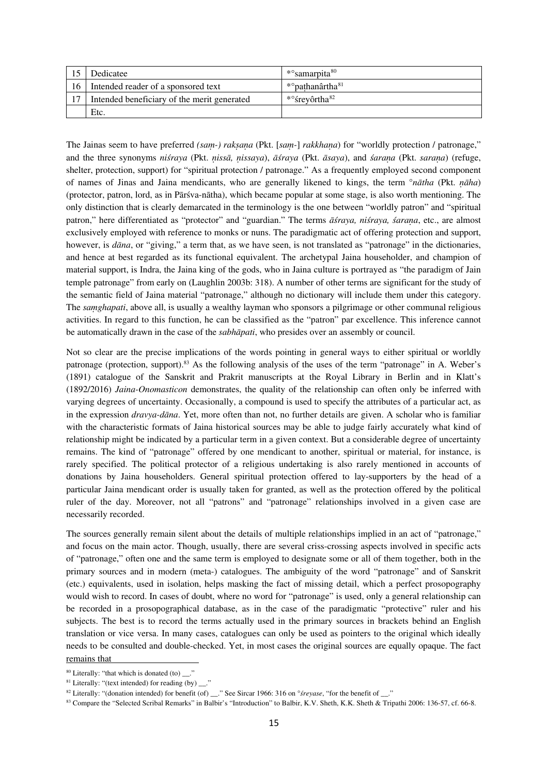|    | Dedicatee                                   | * <sup>o</sup> samarpita <sup>80</sup>   |
|----|---------------------------------------------|------------------------------------------|
| 16 | Intended reader of a sponsored text         | * <sup>o</sup> pathanârtha <sup>81</sup> |
| 17 | Intended beneficiary of the merit generated | *° srevôrtha 82                          |
|    | Etc.                                        |                                          |

The Jainas seem to have preferred *(saṃ-) rakṣaṇa* (Pkt. [*saṃ-*] *rakkhaṇa*) for "worldly protection / patronage," and the three synonyms *niśraya* (Pkt. *ṇissā, ṇissaya*), *āśraya* (Pkt. *āsaya*), and *śaraṇa* (Pkt. *saraṇa*) (refuge, shelter, protection, support) for "spiritual protection / patronage." As a frequently employed second component of names of Jinas and Jaina mendicants, who are generally likened to kings, the term °*nātha* (Pkt. *ṇāha*) (protector, patron, lord, as in Pārśva-nātha), which became popular at some stage, is also worth mentioning. The only distinction that is clearly demarcated in the terminology is the one between "worldly patron" and "spiritual patron," here differentiated as "protector" and "guardian." The terms *āśraya, niśraya, śaraṇa*, etc., are almost exclusively employed with reference to monks or nuns. The paradigmatic act of offering protection and support, however, is *dāna*, or "giving," a term that, as we have seen, is not translated as "patronage" in the dictionaries, and hence at best regarded as its functional equivalent. The archetypal Jaina householder, and champion of material support, is Indra, the Jaina king of the gods, who in Jaina culture is portrayed as "the paradigm of Jain temple patronage" from early on (Laughlin 2003b: 318). A number of other terms are significant for the study of the semantic field of Jaina material "patronage," although no dictionary will include them under this category. The *saṃghapati*, above all, is usually a wealthy layman who sponsors a pilgrimage or other communal religious activities. In regard to this function, he can be classified as the "patron" par excellence. This inference cannot be automatically drawn in the case of the *sabhāpati*, who presides over an assembly or council.

Not so clear are the precise implications of the words pointing in general ways to either spiritual or worldly patronage (protection, support).[83](#page-14-3) As the following analysis of the uses of the term "patronage" in A. Weber's (1891) catalogue of the Sanskrit and Prakrit manuscripts at the Royal Library in Berlin and in Klatt's (1892/2016) *Jaina-Onomasticon* demonstrates, the quality of the relationship can often only be inferred with varying degrees of uncertainty. Occasionally, a compound is used to specify the attributes of a particular act, as in the expression *dravya-dāna*. Yet, more often than not, no further details are given. A scholar who is familiar with the characteristic formats of Jaina historical sources may be able to judge fairly accurately what kind of relationship might be indicated by a particular term in a given context. But a considerable degree of uncertainty remains. The kind of "patronage" offered by one mendicant to another, spiritual or material, for instance, is rarely specified. The political protector of a religious undertaking is also rarely mentioned in accounts of donations by Jaina householders. General spiritual protection offered to lay-supporters by the head of a particular Jaina mendicant order is usually taken for granted, as well as the protection offered by the political ruler of the day. Moreover, not all "patrons" and "patronage" relationships involved in a given case are necessarily recorded.

The sources generally remain silent about the details of multiple relationships implied in an act of "patronage," and focus on the main actor. Though, usually, there are several criss-crossing aspects involved in specific acts of "patronage," often one and the same term is employed to designate some or all of them together, both in the primary sources and in modern (meta-) catalogues. The ambiguity of the word "patronage" and of Sanskrit (etc.) equivalents, used in isolation, helps masking the fact of missing detail, which a perfect prosopography would wish to record. In cases of doubt, where no word for "patronage" is used, only a general relationship can be recorded in a prosopographical database, as in the case of the paradigmatic "protective" ruler and his subjects. The best is to record the terms actually used in the primary sources in brackets behind an English translation or vice versa. In many cases, catalogues can only be used as pointers to the original which ideally needs to be consulted and double-checked. Yet, in most cases the original sources are equally opaque. The fact remains that

<span id="page-14-0"></span><sup>&</sup>lt;sup>80</sup> Literally: "that which is donated (to)  $\therefore$ 

<span id="page-14-1"></span><sup>&</sup>lt;sup>81</sup> Literally: "(text intended) for reading (by)  $\frac{1}{2}$ ."

<span id="page-14-2"></span><sup>82</sup> Literally: "(donation intended) for benefit (of) \_\_." See Sircar 1966: 316 on °*śreyase*, "for the benefit of \_\_."

<span id="page-14-3"></span><sup>83</sup> Compare the "Selected Scribal Remarks" in Balbir's "Introduction" to Balbir, K.V. Sheth, K.K. Sheth & Tripathi 2006: 136-57, cf. 66-8.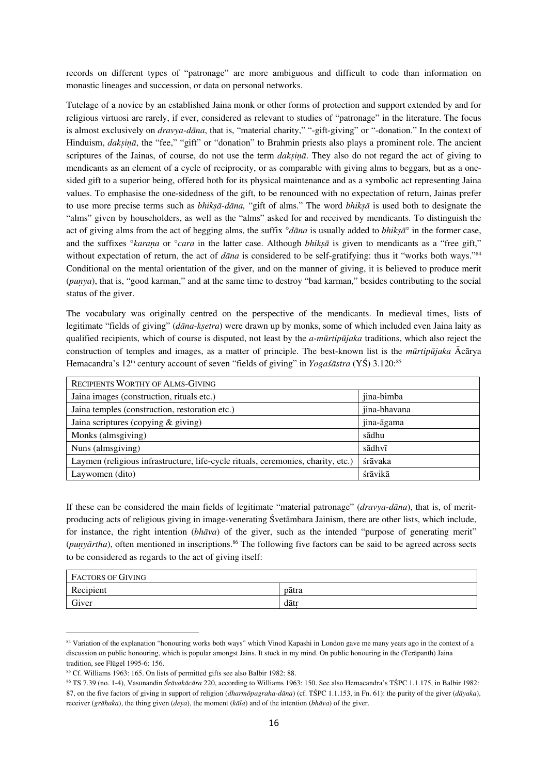records on different types of "patronage" are more ambiguous and difficult to code than information on monastic lineages and succession, or data on personal networks.

Tutelage of a novice by an established Jaina monk or other forms of protection and support extended by and for religious virtuosi are rarely, if ever, considered as relevant to studies of "patronage" in the literature. The focus is almost exclusively on *dravya-dāna*, that is, "material charity," "-gift-giving" or "-donation." In the context of Hinduism, *daksinā*, the "fee," "gift" or "donation" to Brahmin priests also plays a prominent role. The ancient scriptures of the Jainas, of course, do not use the term *dakṣiṇā*. They also do not regard the act of giving to mendicants as an element of a cycle of reciprocity, or as comparable with giving alms to beggars, but as a onesided gift to a superior being, offered both for its physical maintenance and as a symbolic act representing Jaina values. To emphasise the one-sidedness of the gift, to be renounced with no expectation of return, Jainas prefer to use more precise terms such as *bhikṣā-dāna,* "gift of alms." The word *bhikṣā* is used both to designate the "alms" given by householders, as well as the "alms" asked for and received by mendicants. To distinguish the act of giving alms from the act of begging alms, the suffix **°***dāna* is usually added to *bhikṣā*° in the former case, and the suffixes °*karaṇa* or °*cara* in the latter case. Although *bhikṣā* is given to mendicants as a "free gift," without expectation of return, the act of *dāna* is considered to be self-gratifying: thus it "works both ways."<sup>[84](#page-15-0)</sup> Conditional on the mental orientation of the giver, and on the manner of giving, it is believed to produce merit (*puṇya*), that is, "good karman," and at the same time to destroy "bad karman," besides contributing to the social status of the giver.

The vocabulary was originally centred on the perspective of the mendicants. In medieval times, lists of legitimate "fields of giving" (*dāna-kṣetra*) were drawn up by monks, some of which included even Jaina laity as qualified recipients, which of course is disputed, not least by the *a-mūrtipūjaka* traditions, which also reject the construction of temples and images, as a matter of principle. The best-known list is the *mūrtipūjaka* Ācārya Hemacandra's 12<sup>th</sup> century account of seven "fields of giving" in *Yogaśāstra* (YŚ) 3.120:<sup>[85](#page-15-1)</sup>

| RECIPIENTS WORTHY OF ALMS-GIVING                                                 |              |  |  |  |  |  |
|----------------------------------------------------------------------------------|--------------|--|--|--|--|--|
| Jaina images (construction, rituals etc.)                                        | jina-bimba   |  |  |  |  |  |
| Jaina temples (construction, restoration etc.)                                   | jina-bhavana |  |  |  |  |  |
| Jaina scriptures (copying $&$ giving)                                            | jina-āgama   |  |  |  |  |  |
| Monks (almsgiving)                                                               | sādhu        |  |  |  |  |  |
| Nuns (almsgiving)                                                                | sādhvī       |  |  |  |  |  |
| Laymen (religious infrastructure, life-cycle rituals, ceremonies, charity, etc.) | śrāvaka      |  |  |  |  |  |
| Laywomen (dito)                                                                  | śrāvikā      |  |  |  |  |  |

If these can be considered the main fields of legitimate "material patronage" (*dravya-dāna*), that is, of meritproducing acts of religious giving in image-venerating Śvetāmbara Jainism, there are other lists, which include, for instance, the right intention (*bhāva*) of the giver, such as the intended "purpose of generating merit" (*puṇyārtha*), often mentioned in inscriptions. [86](#page-15-2) The following five factors can be said to be agreed across sects to be considered as regards to the act of giving itself:

| <b>FACTORS OF GIVING</b> |       |  |  |  |  |
|--------------------------|-------|--|--|--|--|
| Recipient                | pātra |  |  |  |  |
| Giver                    | dātr  |  |  |  |  |

<span id="page-15-0"></span><sup>&</sup>lt;sup>84</sup> Variation of the explanation "honouring works both ways" which Vinod Kapashi in London gave me many years ago in the context of a discussion on public honouring, which is popular amongst Jains. It stuck in my mind. On public honouring in the (Terāpanth) Jaina tradition, see Flügel 1995-6: 156.

<span id="page-15-1"></span><sup>85</sup> Cf. Williams 1963: 165. On lists of permitted gifts see also Balbir 1982: 88.

<span id="page-15-2"></span><sup>86</sup> TS 7.39 (no. 1-4), Vasunandin *Śrāvakācāra* 220, according to Williams 1963: 150. See also Hemacandra's TŚPC 1.1.175, in Balbir 1982: 87, on the five factors of giving in support of religion (*dharmôpagraha-dāna*) (cf. TŚPC 1.1.153, in Fn. 61): the purity of the giver (*dāyaka*), receiver (*grāhaka*), the thing given (*deya*), the moment (*kāla*) and of the intention (*bhāva*) of the giver.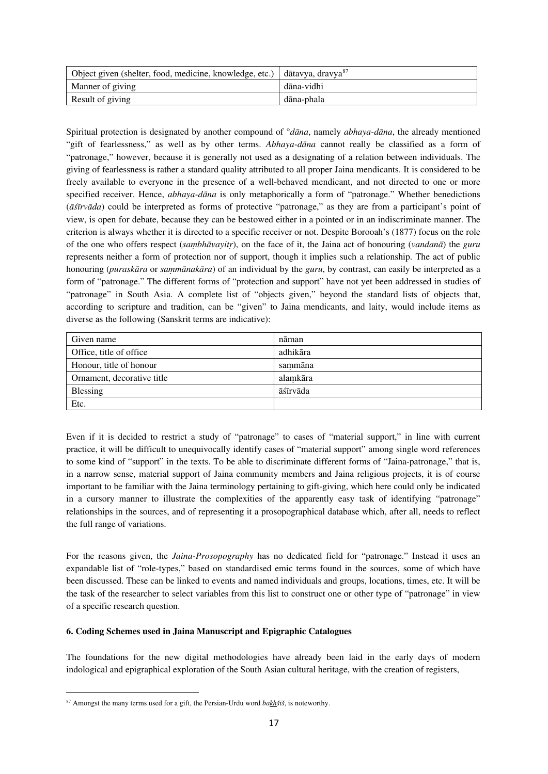| Object given (shelter, food, medicine, knowledge, etc.) $\vert$ dātavya, dravya <sup>87</sup> |            |
|-----------------------------------------------------------------------------------------------|------------|
| Manner of giving                                                                              | dāna-vidhi |
| Result of giving                                                                              | dāna-phala |

Spiritual protection is designated by another compound of °*dāna*, namely *abhaya-dāna*, the already mentioned "gift of fearlessness," as well as by other terms. *Abhaya-dāna* cannot really be classified as a form of "patronage," however, because it is generally not used as a designating of a relation between individuals. The giving of fearlessness is rather a standard quality attributed to all proper Jaina mendicants. It is considered to be freely available to everyone in the presence of a well-behaved mendicant, and not directed to one or more specified receiver. Hence, *abhaya-dāna* is only metaphorically a form of "patronage." Whether benedictions (*āśīrvāda*) could be interpreted as forms of protective "patronage," as they are from a participant's point of view, is open for debate, because they can be bestowed either in a pointed or in an indiscriminate manner. The criterion is always whether it is directed to a specific receiver or not. Despite Borooah's (1877) focus on the role of the one who offers respect (*saṃbhāvayitṛ*), on the face of it, the Jaina act of honouring (*vandanā*) the *guru* represents neither a form of protection nor of support, though it implies such a relationship. The act of public honouring (*puraskāra* or *sammānakāra*) of an individual by the *guru*, by contrast, can easily be interpreted as a form of "patronage." The different forms of "protection and support" have not yet been addressed in studies of "patronage" in South Asia. A complete list of "objects given," beyond the standard lists of objects that, according to scripture and tradition, can be "given" to Jaina mendicants, and laity, would include items as diverse as the following (Sanskrit terms are indicative):

| Given name                 | nāman    |  |  |  |
|----------------------------|----------|--|--|--|
| Office, title of office    | adhikāra |  |  |  |
| Honour, title of honour    | sammāna  |  |  |  |
| Ornament, decorative title | alamkāra |  |  |  |
| <b>Blessing</b>            | āśīrvāda |  |  |  |
| Etc.                       |          |  |  |  |

Even if it is decided to restrict a study of "patronage" to cases of "material support," in line with current practice, it will be difficult to unequivocally identify cases of "material support" among single word references to some kind of "support" in the texts. To be able to discriminate different forms of "Jaina-patronage," that is, in a narrow sense, material support of Jaina community members and Jaina religious projects, it is of course important to be familiar with the Jaina terminology pertaining to gift-giving, which here could only be indicated in a cursory manner to illustrate the complexities of the apparently easy task of identifying "patronage" relationships in the sources, and of representing it a prosopographical database which, after all, needs to reflect the full range of variations.

For the reasons given, the *Jaina-Prosopography* has no dedicated field for "patronage." Instead it uses an expandable list of "role-types," based on standardised emic terms found in the sources, some of which have been discussed. These can be linked to events and named individuals and groups, locations, times, etc. It will be the task of the researcher to select variables from this list to construct one or other type of "patronage" in view of a specific research question.

# **6. Coding Schemes used in Jaina Manuscript and Epigraphic Catalogues**

The foundations for the new digital methodologies have already been laid in the early days of modern indological and epigraphical exploration of the South Asian cultural heritage, with the creation of registers,

<span id="page-16-0"></span><sup>87</sup> Amongst the many terms used for a gift, the Persian-Urdu word *bakhšiš*, is noteworthy.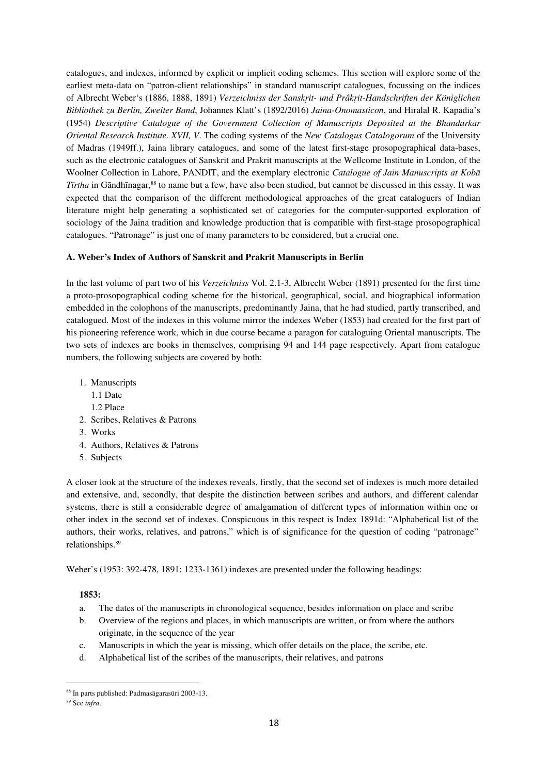catalogues, and indexes, informed by explicit or implicit coding schemes. This section will explore some of the earliest meta-data on "patron-client relationships" in standard manuscript catalogues, focussing on the indices of Albrecht Weber's (1886, 1888, 1891) *Verzeichniss der Sanskṛit- und Prâkṛit-Handschriften der Königlichen Bibliothek zu Berlin, Zweiter Band*, Johannes Klatt's (1892/2016) *Jaina-Onomasticon*, and Hiralal R. Kapadia's (1954) *Descriptive Catalogue of the Government Collection of Manuscripts Deposited at the Bhandarkar Oriental Research Institute. XVII, V*. The coding systems of the *New Catalogus Catalogorum* of the University of Madras (1949ff.), Jaina library catalogues, and some of the latest first-stage prosopographical data-bases, such as the electronic catalogues of Sanskrit and Prakrit manuscripts at the Wellcome Institute in London, of the Woolner Collection in Lahore, PANDIT, and the exemplary electronic *Catalogue of Jain Manuscripts at Kobā Tīrtha* in Gāndhīnagar, [88](#page-17-0) to name but a few, have also been studied, but cannot be discussed in this essay*.* It was expected that the comparison of the different methodological approaches of the great cataloguers of Indian literature might help generating a sophisticated set of categories for the computer-supported exploration of sociology of the Jaina tradition and knowledge production that is compatible with first-stage prosopographical catalogues. "Patronage" is just one of many parameters to be considered, but a crucial one.

## **A. Weber's Index of Authors of Sanskrit and Prakrit Manuscripts in Berlin**

In the last volume of part two of his *Verzeichniss* Vol. 2.1-3, Albrecht Weber (1891) presented for the first time a proto-prosopographical coding scheme for the historical, geographical, social, and biographical information embedded in the colophons of the manuscripts, predominantly Jaina, that he had studied, partly transcribed, and catalogued. Most of the indexes in this volume mirror the indexes Weber (1853) had created for the first part of his pioneering reference work, which in due course became a paragon for cataloguing Oriental manuscripts. The two sets of indexes are books in themselves, comprising 94 and 144 page respectively. Apart from catalogue numbers, the following subjects are covered by both:

- 1. Manuscripts
	- 1.1 Date
	- 1.2 Place
- 2. Scribes, Relatives & Patrons
- 3. Works
- 4. Authors, Relatives & Patrons
- 5. Subjects

A closer look at the structure of the indexes reveals, firstly, that the second set of indexes is much more detailed and extensive, and, secondly, that despite the distinction between scribes and authors, and different calendar systems, there is still a considerable degree of amalgamation of different types of information within one or other index in the second set of indexes. Conspicuous in this respect is Index 1891d: "Alphabetical list of the authors, their works, relatives, and patrons," which is of significance for the question of coding "patronage" relationships.<sup>[89](#page-17-1)</sup>

Weber's (1953: 392-478, 1891: 1233-1361) indexes are presented under the following headings:

# **1853:**

- a. The dates of the manuscripts in chronological sequence, besides information on place and scribe
- b. Overview of the regions and places, in which manuscripts are written, or from where the authors originate, in the sequence of the year
- c. Manuscripts in which the year is missing, which offer details on the place, the scribe, etc.
- d. Alphabetical list of the scribes of the manuscripts, their relatives, and patrons

<span id="page-17-0"></span><sup>88</sup> In parts published: Padmasāgarasūri 2003-13.

<span id="page-17-1"></span><sup>89</sup> See *infra*.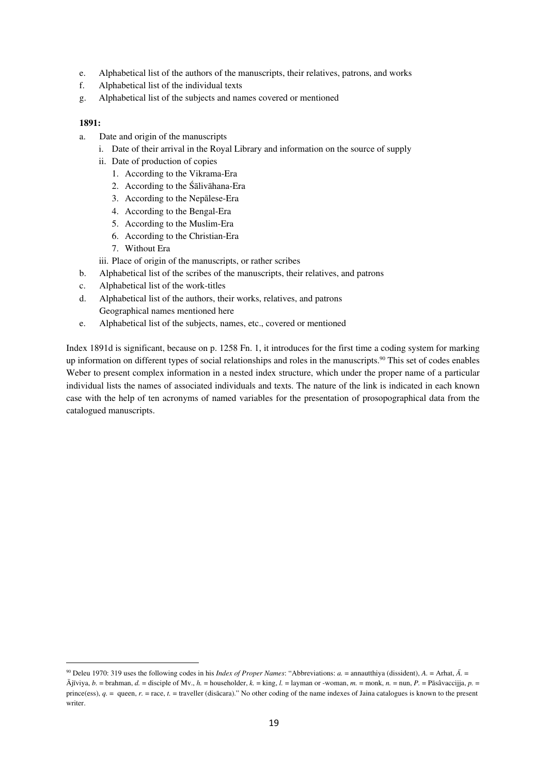- e. Alphabetical list of the authors of the manuscripts, their relatives, patrons, and works
- f. Alphabetical list of the individual texts
- g. Alphabetical list of the subjects and names covered or mentioned

# **1891:**

- a. Date and origin of the manuscripts
	- i. Date of their arrival in the Royal Library and information on the source of supply
	- ii. Date of production of copies
		- 1. According to the Vikrama-Era
		- 2. According to the Śālivāhana-Era
		- 3. According to the Nepālese-Era
		- 4. According to the Bengal-Era
		- 5. According to the Muslim-Era
		- 6. According to the Christian-Era
		- 7. Without Era
	- iii. Place of origin of the manuscripts, or rather scribes
- b. Alphabetical list of the scribes of the manuscripts, their relatives, and patrons
- c. Alphabetical list of the work-titles
- d. Alphabetical list of the authors, their works, relatives, and patrons Geographical names mentioned here
- e. Alphabetical list of the subjects, names, etc., covered or mentioned

Index 1891d is significant, because on p. 1258 Fn. 1, it introduces for the first time a coding system for marking up information on different types of social relationships and roles in the manuscripts.[90](#page-18-0) This set of codes enables Weber to present complex information in a nested index structure, which under the proper name of a particular individual lists the names of associated individuals and texts. The nature of the link is indicated in each known case with the help of ten acronyms of named variables for the presentation of prosopographical data from the catalogued manuscripts.

<span id="page-18-0"></span><sup>&</sup>lt;sup>90</sup> Deleu 1970: 319 uses the following codes in his *Index of Proper Names*: "Abbreviations:  $a$ . = annautthiya (dissident),  $A$ . = Arhat,  $\bar{A}$ . = Ājīviya, *b.* = brahman, *d.* = disciple of Mv., *h.* = householder, *k.* = king, *l.* = layman or -woman, *m.* = monk, *n.* = nun, *P.* = Pāsâvaccijja, *p.* = prince(ess),  $q =$  queen,  $r =$  race,  $t =$  traveller (disācara)." No other coding of the name indexes of Jaina catalogues is known to the present writer.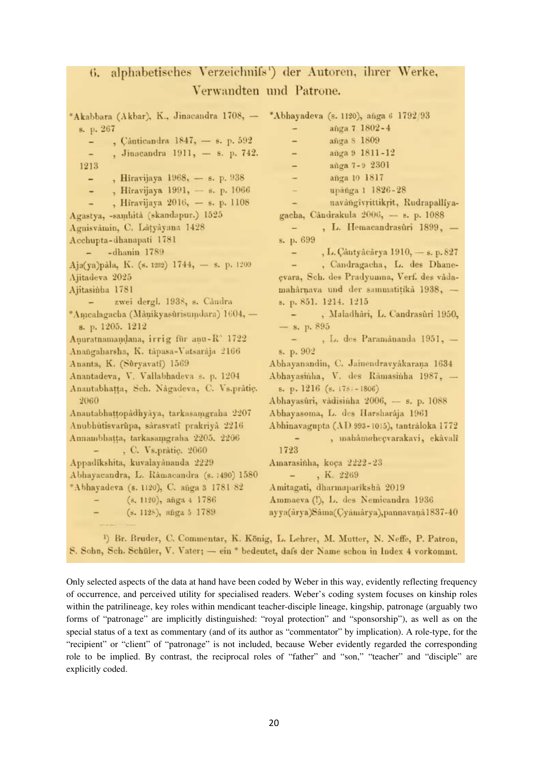# alphabetisches Verzeichnifs') der Autoren, ihrer Werke,  $6.$ Verwandten und Patrone.

\*Akabbara (Akbar), K., Jinacandra 1708, -\*Abhayadeva (s. 1120), anga 6 1792/93 s. p. 267 añga 7 1802-4 , Cânticandra 1847, - s. p. 592 añga S 1809 ۳  $\frac{1}{2}$ , Jinacandra 1911, - s. p. 742. añga 9 1811-12 ۳ añga 7-9 2301 1213 ÷ , Hiravijaya 1968, - s. p. 938 añga 10 1817  $\overline{\phantom{0}}$ , Hiravijaya 1991, - s. p. 1066 upánga 1 1826-28 , Hiravijaya 2016, - s. p. 1108 navángivrittikrit, Rudrapallîya-÷ Agastya, -samhità (skandapur.) 1525 gacha, Cândrakula 2006, - s. p. 1088 Agnisvámin, C. Látyáyana 1428 , L. Hemacandrasûri 1899, - $\overline{\phantom{0}}$ s. p. 699 Acchupta-dhanapati 1781 , L. Cântyăcărya 1910, - s. p. 827 -dhanin 1789  $\rightarrow$ Aja(ya)pala, K. (s. 1232) 1744, - s. p. 1209 , Candragacha, L. des Dhanecvara, Sch. des Pradyumna, Verf. des vâda-Ajitadeva 2025 Ajitasinha 1781 mahârnava und der sammatitika 1938, -- zwei dergl. 1938, s. Cândra s. p. 851. 1214. 1215 \*Amcalagacha (Mànikyasûrisumdara) 1604, -, Maladhâri, L. Candrasûri 1950,  $-$  s. p. 895 s. p. 1205. 1212 Anuratnamandana, irrig für anu-R° 1722  $\frac{1}{2}$  and  $\frac{1}{2}$ , L. des Paramànanda 1951, -Anangaharsha, K. tapasa-Vatsaraja 2166 s. p. 902 Ananta, K. (Sûryavatî) 1569 Abhayanandin, C. Jainendravyakarana 1634 Anantadeva, V. Vallabhadeva s. p. 1204 Abhayasinha, V. des Ramasinha 1987, -Anantabhatta, Sch. Någadeva, C. Vs.pråtiç. s. p. 1216 (s. 175; -1806) 2060 Abhayasûrî, vâdisinha 2006, - s. p. 1088 Anantabhattopádhyáya, tarkasamgraha 2207 Abhayasoma, L. des Harsharaja 1961 Anubhútisvarûpa, sárasvatî prakriyâ 2216 Abhinavagupta (AD 993-1015), tantrāloka 1772 , mahâmahecvarakavi, ekâvalî Annambhatta, tarkasamgraha 2205. 2206  $\omega$  . 1723 , C. Vs.pratic. 2060 Appadikshita, kuvalayananda 2229 Amarasinha, koça 2222-23 Abhayacandra, L. Râmacandra (s. 1490) 1580  $-$ , K. 2269 \*Abhayadeva (s. 1120), C. anga 3 1781 82 Amitagati, dharmaparikshå 2019 (s. 1120), anga 4 1786 Ammaeva (!), L. des Nemicandra 1936 (s. 1128), anga 5 1789 ayya(arya)Sâma(Cyâmârya),pannavana1837-40

<sup>1</sup>) Br. Bruder, C. Commentar, K. König, L. Lehrer, M. Mutter, N. Neffe, P. Patron, S. Sohn, Sch. Schüler, V. Vater; - ein \* bedeutet, dafs der Name schon in Index 4 vorkommt.

Only selected aspects of the data at hand have been coded by Weber in this way, evidently reflecting frequency of occurrence, and perceived utility for specialised readers. Weber's coding system focuses on kinship roles within the patrilineage, key roles within mendicant teacher-disciple lineage, kingship, patronage (arguably two forms of "patronage" are implicitly distinguished: "royal protection" and "sponsorship"), as well as on the special status of a text as commentary (and of its author as "commentator" by implication). A role-type, for the "recipient" or "client" of "patronage" is not included, because Weber evidently regarded the corresponding role to be implied. By contrast, the reciprocal roles of "father" and "son," "teacher" and "disciple" are explicitly coded.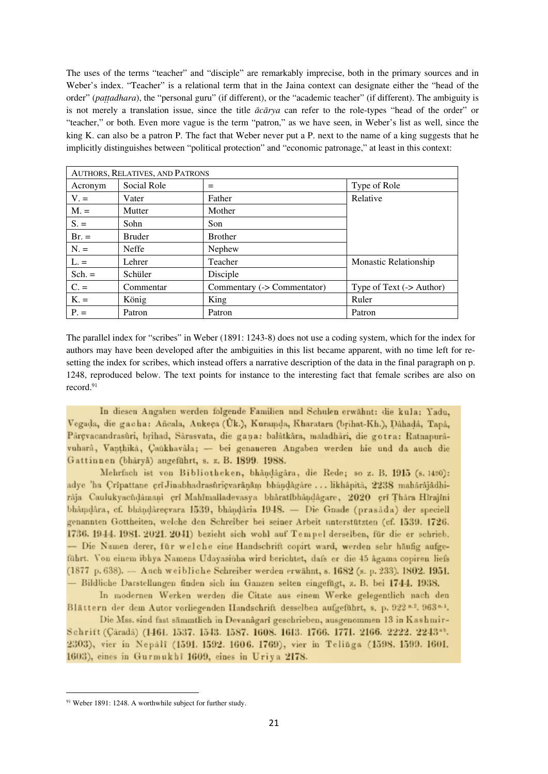The uses of the terms "teacher" and "disciple" are remarkably imprecise, both in the primary sources and in Weber's index. "Teacher" is a relational term that in the Jaina context can designate either the "head of the order" (*paṭṭadhara*), the "personal guru" (if different), or the "academic teacher" (if different). The ambiguity is is not merely a translation issue, since the title *ācārya* can refer to the role-types "head of the order" or "teacher," or both. Even more vague is the term "patron," as we have seen, in Weber's list as well, since the king K. can also be a patron P. The fact that Weber never put a P. next to the name of a king suggests that he implicitly distinguishes between "political protection" and "economic patronage," at least in this context:

| AUTHORS, RELATIVES, AND PATRONS               |           |                             |                              |  |  |  |  |  |
|-----------------------------------------------|-----------|-----------------------------|------------------------------|--|--|--|--|--|
| Social Role<br>Type of Role<br>Acronym<br>$=$ |           |                             |                              |  |  |  |  |  |
| $V =$<br>Vater                                |           | Father                      | Relative                     |  |  |  |  |  |
| $M =$<br>Mutter                               |           | Mother                      |                              |  |  |  |  |  |
| $S =$                                         | Sohn      | Son                         |                              |  |  |  |  |  |
| $Br. =$<br><b>Bruder</b>                      |           | <b>Brother</b>              |                              |  |  |  |  |  |
| $N =$<br><b>Neffe</b>                         |           | Nephew                      |                              |  |  |  |  |  |
| $L =$<br>Lehrer                               |           | Teacher                     | <b>Monastic Relationship</b> |  |  |  |  |  |
| $Sch. =$                                      | Schüler   | Disciple                    |                              |  |  |  |  |  |
| $C =$                                         | Commentar | Commentary (-> Commentator) | Type of Text (-> Author)     |  |  |  |  |  |
| $K =$                                         | König     | King                        | Ruler                        |  |  |  |  |  |
| $P =$                                         | Patron    | Patron                      | Patron                       |  |  |  |  |  |

The parallel index for "scribes" in Weber (1891: 1243-8) does not use a coding system, which for the index for authors may have been developed after the ambiguities in this list became apparent, with no time left for resetting the index for scribes, which instead offers a narrative description of the data in the final paragraph on p. 1248, reproduced below. The text points for instance to the interesting fact that female scribes are also on record. [91](#page-20-0)

In diesen Angaben werden folgende Familien nnd Schulen erwähnt: die kula: Yadu. Vegada, die gacha: Añcala, Aukeça (Ük.), Kuramda, Kharatara (brihat-Kh.), Dâhadâ, Tapâ, Pârgvacandrasûri, brihad, Sârasvata, die gana: balâtkâra, maladhâri, die gotra: Ratnapurâvuharà, Vanthikà, Çañkhavâla; - bei genaueren Angaben werden hie und da auch die Gattinnen (bhàryà) augeführt, s. z. B. 1899. 1988.

Mehrfach ist von Bibliotheken, bhândâgâra, die Rede; so z. B. 1915 (s. 1490): adye 'ha Crîpattane çrî Jinabhadrasûrîçvarânâm bhândâgâre ... likhâpitâ, 2238 mahârâjâdhirája Caulukyacûdámani çri Mahîmalladevasya bhâratibhândâgare, 2020 çri Thâra Hîrajîni bhâmdâra, cf. bhândâreçvara 1539, bhândâria 1948. — Die Gnade (prasâda) der speciell genannten Gottheiten, welche den Schreiber bei seiner Arbeit unterstützten (cf. 1539. 1726. 1736. 1944. 1981. 2021. 2041) bezieht sich wohl auf Tempel derselben, für die er schrieb. - Die Namen derer, für welche eine Handschrift copirt ward, werden sehr häufig aufgeführt. Von einem ibhya Namens Udayasinha wird berichtet, dafs er die 45 âgama copiren liefs (1877 p. 638). - Auch weibliche Schreiber werden erwähnt, s. 1682 (s. p. 233). 1802. 1951. - Bildliche Darstellungen finden sich im Ganzen selten eingefügt, z. B. bei 1744. 1938.

In modernen Werken werden die Citate aus einem Werke gelegentlich nach den Blättern der dem Autor vorliegenden Handschrift desselben aufgeführt, s. p. 922 n.2. 963n.1.

Die Mss. sind fast sämmtlich in Devanågari geschrieben, ausgenommen 13 in Kashmir-Schrift (Carada) (1461, 1537, 1543, 1587, 1608, 1613, 1766, 1771, 2166, 2222, 2243<sup>ab</sup>, 2303), vier in Nepalî (1591. 1592. 1606. 1769), vier in Telinga (1598. 1599. 1601. 1603), eines in Gurmukhi 1609, eines in Uriya 2178.

<span id="page-20-0"></span><sup>91</sup> Weber 1891: 1248. A worthwhile subject for further study.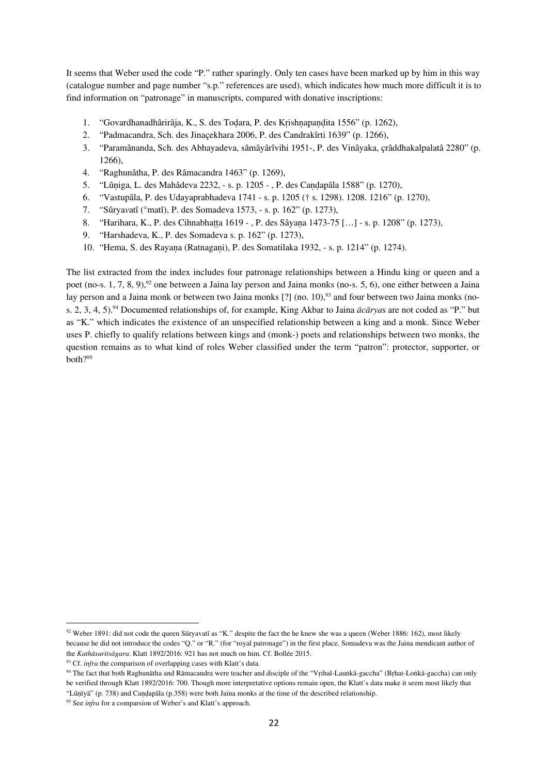It seems that Weber used the code "P." rather sparingly. Only ten cases have been marked up by him in this way (catalogue number and page number "s.p." references are used), which indicates how much more difficult it is to find information on "patronage" in manuscripts, compared with donative inscriptions:

- 1. "Govardhanadhârirâja, K., S. des Toḍara, P. des Kṛishṇapaṇḍita 1556" (p. 1262),
- 2. "Padmacandra, Sch. des Jinaçekhara 2006, P. des Candrakîrti 1639" (p. 1266),
- 3. "Paramânanda, Sch. des Abhayadeva, sâmâyârîvihi 1951-, P. des Vinâyaka, çrâddhakalpalatâ 2280" (p. 1266),
- 4. "Raghunâtha, P. des Râmacandra 1463" (p. 1269),
- 5. "Lûṇiga, L. des Mahâdeva 2232, s. p. 1205 , P. des Caṇḍapâla 1588" (p. 1270),
- 6. "Vastupâla, P. des Udayaprabhadeva 1741 s. p. 1205 († s. 1298). 1208. 1216" (p. 1270),
- 7. "Sûrya*v*atî (°matî), P. des Somadeva 1573, s. p. 162" (p. 1273),
- 8. "Harihara, K., P. des Cihnabhaṭṭa 1619 , P. des Sâyaṇa 1473-75 […] s. p. 1208" (p. 1273),
- 9. "Harshadeva, K., P. des Somadeva s. p. 162" (p. 1273),
- 10. "Hema, S. des Rayaṇa (Ratnagaṇi), P. des Somatilaka 1932, s. p. 1214" (p. 1274).

The list extracted from the index includes four patronage relationships between a Hindu king or queen and a poet (no-s. 1, 7, 8, 9),<sup>[92](#page-21-0)</sup> one between a Jaina lay person and Jaina monks (no-s. 5, 6), one either between a Jaina lay person and a Jaina monk or between two Jaina monks [?] (no. 10),<sup>[93](#page-21-1)</sup> and four between two Jaina monks (nos. 2, 3, 4, 5).[94](#page-21-2) Documented relationships of, for example, King Akbar to Jaina *ācārya*s are not coded as "P." but as "K." which indicates the existence of an unspecified relationship between a king and a monk. Since Weber uses P. chiefly to qualify relations between kings and (monk-) poets and relationships between two monks, the question remains as to what kind of roles Weber classified under the term "patron": protector, supporter, or  $h$ oth $295$  $295$ 

<span id="page-21-0"></span><sup>92</sup> Weber 1891: did not code the queen Sūryavatī as "K." despite the fact the he knew she was a queen (Weber 1886: 162), most likely because he did not introduce the codes "Q." or "R." (for "royal patronage") in the first place. Somadeva was the Jaina mendicant author of the *Kathāsaritsāgara*. Klatt 1892/2016: 921 has not much on him. Cf. Bollée 2015.

<span id="page-21-1"></span><sup>&</sup>lt;sup>93</sup> Cf. *infra* the comparison of overlapping cases with Klatt's data.

<span id="page-21-2"></span><sup>94</sup> The fact that both Raghunātha and Rāmacandra were teacher and disciple of the "Vṛihal-Lauṅkā-gaccha" (Bṛhat-Loṅkā-gaccha) can only be verified through Klatt 1892/2016: 700. Though more interpretative options remain open, the Klatt's data make it seem most likely that "Lūṇīyā" (p. 738) and Caṇḍapāla (p.358) were both Jaina monks at the time of the described relationship.

<span id="page-21-3"></span><sup>&</sup>lt;sup>95</sup> See *infra* for a comparsion of Weber's and Klatt's approach.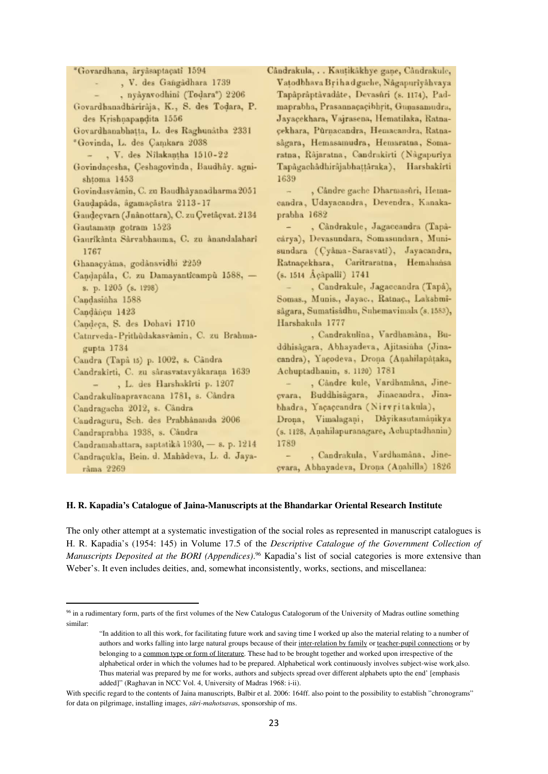| "Govardhana, åryåsaptaçati 1594                | Cândrakula, Kauțikâkhye gane, Cândrakule,    |
|------------------------------------------------|----------------------------------------------|
| , V. des Gangådhara 1739                       | Vatodbhava Brihad gache, Någapuriyåhvaya     |
| , nyâyavodhinî (Todara") 2206                  | Tapápráptávadáte, Devasúri (s. 1174), Pad-   |
| Govardhanadhâriraja, K., S. des Todara, P.     | maprabha, Prasannaçaçibhrit, Gunasamudra,    |
| des Krishnapandita 1556                        | Jayacekhara, Vajrasena, Hematilaka, Ratna-   |
| Govardhanabhatta, L. des Raghunatha 2331       | çekhara, Pûrnacandra, Hemacandra, Ratna-     |
| *Govinda, L. des Çamkara 2038                  | sågara, Hemasamudra, Hemaratna, Soma-        |
| , V. des Nilakantha 1510-22                    | ratna, Râjaratna, Candrakirti (Nâgapurîya    |
| Govindaçesha, Çeshagovinda, Baudhây. agni-     | Tapågachådhiråjabhattåraka), Harshakîrti     |
| shtoma 1453                                    | 1639                                         |
| Govindasvâmin, C. zu Baudhâyanadharma 2051     | , Cândre gache Dharmasûri, Hema-<br>ee in    |
| Gaudapāda, âgamaçāstra 2113-17                 | candra, Udayacandra, Devendra, Kanaka-       |
| Gaudeçvara (Jnânottara), C. zu Çvetâçvat. 2134 | prabha 1682                                  |
| Gautamam gotram 1523                           | , Cândrakule, Jagaceandra (Tapă-             |
| Gaurikânta Sârvabhauma, C. zu ânandalahari     | cárya), Devasundara, Somasundara, Muni-      |
| 1767                                           | sundara (Çyâma-Sarasvatî), Jayacandra,       |
| Ghanaçyâma, godânavidhi 2259                   | Ratnaçekhara, Caritraratna, Hemahañsa        |
| Candapâla, C. zu Damayantîcampû 1588, -        | (s. 1514 Açãpalli) 1741                      |
| s. p. 1205 (s. 1298)                           | , Candrakule, Jagaccandra (Tapå),            |
| Candasinha 1588                                | Somas., Munis., Jayac., Ratnaç., Lakshmî-    |
| Candancu 1423                                  | sågara, Sumatisådhu, Suhemavimala (s. 1583), |
| Candeça, S. des Dohavi 1710                    | Harshakula 1777                              |
| Caturveda-Prithûdakasvâmin, C. zu Brahma-      | , Candrakulina, Vardhamana, Bu-              |
| gupta 1734                                     | ddhisâgara, Abhayadeva, Ajitasinha (Jina-    |
| Candra (Tapà 15) p. 1002, s. Cândra            | candra), Yaçodeva, Drona (Anahilapataka,     |
| Candrakirti, C. zu sårasvatavyåkarana 1639     | Achuptadhanin, s. 1120) 1781                 |
| , L. des Harshakirti p. 1207                   | , Cândre kule, Vardhamâna, Jine-             |
| Candrakulinapravacana 1781, s. Cândra          | cvara, Buddhisâgara, Jinacandra, Jina-       |
| Candragacha 2012, s. Cândra                    | bhadra, Yaçaçcandra (Nirvritakula),          |
| Candraguru, Sch. des Prabhânanda 2006          | Drona, Vimalagani, Dâyikasutamânikya         |
| Candraprabha 1938, s. Candra                   | (s. 1128, Anahilapuranagare, Achuptadhanin)  |
| Candramahattara, saptatikâ 1930, - s. p. 1214  | 1789                                         |
| Candraçukla, Bein. d. Mahâdeva, L. d. Jaya-    | , Candrakula, Vardhamâna, Jine-<br>a.        |
| râma 2269                                      | çvara, Abhayadeva, Drona (Anahilla) 1826     |
|                                                |                                              |

## **H. R. Kapadia's Catalogue of Jaina-Manuscripts at the Bhandarkar Oriental Research Institute**

The only other attempt at a systematic investigation of the social roles as represented in manuscript catalogues is H. R. Kapadia's (1954: 145) in Volume 17.5 of the *Descriptive Catalogue of the Government Collection of Manuscripts Deposited at the BORI (Appendices)*. [96](#page-22-0) Kapadia's list of social categories is more extensive than Weber's. It even includes deities, and, somewhat inconsistently, works, sections, and miscellanea:

<span id="page-22-0"></span><sup>&</sup>lt;sup>96</sup> in a rudimentary form, parts of the first volumes of the New Catalogus Catalogorum of the University of Madras outline something similar:

<sup>&</sup>quot;In addition to all this work, for facilitating future work and saving time I worked up also the material relating to a number of authors and works falling into large natural groups because of their inter-relation by family or teacher-pupil connections or by belonging to a common type or form of literature. These had to be brought together and worked upon irrespective of the alphabetical order in which the volumes had to be prepared. Alphabetical work continuously involves subject-wise work also. Thus material was prepared by me for works, authors and subjects spread over different alphabets upto the end' [emphasis added]" (Raghavan in NCC Vol. 4, University of Madras 1968: i-ii).

With specific regard to the contents of Jaina manuscripts, Balbir et al. 2006: 164ff. also point to the possibility to establish "chronograms" for data on pilgrimage, installing images, *sūri-mahotsava*s, sponsorship of ms.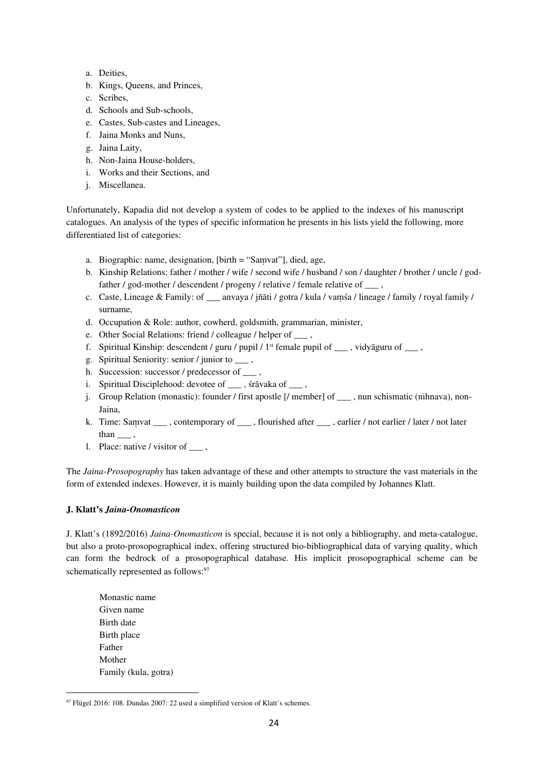- a. Deities,
- b. Kings, Queens, and Princes,
- c. Scribes,
- d. Schools and Sub-schools,
- e. Castes, Sub-castes and Lineages,
- f. Jaina Monks and Nuns,
- g. Jaina Laity,
- h. Non-Jaina House-holders,
- i. Works and their Sections, and
- j. Miscellanea.

Unfortunately, Kapadia did not develop a system of codes to be applied to the indexes of his manuscript catalogues. An analysis of the types of specific information he presents in his lists yield the following, more differentiated list of categories:

- a. Biographic: name, designation, [birth = "Saṃvat"], died, age,
- b. Kinship Relations: father / mother / wife / second wife / husband / son / daughter / brother / uncle / godfather / god-mother / descendent / progeny / relative / female relative of  $\_\_\$
- c. Caste, Lineage & Family: of \_\_\_ anvaya / jñāti / gotra / kula / vamśa / lineage / family / royal family / surname,
- d. Occupation & Role: author, cowherd, goldsmith, grammarian, minister,
- e. Other Social Relations: friend / colleague / helper of \_\_\_ ,
- f. Spiritual Kinship: descendent / guru / pupil / 1<sup>st</sup> female pupil of  $\_\_\_$ , vidyāguru of  $\_\_\_$ ,
- g. Spiritual Seniority: senior / junior to \_\_\_ ,
- h. Succession: successor / predecessor of \_\_\_ ,
- i. Spiritual Disciplehood: devotee of \_\_\_ , śrāvaka of \_\_\_ ,
- j. Group Relation (monastic): founder / first apostle [/ member] of \_\_\_ , nun schismatic (nihnava), non-Jaina,
- k. Time: Samvat \_\_\_\_, contemporary of \_\_\_\_, flourished after \_\_\_\_, earlier / not earlier / later / not later than .
- l. Place: native / visitor of \_\_\_ ,

The *Jaina-Prosopography* has taken advantage of these and other attempts to structure the vast materials in the form of extended indexes. However, it is mainly building upon the data compiled by Johannes Klatt.

# **J. Klatt's** *Jaina-Onomasticon*

J. Klatt's (1892/2016) *Jaina-Onomasticon* is special, because it is not only a bibliography, and meta-catalogue, but also a proto-prosopographical index, offering structured bio-bibliographical data of varying quality, which can form the bedrock of a prosopographical database. His implicit prosopographical scheme can be schematically represented as follows:<sup>[97](#page-23-0)</sup>

Monastic name Given name Birth date Birth place Father Mother Family (kula, gotra)

<span id="page-23-0"></span> $97$  Flügel 2016: 108. Dundas 2007: 22 used a simplified version of Klatt's schemes.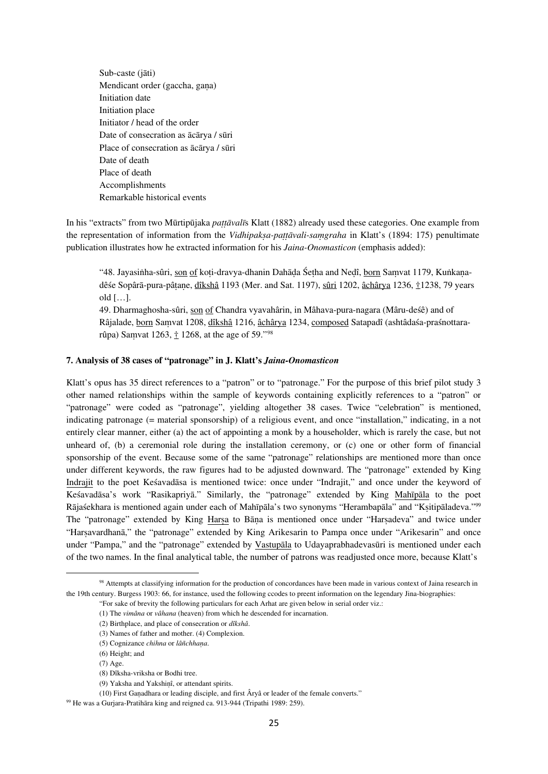Sub-caste (jāti) Mendicant order (gaccha, gana) Initiation date Initiation place Initiator / head of the order Date of consecration as ācārya / sūri Place of consecration as ācārya / sūri Date of death Place of death Accomplishments Remarkable historical events

In his "extracts" from two Mūrtipūjaka *paṭṭāvalī*s Klatt (1882) already used these categories. One example from the representation of information from the *Vidhipaksa-pattāvali-samgraha* in Klatt's (1894: 175) penultimate publication illustrates how he extracted information for his *Jaina-Onomasticon* (emphasis added):

"48. Jayasinha-sûri, son of koṭi-dravya-dhanin Dahāḍa Śeṭha and Neḍî, born Saṃvat 1179, Kuṅkaṇadêśe Sopârā-pura-pâtane, dîkshâ 1193 (Mer. and Sat. 1197), sûri 1202, âchârya 1236,  $\pm$ 1238, 79 years old […].

49. Dharmaghosha-sûri, son of Chandra vyavahârin, in Mâhava-pura-nagara (Mâru-deśê) and of Râjalade, born Saṃvat 1208, dîkshâ 1216, âchârya 1234, composed Satapadî (ashtâdaśa-praśnottararûpa) Samvat 1263,  $\pm$  1268, at the age of 59."<sup>[98](#page-24-0)</sup>

# **7. Analysis of 38 cases of "patronage" in J. Klatt's** *Jaina-Onomasticon*

Klatt's opus has 35 direct references to a "patron" or to "patronage." For the purpose of this brief pilot study 3 other named relationships within the sample of keywords containing explicitly references to a "patron" or "patronage" were coded as "patronage", yielding altogether 38 cases. Twice "celebration" is mentioned, indicating patronage (= material sponsorship) of a religious event, and once "installation," indicating, in a not entirely clear manner, either (a) the act of appointing a monk by a householder, which is rarely the case, but not unheard of, (b) a ceremonial role during the installation ceremony, or (c) one or other form of financial sponsorship of the event. Because some of the same "patronage" relationships are mentioned more than once under different keywords, the raw figures had to be adjusted downward. The "patronage" extended by King Indrajit to the poet Keśavadāsa is mentioned twice: once under "Indrajit," and once under the keyword of Keśavadāsa's work "Rasikapriyā." Similarly, the "patronage" extended by King Mahīpāla to the poet Rājaśekhara is mentioned again under each of Mahīpāla's two synonyms "Herambapāla" and "Kṣitipāladeva."[99](#page-24-1) The "patronage" extended by King Harsa to Bāna is mentioned once under "Harsadeva" and twice under "Harsavardhanā," the "patronage" extended by King Arikesarin to Pampa once under "Arikesarin" and once under "Pampa," and the "patronage" extended by Vastupāla to Udayaprabhadevasūri is mentioned under each of the two names. In the final analytical table, the number of patrons was readjusted once more, because Klatt's

<span id="page-24-0"></span><sup>&</sup>lt;sup>98</sup> Attempts at classifying information for the production of concordances have been made in various context of Jaina research in the 19th century. Burgess 1903: 66, for instance, used the following ccodes to preent information on the legendary Jina-biographies:

<sup>&</sup>quot;For sake of brevity the following particulars for each Arhat are given below in serial order viz.: (1) The *vimâna* or *vâhana* (heaven) from which he descended for incarnation.

<sup>(2)</sup> Birthplace, and place of consecration or *dîkshâ*.

<sup>(3)</sup> Names of father and mother. (4) Complexion.

<sup>(5)</sup> Cognizance *chihna* or *lâñchhaṇa*.

<sup>(6)</sup> Height; and

<sup>(7)</sup> Age.

<sup>(8)</sup> Dîksha-vriksha or Bodhi tree.

<sup>(9)</sup> Yaksha and Yakshiṇî, or attendant spirits.

<sup>(10)</sup> First Gaṇadhara or leading disciple, and first Âryâ or leader of the female converts."

<span id="page-24-1"></span><sup>99</sup> He was a Gurjara-Pratihāra king and reigned ca. 913-944 (Tripathi 1989: 259).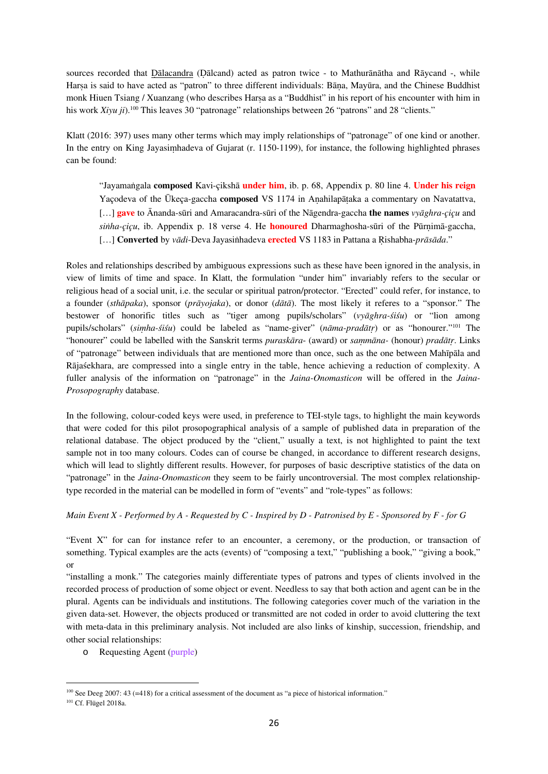sources recorded that Dālacandra (Dālcand) acted as patron twice - to Mathurānātha and Rāycand -, while Harsa is said to have acted as "patron" to three different individuals: Bāna, Mayūra, and the Chinese Buddhist monk Hiuen Tsiang / Xuanzang (who describes Harsa as a "Buddhist" in his report of his encounter with him in his work *Xiyu ji*).<sup>[100](#page-25-0)</sup> This leaves 30 "patronage" relationships between 26 "patrons" and 28 "clients."

Klatt (2016: 397) uses many other terms which may imply relationships of "patronage" of one kind or another. In the entry on King Jayasiṃhadeva of Gujarat (r. 1150-1199), for instance, the following highlighted phrases can be found:

"Jayamaṅgala **composed** Kavi-çikshā **under him**, ib. p. 68, Appendix p. 80 line 4. **Under his reign** Yacodeva of the Ūkeca-gaccha **composed** VS 1174 in Anahilapātaka a commentary on Navatattva, […] **gave** to Ānanda-sūri and Amaracandra-sūri of the Nāgendra-gaccha **the names** *vyāghra-çiçu* and *siṅha-çiçu*, ib. Appendix p. 18 verse 4. He **honoured** Dharmaghosha-sūri of the Pūrṇimā-gaccha, […] **Converted** by *vādi*-Deva Jayasiṅhadeva **erected** VS 1183 in Pattana a Ṛishabha-*prāsāda*."

Roles and relationships described by ambiguous expressions such as these have been ignored in the analysis, in view of limits of time and space. In Klatt, the formulation "under him" invariably refers to the secular or religious head of a social unit, i.e. the secular or spiritual patron/protector. "Erected" could refer, for instance, to a founder (*sthāpaka*), sponsor (*prāyojaka*), or donor (*dātā*). The most likely it referes to a "sponsor." The bestower of honorific titles such as "tiger among pupils/scholars" (*vyāghra-śiśu*) or "lion among pupils/scholars" (*siṃha-śiśu*) could be labeled as "name-giver" (*nāma-pradātṛ*) or as "honourer."[101](#page-25-1) The "honourer" could be labelled with the Sanskrit terms *puraskāra*- (award) or *saṃmāna-* (honour) *pradātṛ*. Links of "patronage" between individuals that are mentioned more than once, such as the one between Mahīpāla and Rājaśekhara, are compressed into a single entry in the table, hence achieving a reduction of complexity. A fuller analysis of the information on "patronage" in the *Jaina-Onomasticon* will be offered in the *Jaina-Prosopography* database.

In the following, colour-coded keys were used, in preference to TEI-style tags, to highlight the main keywords that were coded for this pilot prosopographical analysis of a sample of published data in preparation of the relational database. The object produced by the "client," usually a text, is not highlighted to paint the text sample not in too many colours. Codes can of course be changed, in accordance to different research designs, which will lead to slightly different results. However, for purposes of basic descriptive statistics of the data on "patronage" in the *Jaina-Onomasticon* they seem to be fairly uncontroversial. The most complex relationshiptype recorded in the material can be modelled in form of "events" and "role-types" as follows:

*Main Event X - Performed by A - Requested by C - Inspired by D - Patronised by E - Sponsored by F - for G* 

"Event X" for can for instance refer to an encounter, a ceremony, or the production, or transaction of something. Typical examples are the acts (events) of "composing a text," "publishing a book," "giving a book," or

"installing a monk." The categories mainly differentiate types of patrons and types of clients involved in the recorded process of production of some object or event. Needless to say that both action and agent can be in the plural. Agents can be individuals and institutions. The following categories cover much of the variation in the given data-set. However, the objects produced or transmitted are not coded in order to avoid cluttering the text with meta-data in this preliminary analysis. Not included are also links of kinship, succession, friendship, and other social relationships:

o Requesting Agent (purple)

<span id="page-25-0"></span><sup>&</sup>lt;sup>100</sup> See Deeg 2007: 43 (=418) for a critical assessment of the document as "a piece of historical information."

<span id="page-25-1"></span><sup>101</sup> Cf. Flügel 2018a.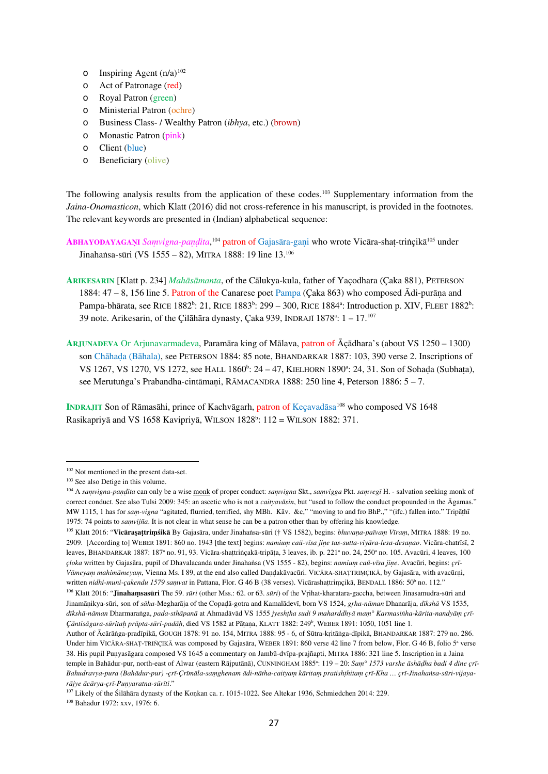- $\circ$  Inspiring Agent (n/a)<sup>[102](#page-26-0)</sup>
- o Act of Patronage (red)
- o Royal Patron (green)
- o Ministerial Patron (ochre)
- o Business Class- / Wealthy Patron (*ibhya*, etc.) (brown)
- o Monastic Patron (pink)
- o Client (blue)
- o Beneficiary (olive)

The following analysis results from the application of these codes.<sup>[103](#page-26-1)</sup> Supplementary information from the *Jaina-Onomasticon*, which Klatt (2016) did not cross-reference in his manuscript, is provided in the footnotes. The relevant keywords are presented in (Indian) alphabetical sequence:

**ABHAYODAYAGAṆI** *Saṃvigna-paṇḍita*, [104](#page-26-2) patron of Gajasāra-gaṇi who wrote Vicāra-shaṭ-triṅçikā[105](#page-26-3) under Jinahaṅsa-sūri (VS 1555 – 82), MITRA 1888: 19 line 13.[106](#page-26-4)

- **ARIKESARIN** [Klatt p. 234] *Mahāsāmanta*, of the Cālukya-kula, father of Yaçodhara (Çaka 881), PETERSON 1884: 47 – 8, 156 line 5. Patron of the Canarese poet Pampa (Çaka 863) who composed Ādi-purāṇa and Pampa-bhārata, see RICE 1882<sup>b</sup>: 21, RICE 1883<sup>b</sup>: 299 – 300, RICE 1884<sup>a</sup>: Introduction p. XIV, FLEET 1882<sup>b</sup>: 39 note. Arikesarin, of the Çilāhāra dynasty, Çaka 939, INDRAJĪ  $1878^\circ$ :  $1 - 17$ .<sup>[107](#page-26-5)</sup>
- **ARJUNADEVA** Or Arjunavarmadeva, Paramāra king of Mālava, patron of Āçādhara's (about VS 1250 1300) son Chāhaḍa (Bāhala), see PETERSON 1884: 85 note, BHANDARKAR 1887: 103, 390 verse 2. Inscriptions of VS 1267, VS 1270, VS 1272, see HALL 1860<sup>b</sup>: 24 – 47, KIELHORN 1890<sup>a</sup>: 24, 31. Son of Sohaḍa (Subhaṭa), see Merutuṅga's Prabandha-cintāmaṇi, RĀMACANDRA 1888: 250 line 4, Peterson 1886: 5 – 7.

**INDRAJIT** Son of Rāmasāhi, prince of Kachvāgarh, patron of Keçavadāsa<sup>[108](#page-26-6)</sup> who composed VS 1648 Rasikapriyā and VS 1658 Kavipriyā, WILSON 1828<sup>b</sup>:  $112 = WILSON$  1882: 371.

<span id="page-26-6"></span><sup>108</sup> Bahadur 1972: xxv, 1976: 6.

<span id="page-26-0"></span><sup>&</sup>lt;sup>102</sup> Not mentioned in the present data-set.<br><sup>103</sup> See also Detige in this volume.

<span id="page-26-2"></span><span id="page-26-1"></span><sup>104</sup> A *saṃvigna-paṇḍita* can only be a wise monk of proper conduct: *saṃvigna* Skt., *saṃvigga* Pkt. *saṃvegī* H. - salvation seeking monk of correct conduct. See also Tulsi 2009: 345: an ascetic who is not a *caityavāsin*, but "used to follow the conduct propounded in the Āgamas." MW 1115, 1 has for *saṃ-vigna* "agitated, flurried, terrified, shy MBh. Kāv. &c," "moving to and fro BhP.," "(ifc.) fallen into." Tripāṭhī 1975: 74 points to *saṃvijña*. It is not clear in what sense he can be a patron other than by offering his knowledge.

<span id="page-26-3"></span><sup>105</sup> Klatt 2016: "**Vicāraṣaṭtriṃśikā** By Gajasāra, under Jinahaṅsa-sūri († VS 1582), begins: *bhuvaṇa-paīvaṃ Vīraṃ*, MITRA 1888: 19 no. 2909. [According to] WEBER 1891: 860 no. 1943 [the text] begins: *namiuṃ caü-vīsa jiṇe tas-sutta-viyāra-lesa-desaṇao*. Vicāra-chatrīsī, 2 leaves, BHANDARKAR 1887: 187<sup>a</sup> no. 91, 93. Vicāra-shattriṅcakā-tripāta, 3 leaves, ib. p. 221<sup>a</sup> no. 24, 250<sup>a</sup> no. 105. Avacūri, 4 leaves, 100 *çloka* written by Gajasāra, pupil of Dhavalacanda under Jinahaṅsa (VS 1555 - 82), begins: *namiuṃ caü-vīsa jiṇe*. Avacūri, begins: *çrī-*Vāmeyam mahimāmeyam, Vienna Ms. I 89, at the end also called Dandakāvacūri. VICĀRA-SHATTRIMÇIKĀ, by Gajasāra, with avacūrni, written *nidhi-muni-çakendu 1579 saṃvat* in Pattana, Flor. G 46 B (38 verses). Vicārashaṭtriṃçikā, BENDALL 1886: 50b no. 112."

<span id="page-26-4"></span><sup>106</sup> Klatt 2016: "**Jinahaṃsasūri** The 59. *sūri* (other Mss.: 62. or 63. *sūri*) of the Vṛihat-kharatara-gaccha, between Jinasamudra-sūri and Jinamāṇikya-sūri, son of *sāha*-Megharāja of the Copaḍā-gotra and Kamalādevī, born VS 1524, *gṛha-nāman* Dhanarāja, *dīkshā* VS 1535, *dīkshā-nāman* Dharmaraṅga, *pada-sthāpanā* at Ahmadāvād VS 1555 *jyeshṭha sudi 9 maharddhyā maṃ° Karmasiṅha-kārita-nandyāṃ çrī-Çāntisāgara-sūritaḥ prāpta-sūri-padāḥ*, died VS 1582 at Pāṭaṇa, KLATT 1882: 249b , WEBER 1891: 1050, 1051 line 1.

Author of Ācārāṅga-pradīpikā, GOUGH 1878: 91 no. 154, MITRA 1888: 95 - 6, of Sūtra-kṛitāṅga-dīpikā, BHANDARKAR 1887: 279 no. 286. Under him VICĀRA-SHAṬ-TRIŇÇIKĀ was composed by Gajasāra, WEBER 1891: 860 verse 42 line 7 from below, Flor. G 46 B, folio 5<sup>a</sup> verse 38. His pupil Puṇyasāgara composed VS 1645 a commentary on Jambū-dvīpa-prajñapti, MITRA 1886: 321 line 5. Inscription in a Jaina temple in Bahādur-pur, north-east of Alwar (eastern Rājputānā), CUNNINGHAM 1885<sup>a</sup>: 119 – 20: Sam° 1573 varshe āshāḍha badi 4 dine çrī-*Bahudravya-pura (Bahādur-pur) -çrī-Çrīmāla-saṃghenam ādi-nātha-caityaṃ kāritaṃ pratishṭhitaṃ çrī-Kha … çrī-Jinahaṅsa-sūri-vijayarājye ācārya-çrī-Puṇyaratna-sūrīti*."

<span id="page-26-5"></span><sup>&</sup>lt;sup>107</sup> Likely of the Śilāhāra dynasty of the Konkan ca. r. 1015-1022. See Altekar 1936, Schmiedchen 2014: 229.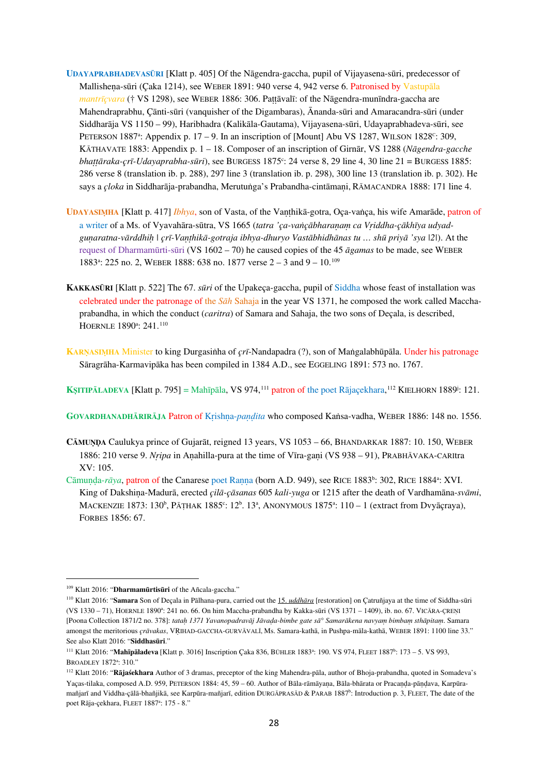- **UDAYAPRABHADEVASŪRI** [Klatt p. 405] Of the Nāgendra-gaccha, pupil of Vijayasena-sūri, predecessor of Mallisheṇa-sūri (Çaka 1214), see WEBER 1891: 940 verse 4, 942 verse 6. Patronised by Vastupāla *mantrīçvara* († VS 1298), see WEBER 1886: 306. Paṭṭāvalī: of the Nāgendra-munīndra-gaccha are Mahendraprabhu, Çānti-sūri (vanquisher of the Digambaras), Ānanda-sūri and Amaracandra-sūri (under Siddharāja VS 1150 – 99), Haribhadra (Kalikāla-Gautama), Vijayasena-sūri, Udayaprabhadeva-sūri, see PETERSON 1887<sup>a</sup>: Appendix p. 17 – 9. In an inscription of [Mount] Abu VS 1287, WILSON 1828<sup>c</sup>: 309, KĀTHAVATE 1883: Appendix p. 1 – 18. Composer of an inscription of Girnār, VS 1288 (*Nāgendra-gacche bhaṭṭāraka-çrī-Udayaprabha-sūri*), see BURGESS 1875<sup>c</sup>: 24 verse 8, 29 line 4, 30 line 21 = BURGESS 1885: 286 verse 8 (translation ib. p. 288), 297 line 3 (translation ib. p. 298), 300 line 13 (translation ib. p. 302). He says a *çloka* in Siddharāja-prabandha, Merutuṅga's Prabandha-cintāmaṇi, RĀMACANDRA 1888: 171 line 4.
- **UDAYASIṂHA** [Klatt p. 417] *Ibhya*, son of Vasta, of the Vaṇṭhikā-gotra, Oça-vaṅça, his wife Amarāde, patron of a writer of a Ms. of Vyavahāra-sūtra, VS 1665 (*tatra 'ça-vaṅçābharaṇaṃ ca Vṛiddha-çākhīya udyadguṇaratna-vārddhiḥ | çrī-Vaṇṭhikā-gotraja ibhya-dhuryo Vastābhidhānas tu … shū priyā 'sya |2|*). At the request of Dharmamūrti-sūri (VS 1602 – 70) he caused copies of the 45 *āgamas* to be made, see WEBER 1883<sup>a</sup>: 225 no. 2, WEBER 1888: 638 no. 1877 verse 2 – 3 and 9 – 10.<sup>[109](#page-27-0)</sup>
- **KAKKASŪRI** [Klatt p. 522] The 67. *sūri* of the Upakeça-gaccha, pupil of Siddha whose feast of installation was celebrated under the patronage of the *Sāh* Sahaja in the year VS 1371, he composed the work called Macchaprabandha, in which the conduct (*caritra*) of Samara and Sahaja, the two sons of Deçala, is described, HOERNLE 1890<sup>a</sup>: 241.<sup>[110](#page-27-1)</sup>
- **KARṆASIṂHA** Minister to king Durgasiṅha of *çrī*-Nandapadra (?), son of Maṅgalabhūpāla. Under his patronage Sāragrāha-Karmavipāka has been compiled in 1384 A.D., see EGGELING 1891: 573 no. 1767.

KŞITIPĀLADEVA [Klatt p. 795] = Mahīpāla, VS 974,<sup>[111](#page-27-2)</sup> patron of the poet Rājaçekhara,<sup>112</sup> KIELHORN 1889<sup>j</sup>: 121.

**GOVARDHANADHĀRIRĀJA** Patron of Kṛishṇa-*paṇḍita* who composed Kaṅsa-vadha, WEBER 1886: 148 no. 1556.

- **CĀMUṆḌA** Caulukya prince of Gujarāt, reigned 13 years, VS 1053 66, BHANDARKAR 1887: 10. 150, WEBER 1886: 210 verse 9. *Nṛipa* in Aṇahilla-pura at the time of Vīra-gaṇi (VS 938 – 91), PRABHĀVAKA-CARItra XV: 105.
- Cāmuṇḍa-*rāya*, patron of the Canarese poet Raṇṇa (born A.D. 949), see RICE 1883<sup>b</sup>: 302, RICE 1884<sup>a</sup>: XVI. King of Dakshiṇa-Madurā, erected *çilā-çāsanas* 605 *kali-yuga* or 1215 after the death of Vardhamāna-*svāmi*, MACKENZIE 1873: 130<sup>b</sup>, PĀȚHAK 1885<sup>c</sup>: 12<sup>b</sup>. 13<sup>a</sup>, ANONYMOUS 1875<sup>a</sup>: 110 – 1 (extract from Dvyāçraya), FORBES 1856: 67.

<span id="page-27-0"></span><sup>109</sup> Klatt 2016: "**Dharmamūrtisūri** of the Añcala-gaccha."

<span id="page-27-1"></span><sup>110</sup> Klatt 2016: "**Samara** Son of Deçala in Pālhana-pura, carried out the 15. *uddhāra* [restoration] on Çatruñjaya at the time of Siddha-sūri (VS 1330 - 71), HOERNLE 1890<sup>a</sup>: 241 no. 66. On him Maccha-prabandha by Kakka-sūri (VS 1371 - 1409), ib. no. 67. VICĀRA-ÇREŅI [Poona Collection 1871/2 no. 378]: *tataḥ 1371 Yavanopadravāj Jāvaḍa-bimbe gate sā° Samarākena navyaṃ bimbaṃ sthāpitaṃ*. Samara amongst the meritorious *çrāvakas*, VṚIHAD-GACCHA-GURVĀVALĪ, Ms. Samara-kathā, in Pushpa-māla-kathā, WEBER 1891: 1100 line 33." See also Klatt 2016: "**Siddhasūri**."

<span id="page-27-2"></span><sup>&</sup>lt;sup>111</sup> Klatt 2016: "Mahīpāladeva [Klatt p. 3016] Inscription Çaka 836, BÜHLER 1883<sup>a</sup>: 190. VS 974, FLEET 1887<sup>b</sup>: 173 - 5. VS 993, BROADLEY 1872<sup>a</sup>: 310."

<span id="page-27-3"></span><sup>112</sup> Klatt 2016: "**Rājaśekhara** Author of 3 dramas, preceptor of the king Mahendra-pāla, author of Bhoja-prabandha, quoted in Somadeva's Yaças-tilaka, composed A.D. 959, PETERSON 1884: 45, 59 – 60. Author of Bāla-rāmāyaṇa, Bāla-bhārata or Pracaṇḍa-pāṇḍava, Karpūramañjarī and Viddha-çālā-bhañjikā, see Karpūra-mañjarī, edition DURGĀPRASĀD & PARAB 1887<sup>b</sup>: Introduction p. 3, FLEET, The date of the poet Rāja-çekhara, FLEET 1887<sup>a</sup>: 175 - 8."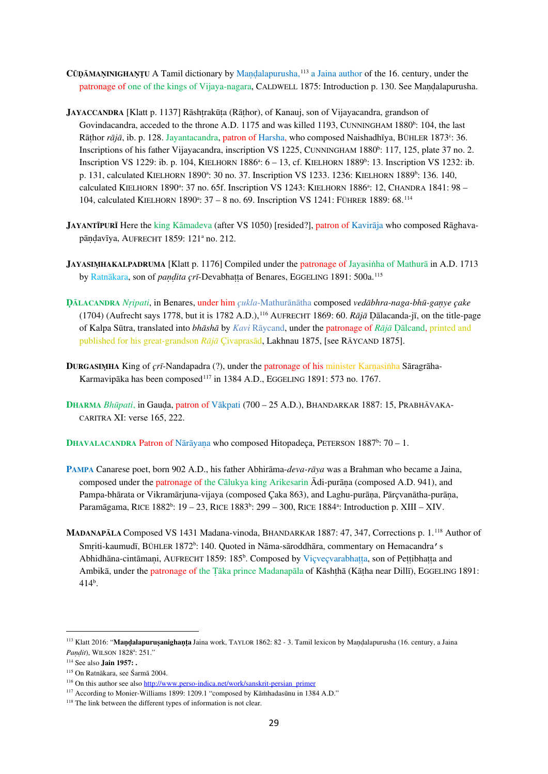- **CŪḌĀMAṆINIGHAṆṬU** A Tamil dictionary by Maṇḍalapurusha,[113](#page-28-0) a Jaina author of the 16. century, under the patronage of one of the kings of Vijaya-nagara, CALDWELL 1875: Introduction p. 130. See Mandalapurusha.
- **JAYACCANDRA** [Klatt p. 1137] Rāshtrakūta (Rāthor), of Kanauj, son of Vijayacandra, grandson of Govindacandra, acceded to the throne A.D. 1175 and was killed 1193, CUNNINGHAM 1880<sup>b</sup>: 104, the last Rāṭhor *rājā*, ib. p. 128. Jayantacandra, patron of Harsha, who composed Naishadhīya, BÜHLER 1873<sup>c</sup>: 36. Inscriptions of his father Vijayacandra, inscription VS 1225, CUNNINGHAM 1880<sup>b</sup>: 117, 125, plate 37 no. 2. Inscription VS 1229: ib. p. 104, KIELHORN 1886<sup>a</sup>: 6 – 13, cf. KIELHORN 1889<sup>b</sup>: 13. Inscription VS 1232: ib. p. 131, calculated KIELHORN 1890<sup>a</sup>: 30 no. 37. Inscription VS 1233. 1236: KIELHORN 1889<sup>b</sup>: 136. 140, calculated KIELHORN 1890<sup>a</sup>: 37 no. 65f. Inscription VS 1243: KIELHORN 1886<sup>a</sup>: 12, CHANDRA 1841: 98 – 104, calculated KIELHORN 1890<sup>a</sup>: 37 - 8 no. 69. Inscription VS 1241: FÜHRER 1889: 68.<sup>[114](#page-28-1)</sup>
- **JAYANTĪPURĪ** Here the king Kāmadeva (after VS 1050) [resided?], patron of Kavirāja who composed Rāghavapāṇḍavīya, AUFRECHT 1859: 121a no. 212.
- **JAYASIMHAKALPADRUMA** [Klatt p. 1176] Compiled under the patronage of Jayasinha of Mathurā in A.D. 1713 by Ratnākara, son of *pandita çrī*-Devabhatta of Benares, EGGELING 1891: 500a.<sup>[115](#page-28-2)</sup>
- **ḌĀLACANDRA** *Nṛipati*, in Benares, under him *çukla*-Mathurānātha composed *vedābhra-naga-bhū-gaṇye çake* (1704) (Aufrecht says 1778, but it is 1782 A.D.),[116](#page-28-3) AUFRECHT 1869: 60. *Rājā* Ḍālacanda-jī, on the title-page of Kalpa Sūtra, translated into *bhāshā* by *Kavi* Rāycand, under the patronage of *Rājā* Ḍālcand, printed and published for his great-grandson *Rājā* Çivaprasād, Lakhnau 1875, [see RĀYCAND 1875].
- **DURGASIṂHA** King of *çrī*-Nandapadra (?), under the patronage of his minister Karṇasiṅha Sāragrāha-Karmavipāka has been composed<sup>[117](#page-28-4)</sup> in 1384 A.D., EGGELING 1891: 573 no. 1767.
- **DHARMA** *Bhūpati*, in Gauḍa, patron of Vākpati (700 25 A.D.), BHANDARKAR 1887: 15, PRABHĀVAKA-CARITRA XI: verse 165, 222.

**DHAVALACANDRA Patron of Nārāyaṇa who composed Hitopadeça, PETERSON 1887<sup>b</sup>: 70 - 1.** 

- **PAMPA** Canarese poet, born 902 A.D., his father Abhirāma-*deva-rāya* was a Brahman who became a Jaina, composed under the patronage of the Cālukya king Arikesarin Ādi-purāṇa (composed A.D. 941), and Pampa-bhārata or Vikramārjuna-vijaya (composed Çaka 863), and Laghu-purāṇa, Pārçvanātha-purāṇa, Paramāgama, RICE 1882<sup>b</sup>: 19 – 23, RICE 1883<sup>b</sup>: 299 – 300, RICE 1884<sup>a</sup>: Introduction p. XIII – XIV.
- **MADANAPĀLA** Composed VS 1431 Madana-vinoda, BHANDARKAR 1887: 47, 347, Corrections p. 1.[118](#page-28-5) Author of Smṛiti-kaumudī, BÜHLER 1872<sup>b</sup>: 140. Quoted in Nāma-sāroddhāra, commentary on Hemacandra's Abhidhāna-cintāmaṇi, AUFRECHT 1859: 185b . Composed by Viçveçvarabhaṭṭa, son of Peṭṭibhaṭṭa and Ambikā, under the patronage of the Ṭāka prince Madanapāla of Kāshṭhā (Kāṭha near Dillī), EGGELING 1891: 414b .

<span id="page-28-0"></span><sup>113</sup> Klatt 2016: "**Maṇḍalapuruṣanighaṇṭa** Jaina work, TAYLOR 1862: 82 - 3. Tamil lexicon by Maṇḍalapurusha (16. century, a Jaina Pandit), WILSON 1828<sup>a</sup>: 251."

<span id="page-28-1"></span><sup>114</sup> See also **Jain 1957: .**

<span id="page-28-2"></span><sup>115</sup> On Ratnākara, see Śarmā 2004.

<span id="page-28-4"></span><span id="page-28-3"></span><sup>&</sup>lt;sup>116</sup> On this author see also  $\frac{http://www.perso-indica.net/work/sanskrit-persian-primer}{\text{200}}$ <br><sup>117</sup> According to Monier-Williams 1899: 1209.1 "composed by Kāmhadasūnu in 1384 A.D."<br><sup>118</sup> The link between the different types of information is not clear.

<span id="page-28-5"></span>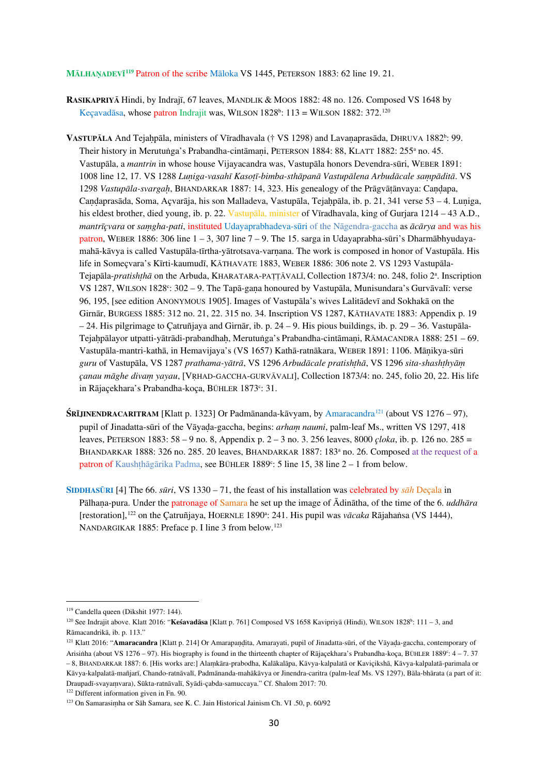**MĀLHAṆADEVĪ[119](#page-29-0)** Patron of the scribe Māloka VS 1445, PETERSON 1883: 62 line 19. 21.

**RASIKAPRIYĀ** Hindi, by Indrajī, 67 leaves, MANDLIK & MOOS 1882: 48 no. 126. Composed VS 1648 by Keçavadāsa, whose patron Indrajit was, WILSON  $1828^b$ : 113 = WILSON 1882: 372.<sup>[120](#page-29-1)</sup>

VASTUPĀLA And Tejaḥpāla, ministers of Vīradhavala († VS 1298) and Lavaṇaprasāda, DHRUVA 1882<sup>b</sup>: 99. Their history in Merutuṅga's Prabandha-cintāmani, PETERSON 1884: 88, KLATT 1882: 255<sup>a</sup> no. 45. Vastupāla, a *mantrin* in whose house Vijayacandra was, Vastupāla honors Devendra-sūri, WEBER 1891: 1008 line 12, 17. VS 1288 *Luṇiga-vasahī Kasoṭī-bimba-sthāpanā Vastupālena Arbudācale saṃpāditā*. VS 1298 *Vastupāla-svargaḥ*, BHANDARKAR 1887: 14, 323. His genealogy of the Prāgvāṭānvaya: Caṇḍapa, Caṇḍaprasāda, Soma, Açvarāja, his son Malladeva, Vastupāla, Tejaḥpāla, ib. p. 21, 341 verse 53 – 4. Luṇiga, his eldest brother, died young, ib. p. 22. Vastupāla, minister of Vīradhavala, king of Gurjara 1214 – 43 A.D., *mantrīçvara* or *saṃgha-pati*, instituted Udayaprabhadeva-sūri of the Nāgendra-gaccha as *ācārya* and was his patron, WEBER 1886: 306 line 1 – 3, 307 line 7 – 9. The 15. sarga in Udayaprabha-sūri's Dharmābhyudayamahā-kāvya is called Vastupāla-tīrtha-yātrotsava-varṇana. The work is composed in honor of Vastupāla. His life in Someçvara's Kīrti-kaumudī, KĀTHAVATE 1883, WEBER 1886: 306 note 2. VS 1293 Vastupāla-Tejapāla-*pratishṭhā* on the Arbuda, KHARATARA-PAȚȚĀVALĪ, Collection 1873/4: no. 248, folio 2<sup>a</sup>. Inscription VS 1287, WILSON 1828<sup>c</sup>: 302 - 9. The Tapā-gaṇa honoured by Vastupāla, Munisundara's Gurvāvalī: verse 96, 195, [see edition ANONYMOUS 1905]. Images of Vastupāla's wives Lalitādevī and Sokhakā on the Girnār, BURGESS 1885: 312 no. 21, 22. 315 no. 34. Inscription VS 1287, KĀTHAVATE 1883: Appendix p. 19 – 24. His pilgrimage to Çatruñjaya and Girnār, ib. p. 24 – 9. His pious buildings, ib. p. 29 – 36. Vastupāla-Tejahpālayor utpatti-yātrādi-prabandhah, Merutuṅga's Prabandha-cintāmani, RĀMACANDRA 1888: 251 – 69. Vastupāla-mantri-kathā, in Hemavijaya's (VS 1657) Kathā-ratnākara, WEBER 1891: 1106. Māṇikya-sūri *guru* of Vastupāla, VS 1287 *prathama-yātrā*, VS 1296 *Arbudācale pratishṭhā*, VS 1296 *sita-shashṭhyāṃ çanau māghe divaṃ yayau*, [VṚHAD-GACCHA-GURVĀVALI], Collection 1873/4: no. 245, folio 20, 22. His life in Rājaçekhara's Prabandha-koça, BÜHLER 1873<sup>c</sup>: 31.

- **ŚRĪJINENDRACARITRAM** [Klatt p. 1323] Or Padmānanda-kāvyam, by Amaracandra<sup>[121](#page-29-2)</sup> (about VS 1276 97), pupil of Jinadatta-sūri of the Vāyaḍa-gaccha, begins: *arhaṃ naumi*, palm-leaf Ms., written VS 1297, 418 leaves, PETERSON 1883: 58 – 9 no. 8, Appendix p. 2 – 3 no. 3. 256 leaves, 8000 *çloka*, ib. p. 126 no. 285 = BHANDARKAR 1888: 326 no. 285. 20 leaves, BHANDARKAR 1887: 183<sup>a</sup> no. 26. Composed at the request of a patron of Kaushthāgārika Padma, see BÜHLER 1889<sup>c</sup>: 5 line 15, 38 line 2 – 1 from below.
- **SIDDHASŪRI** [4] The 66. *sūri*, VS 1330 71, the feast of his installation was celebrated by *sāh* Deçala in Pālhaṇa-pura. Under the patronage of Samara he set up the image of Ādinātha, of the time of the 6. *uddhāra* [restoration],<sup>[122](#page-29-3)</sup> on the Çatruñjaya, HOERNLE 1890<sup>a</sup>: 241. His pupil was *vācaka* Rājahaṅsa (VS 1444), NANDARGIKAR 1885: Preface p. I line 3 from below.<sup>[123](#page-29-4)</sup>

<span id="page-29-0"></span><sup>119</sup> Candella queen (Dikshit 1977: 144).

<span id="page-29-1"></span><sup>&</sup>lt;sup>120</sup> See Indrajit above. Klatt 2016: "Ke**śavadāsa** [Klatt p. 761] Composed VS 1658 Kavipriyā (Hindi), WILSON 1828<sup>b</sup>: 111 – 3, and Rāmacandrikā, ib. p. 113."

<span id="page-29-2"></span><sup>&</sup>lt;sup>121</sup> Klatt 2016: "**Amaracandra** [Klatt p. 214] Or Amarapaṇḍita, Amarayati, pupil of Jinadatta-sūri, of the Vāyaḍa-gaccha, contemporary of Arisinha (about VS 1276 – 97). His biography is found in the thirteenth chapter of Rājaçekhara's Prabandha-koça, BÜHLER 1889°: 4 – 7. 37 – 8, BHANDARKAR 1887: 6. [His works are:] Alaṃkāra-prabodha, Kalākalāpa, Kāvya-kalpalatā or Kaviçikshā, Kāvya-kalpalatā-parimala or Kāvya-kalpalatā-mañjarī, Chando-ratnāvalī, Padmānanda-mahākāvya or Jinendra-caritra (palm-leaf Ms. VS 1297), Bāla-bhārata (a part of it: Draupadī-svayaṃvara), Sūkta-ratnāvalī, Syādi-çabda-samuccaya." Cf. Shalom 2017: 70.

<span id="page-29-3"></span><sup>&</sup>lt;sup>122</sup> Different information given in Fn. 90.

<span id="page-29-4"></span><sup>123</sup> On Samarasiṃha or Sāh Samara, see K. C. Jain Historical Jainism Ch. VI .50, p. 60/92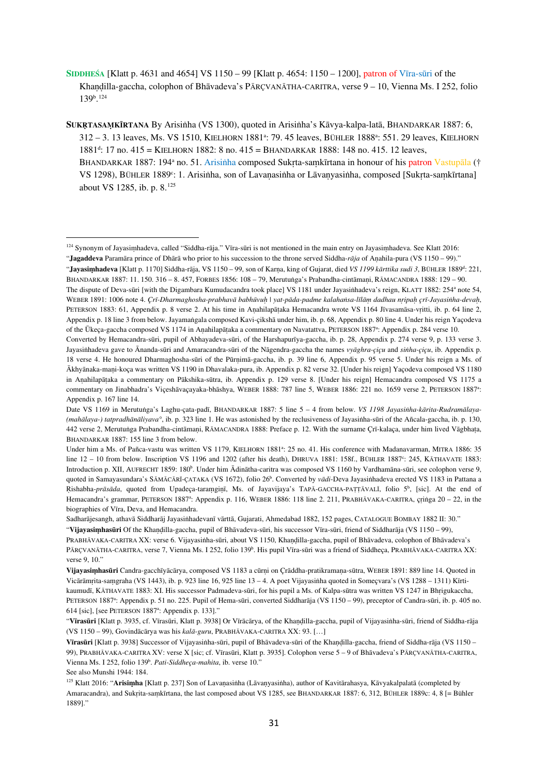- **SIDDHEŚA** [Klatt p. 4631 and 4654] VS 1150 99 [Klatt p. 4654: 1150 1200], patron of Vīra-sūri of the Khandilla-gaccha, colophon of Bhāvadeva's PĀRÇVANĀTHA-CARITRA, verse 9 – 10, Vienna Ms. I 252, folio 139b . [124](#page-30-0)
- **SUKṚTASAṂKĪRTANA** By Arisiṅha (VS 1300), quoted in Arisiṅha's Kāvya-kalpa-latā, BHANDARKAR 1887: 6, 312 - 3. 13 leaves, Ms. VS 1510, KIELHORN 1881<sup>a</sup>: 79. 45 leaves, BÜHLER 1888<sup>a</sup>: 551. 29 leaves, KIELHORN 1881d : 17 no. 415 = KIELHORN 1882: 8 no. 415 = BHANDARKAR 1888: 148 no. 415. 12 leaves, BHANDARKAR 1887: 194<sup>a</sup> no. 51. Arisinha composed Sukrta-samkīrtana in honour of his patron Vastupāla († VS 1298), BÜHLER 1889<sup>c</sup>: 1. Arisiṅha, son of Lavaṇasiṅha or Lāvaṇyasiṅha, composed [Sukṛta-saṃkīrtana] about VS 1285, ib. p. 8.[125](#page-30-1)

<span id="page-30-0"></span><sup>124</sup> Synonym of Jayasiṃhadeva, called "Siddha-rāja." Vīra-sūri is not mentioned in the main entry on Jayasiṃhadeva. See Klatt 2016:

<sup>&</sup>quot;**Jagaddeva** Paramāra prince of Dhārā who prior to his succession to the throne served Siddha-*rāja* of Aṇahila-pura (VS 1150 – 99)."

<sup>&</sup>quot;**Jayasiṃhadeva** [Klatt p. 1170] Siddha-rāja, VS 1150 – 99, son of Karṇa, king of Gujarat, died *VS 1199 kārttika sudi 3*, BÜHLER 1889d : 221, BHANDARKAR 1887: 11. 150. 316 – 8. 457, FORBES 1856: 108 – 79, Merutuṅga's Prabandha-cintāmaṇi, RĀMACANDRA 1888: 129 – 90.

The dispute of Deva-sūri [with the Digambara Kumudacandra took place] VS 1181 under Jayasiṅhadeva's reign, KLATT 1882: 254a note 54, WEBER 1891: 1006 note 4. *Çrī-Dharmaghosha-prabhavā babhūvuḥ | yat-pāda-padme kalahaṅsa-līlāṃ dadhau nṛipaḥ çrī-Jayasiṅha-devaḥ*, PETERSON 1883: 61, Appendix p. 8 verse 2. At his time in Anahilapātaka Hemacandra wrote VS 1164 Jīvasamāsa-vritti, ib. p. 64 line 2, Appendix p. 18 line 3 from below. Jayamaṅgala composed Kavi-çikshā under him, ib. p. 68, Appendix p. 80 line 4. Under his reign Yaçodeva of the Ūkeça-gaccha composed VS 1174 in Aṇahilapāṭaka a commentary on Navatattva, PETERSON 1887<sup>a</sup>: Appendix p. 284 verse 10.

Converted by Hemacandra-sūri, pupil of Abhayadeva-sūri, of the Harshapurīya-gaccha, ib. p. 28, Appendix p. 274 verse 9, p. 133 verse 3. Jayasiṅhadeva gave to Ānanda-sūri and Amaracandra-sūri of the Nāgendra-gaccha the names *vyāghra-çiçu* and *siṅha-çiçu*, ib. Appendix p. 18 verse 4. He honoured Dharmaghosha-sūri of the Pūrṇimā-gaccha, ib. p. 39 line 6, Appendix p. 95 verse 5. Under his reign a Ms. of Ākhyānaka-maṇi-koça was written VS 1190 in Dhavalaka-pura, ib. Appendix p. 82 verse 32. [Under his reign] Yaçodeva composed VS 1180 in Anahilapātaka a commentary on Pākshika-sūtra, ib. Appendix p. 129 verse 8. [Under his reign] Hemacandra composed VS 1175 a commentary on Jinabhadra's Viçeshāvaçayaka-bhāshya, WEBER 1888: 787 line 5, WEBER 1886: 221 no. 1659 verse 2, PETERSON 1887<sup>a</sup>: Appendix p. 167 line 14.

Date VS 1169 in Merutuṅga's Laghu-çata-padī, BHANDARKAR 1887: 5 line 5 – 4 from below. *VS 1198 Jayasiṅha-kārita-Rudramālaya- (mahālaya-) tatpradhānāliyava°*, ib. p. 323 line 1. He was astonished by the reclusiveness of Jayasiṅha-sūri of the Añcala-gaccha, ib. p. 130, 442 verse 2, Merutuṅga Prabandha-cintāmaṇi, RĀMACANDRA 1888: Preface p. 12. With the surname Çrī-kalaça, under him lived Vāgbhaṭa, BHANDARKAR 1887: 155 line 3 from below.

Under him a Ms. of Pañca-vastu was written VS 1179, KIELHORN 1881<sup>a</sup>: 25 no. 41. His conference with Madanavarman, MITRA 1886: 35 line 12 - 10 from below. Inscription VS 1196 and 1202 (after his death), DHRUVA 1881: 158f., BÜHLER 1887<sup>c</sup>: 245, KĀTHAVATE 1883: Introduction p. XII, AUFRECHT 1859: 180<sup>b</sup>. Under him Ādinātha-caritra was composed VS 1160 by Vardhamāna-sūri, see colophon verse 9, quoted in Samayasundara's SĀMĀCĀRĪ-ÇATAKA (VS 1672), folio 26<sup>b</sup>. Converted by *vādi*-Deva Jayasiñhadeva erected VS 1183 in Pattana a Rishabha-*prāsāda*, quoted from Upadeça-taramgiņī, Ms. of Jayavijaya's TAPĀ-GACCHA-PAȚȚĀVALĪ, folio 5<sup>b</sup>, [sic]. At the end of Hemacandra's grammar, PETERSON 1887<sup>a</sup>: Appendix p. 116, WEBER 1886: 118 line 2. 211, PRABHĀVAKA-CARITRA, çŗiṅga 20 – 22, in the biographies of Vīra, Deva, and Hemacandra.

Sadharājesangh, athavā Siddharāj Jayasiṅhadevanī vārttā, Gujarati, Ahmedabad 1882, 152 pages, CATALOGUE BOMBAY 1882 II: 30." "Vijayasimhasūri Of the Khandilla-gaccha, pupil of Bhāvadeva-sūri, his successor Vīra-sūri, friend of Siddharāja (VS 1150 – 99),

PRABHĀVAKA-CARITRA XX: verse 6. Vijayasiṅha-sūri, about VS 1150, Khandilla-gaccha, pupil of Bhāvadeva, colophon of Bhāvadeva's PĀRÇVANĀTHA-CARITRA, verse 7, Vienna Ms. I 252, folio 139<sup>b</sup>. His pupil Vīra-sūri was a friend of Siddheça, PRABHĀVAKA-CARITRA XX: verse 9, 10."

**Vijayasiṃhasūri** Candra-gacchīyācārya, composed VS 1183 a cūrṇi on Çrāddha-pratikramaṇa-sūtra, WEBER 1891: 889 line 14. Quoted in Vicārāmṛita-saṃgraha (VS 1443), ib. p. 923 line 16, 925 line 13 – 4. A poet Vijayasiṅha quoted in Someçvara's (VS 1288 – 1311) Kīrtikaumudī, KĀTHAVATE 1883: XI. His successor Padmadeva-sūri, for his pupil a Ms. of Kalpa-sūtra was written VS 1247 in Bhrigukaccha, PETERSON 1887<sup>a</sup>: Appendix p. 51 no. 225. Pupil of Hema-sūri, converted Siddharāja (VS 1150 – 99), preceptor of Candra-sūri, ib. p. 405 no. 614 [sic], [see PETERSON 1887<sup>a</sup>: Appendix p. 133]."

<sup>&</sup>quot;**Vīrasūri** [Klatt p. 3935, cf. Vīrasūri, Klatt p. 3938] Or Vīrācārya, of the Khaṇḍilla-gaccha, pupil of Vijayasiṅha-sūri, friend of Siddha-rāja (VS 1150 – 99), Govindācārya was his *kalā-guru*, PRABHĀVAKA-CARITRA XX: 93. […]

**Vīrasūri** [Klatt p. 3938] Successor of Vijayasiṅha-sūri, pupil of Bhāvadeva-sūri of the Khaṇḍilla-gaccha, friend of Siddha-rāja (VS 1150 – 99), PRABHĀVAKA-CARITRA XV: verse X [sic; cf. Vīrasūri, Klatt p. 3935]. Colophon verse 5 – 9 of Bhāvadeva's PĀRÇVANĀTHA-CARITRA, Vienna Ms. I 252, folio 139<sup>b</sup>. Pati-Siddheça-mahita, ib. verse 10."

See also Munshi 1944: 184.

<span id="page-30-1"></span><sup>125</sup> Klatt 2016: "**Arisiṃha** [Klatt p. 237] Son of Lavaṇasiṅha (Lāvaṇyasiṅha), author of Kavitārahasya, Kāvyakalpalatā (completed by Amaracandra), and Sukṛita-saṃkīrtana, the last composed about VS 1285, see BHANDARKAR 1887: 6, 312, BÜHLER 1889c: 4, 8 [= Bühler 1889]."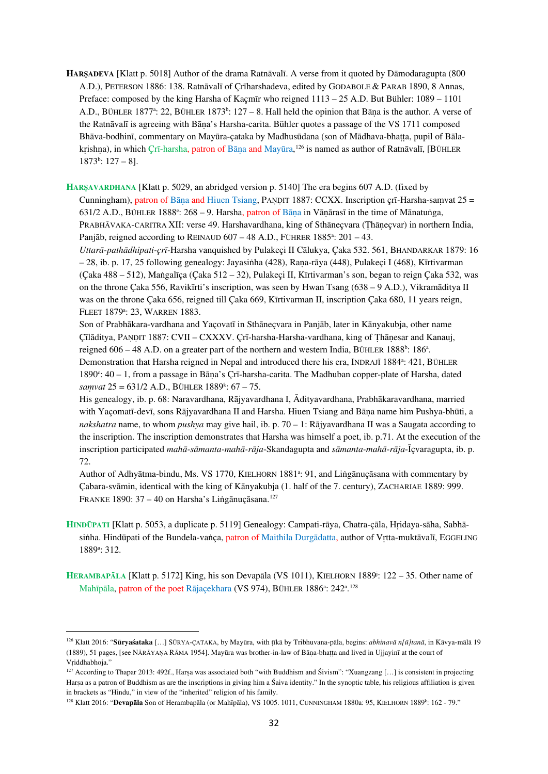**HARṢADEVA** [Klatt p. 5018] Author of the drama Ratnāvalī. A verse from it quoted by Dāmodaragupta (800 A.D.), PETERSON 1886: 138. Ratnāvalī of Çrīharshadeva, edited by GODABOLE & PARAB 1890, 8 Annas, Preface: composed by the king Harsha of Kaçmīr who reigned 1113 – 25 A.D. But Bühler: 1089 – 1101 A.D., BÜHLER 1877<sup>a</sup>: 22, BÜHLER 1873<sup>b</sup>: 127 – 8. Hall held the opinion that Bāṇa is the author. A verse of the Ratnāvalī is agreeing with Bāṇa's Harsha-carita. Bühler quotes a passage of the VS 1711 composed Bhāva-bodhinī, commentary on Mayūra-çataka by Madhusūdana (son of Mādhava-bhaṭṭa, pupil of Bāla-kṛishṇa), in which Çrī-harsha, patron of Bāṇa and Mayūra, <sup>[126](#page-31-0)</sup> is named as author of Ratnāvalī, [BÜHLER  $1873^{\circ}$ :  $127 - 8$ ].

**HARṢAVARDHANA** [Klatt p. 5029, an abridged version p. 5140] The era begins 607 A.D. (fixed by Cunningham), patron of Bāna and Hiuen Tsiang, PANDIT 1887: CCXX. Inscription crī-Harsha-samvat 25 = 631/2 A.D., BÜHLER 1888<sup>e</sup>: 268 – 9. Harsha, patron of Bāṇa in Vāṇārasī in the time of Mānatuṅga, PRABHĀVAKA-CARITRA XII: verse 49. Harshavardhana, king of Sthāneçvara (Ṭhāṇeçvar) in northern India, Panjāb, reigned according to REINAUD  $607 - 48$  A.D., FÜHRER  $1885^{\degree}$ :  $201 - 43$ . *Uttarā-pathādhipati-çrī-*Harsha vanquished by Pulakeçi II Cālukya, Çaka 532. 561, BHANDARKAR 1879: 16 – 28, ib. p. 17, 25 following genealogy: Jayasiṅha (428), Raṇa-rāya (448), Pulakeçi I (468), Kīrtivarman (Çaka 488 – 512), Maṅgalīça (Çaka 512 – 32), Pulakeçi II, Kīrtivarman's son, began to reign Çaka 532, was on the throne Çaka 556, Ravikīrti's inscription, was seen by Hwan Tsang (638 – 9 A.D.), Vikramāditya II was on the throne Çaka 656, reigned till Çaka 669, Kīrtivarman II, inscription Çaka 680, 11 years reign,

FLEET 1879<sup>a</sup>: 23, WARREN 1883. Son of Prabhākara-vardhana and Yaçovatī in Sthāneçvara in Panjāb, later in Kānyakubja, other name Çīlāditya, PAṆḌIT 1887: CVII – CXXXV. Çrī-harsha-Harsha-vardhana, king of Ṭhāṇesar and Kanauj, reigned  $606 - 48$  A.D. on a greater part of the northern and western India, BÜHLER 1888<sup>b</sup>: 186<sup>a</sup>. Demonstration that Harsha reigned in Nepal and introduced there his era, INDRAJĪ 1884<sup>a</sup>: 421, BÜHLER 1890<sup>c</sup>: 40 – 1, from a passage in Bāṇa's Çrī-harsha-carita. The Madhuban copper-plate of Harsha, dated *samvat* 25 = 631/2 A.D., BÜHLER 1889<sup>k</sup>: 67 – 75.

His genealogy, ib. p. 68: Naravardhana, Rājyavardhana I, Ādityavardhana, Prabhākaravardhana, married with Yaçomatī-devī, sons Rājyavardhana II and Harsha. Hiuen Tsiang and Bāṇa name him Pushya-bhūti, a *nakshatra* name, to whom *pushya* may give hail, ib. p. 70 – 1: Rājyavardhana II was a Saugata according to the inscription. The inscription demonstrates that Harsha was himself a poet, ib. p.71. At the execution of the inscription participated *mahā-sāmanta-mahā-rāja*-Skandagupta and *sāmanta-mahā-rāja*-Īçvaragupta, ib. p. 72.

Author of Adhyātma-bindu, Ms. VS 1770, KIELHORN 1881<sup>a</sup>: 91, and Lingānuçāsana with commentary by Çabara-svāmin, identical with the king of Kānyakubja (1. half of the 7. century), ZACHARIAE 1889: 999. FRANKE 1890:  $37 - 40$  on Harsha's Lingānuçāsana.<sup>[127](#page-31-1)</sup>

- **HINDŪPATI** [Klatt p. 5053, a duplicate p. 5119] Genealogy: Campati-rāya, Chatra-çāla, Hṛidaya-sāha, Sabhāsiṅha. Hindūpati of the Bundela-vaṅça, patron of Maithila Durgādatta, author of Vrtta-muktāvalī, EGGELING 1889a : 312.
- HERAMBAPĀLA [Klatt p. 5172] King, his son Devapāla (VS 1011), KIELHORN 1889<sup>j</sup>: 122 35. Other name of Mahīpāla, patron of the poet Rājaçekhara (VS 974), BÜHLER 1886<sup>a</sup>: 242<sup>a</sup>.<sup>[128](#page-31-2)</sup>

<span id="page-31-0"></span><sup>126</sup> Klatt 2016: "**Sūryaśataka** […] SŪRYA-ÇATAKA, by Mayūra, with ṭīkā by Tribhuvana-pāla, begins: *abhinavā n[ū]tanā*, in Kāvya-mālā 19 (1889), 51 pages, [see NĀRĀYAṆA RĀMA 1954]. Mayūra was brother-in-law of Bāṇa-bhaṭṭa and lived in Ujjayinī at the court of Vriddhabhoja."

<span id="page-31-1"></span><sup>&</sup>lt;sup>127</sup> According to Thapar 2013: 492f., Harṣa was associated both "with Buddhism and Śivism": "Xuangzang [...] is consistent in projecting Harṣa as a patron of Buddhism as are the inscriptions in giving him a Śaiva identity." In the synoptic table, his religious affiliation is given in brackets as "Hindu," in view of the "inherited" religion of his family.

<span id="page-31-2"></span><sup>&</sup>lt;sup>128</sup> Klatt 2016: "Devapāla Son of Herambapāla (or Mahīpāla), VS 1005. 1011, CUNNINGHAM 1880a: 95, KIELHORN 1889<sup>k</sup>: 162 - 79."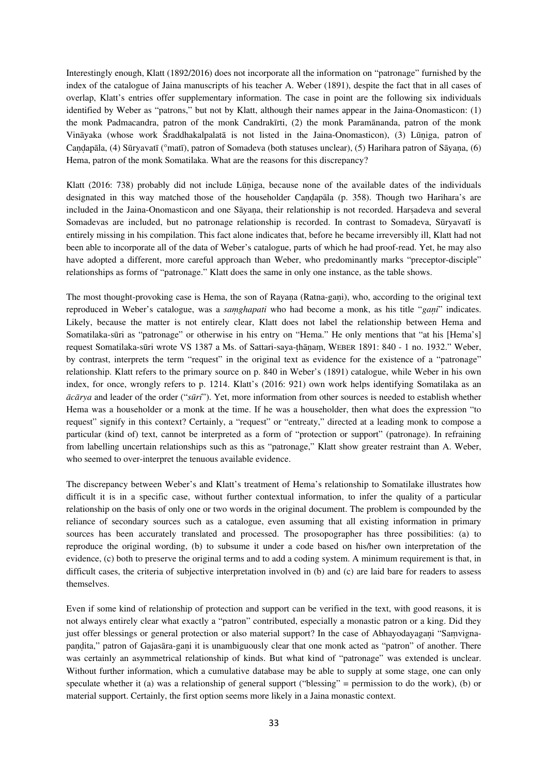Interestingly enough, Klatt (1892/2016) does not incorporate all the information on "patronage" furnished by the index of the catalogue of Jaina manuscripts of his teacher A. Weber (1891), despite the fact that in all cases of overlap, Klatt's entries offer supplementary information. The case in point are the following six individuals identified by Weber as "patrons," but not by Klatt, although their names appear in the Jaina-Onomasticon: (1) the monk Padmacandra, patron of the monk Candrakīrti, (2) the monk Paramānanda, patron of the monk Vināyaka (whose work Śraddhakalpalatā is not listed in the Jaina-Onomasticon), (3) Lūṇiga, patron of Candapāla, (4) Sūryavatī (°matī), patron of Somadeva (both statuses unclear), (5) Harihara patron of Sāyana, (6) Hema, patron of the monk Somatilaka. What are the reasons for this discrepancy?

Klatt (2016: 738) probably did not include Lūṇiga, because none of the available dates of the individuals designated in this way matched those of the householder Candapala (p. 358). Though two Harihara's are included in the Jaina-Onomasticon and one Sāyaṇa, their relationship is not recorded. Harṣadeva and several Somadevas are included, but no patronage relationship is recorded. In contrast to Somadeva, Sūryavatī is entirely missing in his compilation. This fact alone indicates that, before he became irreversibly ill, Klatt had not been able to incorporate all of the data of Weber's catalogue, parts of which he had proof-read. Yet, he may also have adopted a different, more careful approach than Weber, who predominantly marks "preceptor-disciple" relationships as forms of "patronage." Klatt does the same in only one instance, as the table shows.

The most thought-provoking case is Hema, the son of Rayana (Ratna-gani), who, according to the original text reproduced in Weber's catalogue, was a *saṃghapati* who had become a monk, as his title "*gaṇi*" indicates. Likely, because the matter is not entirely clear, Klatt does not label the relationship between Hema and Somatilaka-sūri as "patronage" or otherwise in his entry on "Hema." He only mentions that "at his [Hema's] request Somatilaka-sūri wrote VS 1387 a Ms. of Sattari-saya-ṭhāṇaṃ, WEBER 1891: 840 - 1 no. 1932." Weber, by contrast, interprets the term "request" in the original text as evidence for the existence of a "patronage" relationship. Klatt refers to the primary source on p. 840 in Weber's (1891) catalogue, while Weber in his own index, for once, wrongly refers to p. 1214. Klatt's (2016: 921) own work helps identifying Somatilaka as an *ācārya* and leader of the order ("*sūri*"). Yet, more information from other sources is needed to establish whether Hema was a householder or a monk at the time. If he was a householder, then what does the expression "to request" signify in this context? Certainly, a "request" or "entreaty," directed at a leading monk to compose a particular (kind of) text, cannot be interpreted as a form of "protection or support" (patronage). In refraining from labelling uncertain relationships such as this as "patronage," Klatt show greater restraint than A. Weber, who seemed to over-interpret the tenuous available evidence.

The discrepancy between Weber's and Klatt's treatment of Hema's relationship to Somatilake illustrates how difficult it is in a specific case, without further contextual information, to infer the quality of a particular relationship on the basis of only one or two words in the original document. The problem is compounded by the reliance of secondary sources such as a catalogue, even assuming that all existing information in primary sources has been accurately translated and processed. The prosopographer has three possibilities: (a) to reproduce the original wording, (b) to subsume it under a code based on his/her own interpretation of the evidence, (c) both to preserve the original terms and to add a coding system. A minimum requirement is that, in difficult cases, the criteria of subjective interpretation involved in (b) and (c) are laid bare for readers to assess themselves.

Even if some kind of relationship of protection and support can be verified in the text, with good reasons, it is not always entirely clear what exactly a "patron" contributed, especially a monastic patron or a king. Did they just offer blessings or general protection or also material support? In the case of Abhayodayagaṇi "Saṃvignapaṇḍita," patron of Gajasāra-gaṇi it is unambiguously clear that one monk acted as "patron" of another. There was certainly an asymmetrical relationship of kinds. But what kind of "patronage" was extended is unclear. Without further information, which a cumulative database may be able to supply at some stage, one can only speculate whether it (a) was a relationship of general support ("blessing" = permission to do the work), (b) or material support. Certainly, the first option seems more likely in a Jaina monastic context.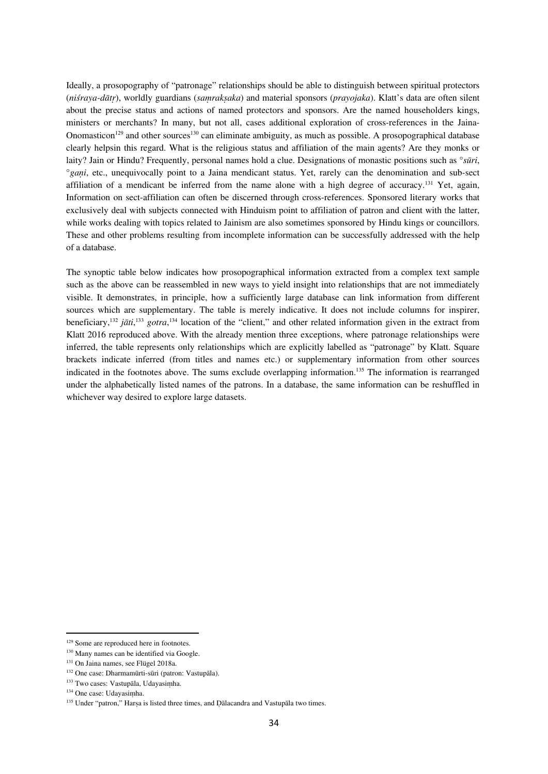Ideally, a prosopography of "patronage" relationships should be able to distinguish between spiritual protectors (*niśraya-dātṛ*), worldly guardians (*saṃrakṣaka*) and material sponsors (*prayojaka*). Klatt's data are often silent about the precise status and actions of named protectors and sponsors. Are the named householders kings, ministers or merchants? In many, but not all, cases additional exploration of cross-references in the Jaina-Onomasticon<sup>[129](#page-33-0)</sup> and other sources<sup>[130](#page-33-1)</sup> can eliminate ambiguity, as much as possible. A prosopographical database clearly helpsin this regard. What is the religious status and affiliation of the main agents? Are they monks or laity? Jain or Hindu? Frequently, personal names hold a clue. Designations of monastic positions such as °*sūri*, °*gaṇi*, etc., unequivocally point to a Jaina mendicant status. Yet, rarely can the denomination and sub-sect affiliation of a mendicant be inferred from the name alone with a high degree of accuracy.[131](#page-33-2) Yet, again, Information on sect-affiliation can often be discerned through cross-references. Sponsored literary works that exclusively deal with subjects connected with Hinduism point to affiliation of patron and client with the latter, while works dealing with topics related to Jainism are also sometimes sponsored by Hindu kings or councillors. These and other problems resulting from incomplete information can be successfully addressed with the help of a database.

The synoptic table below indicates how prosopographical information extracted from a complex text sample such as the above can be reassembled in new ways to yield insight into relationships that are not immediately visible. It demonstrates, in principle, how a sufficiently large database can link information from different sources which are supplementary. The table is merely indicative. It does not include columns for inspirer, beneficiary, [132](#page-33-3) *jāti*, [133](#page-33-4) *gotra*, [134](#page-33-5) location of the "client," and other related information given in the extract from Klatt 2016 reproduced above. With the already mention three exceptions, where patronage relationships were inferred, the table represents only relationships which are explicitly labelled as "patronage" by Klatt. Square brackets indicate inferred (from titles and names etc.) or supplementary information from other sources indicated in the footnotes above. The sums exclude overlapping information. [135](#page-33-6) The information is rearranged under the alphabetically listed names of the patrons. In a database, the same information can be reshuffled in whichever way desired to explore large datasets.

<span id="page-33-0"></span><sup>&</sup>lt;sup>129</sup> Some are reproduced here in footnotes.

<span id="page-33-1"></span><sup>&</sup>lt;sup>130</sup> Many names can be identified via Google.

<span id="page-33-2"></span><sup>&</sup>lt;sup>131</sup> On Jaina names, see Flügel 2018a.<br><sup>132</sup> One case: Dharmamūrti-sūri (patron: Vastupāla).

<span id="page-33-6"></span>

<span id="page-33-5"></span><span id="page-33-4"></span><span id="page-33-3"></span><sup>&</sup>lt;sup>133</sup> Two cases: Vastupāla, Udayasiṃha.<br><sup>134</sup> One case: Udayasiṃha.<br><sup>135</sup> Under "patron," Harsa is listed three times, and Dālacandra and Vastupāla two times.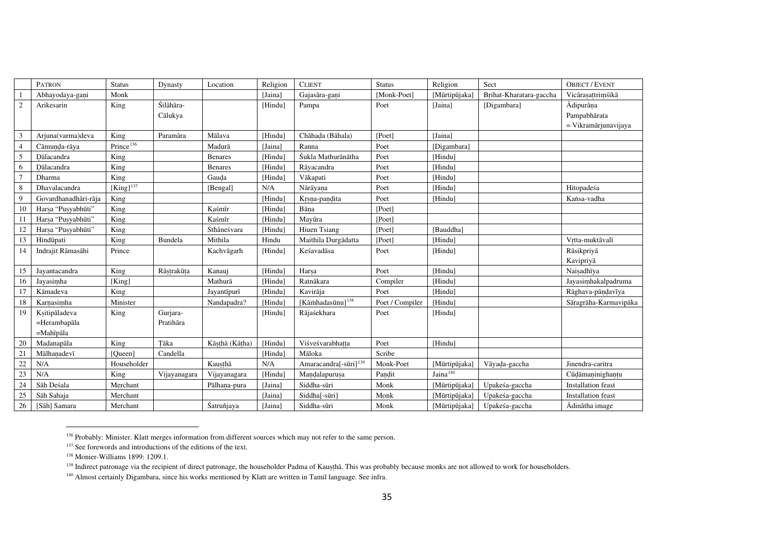<span id="page-34-4"></span><span id="page-34-3"></span><span id="page-34-2"></span><span id="page-34-1"></span><span id="page-34-0"></span>

|                | <b>PATRON</b>        | <b>Status</b>         | Dynasty      | Location       | Religion | <b>CLIENT</b>                     | <b>Status</b>   | Religion             | Sect                    | <b>OBJECT / EVENT</b>     |
|----------------|----------------------|-----------------------|--------------|----------------|----------|-----------------------------------|-----------------|----------------------|-------------------------|---------------------------|
|                | Abhayodaya-gani      | Monk                  |              |                | [Jaina]  | Gajasāra-gaņi                     | [Monk-Poet]     | [Mūrtipūjaka]        | Brihat-Kharatara-gaccha | Vicārasattrimśikā         |
| $\overline{2}$ | Arikesarin           | King                  | Śilāhāra-    |                | [Hindu]  | Pampa                             | Poet            | [Jaina]              | [Digambara]             | Ādipurāņa                 |
|                |                      |                       | Cālukya      |                |          |                                   |                 |                      |                         | Pampabhārata              |
|                |                      |                       |              |                |          |                                   |                 |                      |                         | $=$ Vikramārjunavijaya    |
| 3              | Arjuna(varma) deva   | King                  | Paramāra     | Mālava         | [Hindu]  | Chāhada (Bāhala)                  | [Poet]          | [Jaina]              |                         |                           |
|                | Cāmunda-rāya         | Prince <sup>136</sup> |              | Madurā         | [Jaina]  | Ranna                             | Poet            | [Digambara]          |                         |                           |
| 5              | Dālacandra           | King                  |              | <b>Benares</b> | [Hindu]  | Śukla Mathurānātha                | Poet            | [Hindu]              |                         |                           |
| 6              | Dālacandra           | King                  |              | Benares        | [Hindu]  | Rāyacandra                        | Poet            | [Hindu]              |                         |                           |
|                | Dharma               | King                  |              | Gauda          | [Hindu]  | Vākapati                          | Poet            | [Hindu]              |                         |                           |
| 8              | Dhavalacandra        | $[King]^{137}$        |              | [Bengal]       | N/A      | Nārāyana                          | Poet            | [Hindu]              |                         | Hitopadeśa                |
| 9              | Govardhanadhāri-rāja | King                  |              |                | [Hindu]  | Krsna-pandita                     | Poet            | [Hindu]              |                         | Kansa-vadha               |
| 10             | Harsa "Pusyabhūti"   | King                  |              | Kaśmīr         | [Hindu]  | Bāna                              | [Poet]          |                      |                         |                           |
| 11             | Harșa "Pușyabhūti"   | King                  |              | Kaśmīr         | [Hindu]  | Mayūra                            | [Poet]          |                      |                         |                           |
| 12             | Harsa "Pusyabhūti"   | King                  |              | Sthāneśvara    | [Hindu]  | Hiuen Tsiang                      | [Poet]          | [Bauddha]            |                         |                           |
| 13             | Hindūpati            | King                  | Bundela      | Mithila        | Hindu    | Maithila Durgādatta               | [Poet]          | [Hindu]              |                         | Vrtta-muktāvalī           |
| 14             | Indrajit Rāmasāhi    | Prince                |              | Kachvägarh     | [Hindu]  | Keśavadāsa                        | Poet            | [Hindu]              |                         | Rāsikpriyā                |
|                |                      |                       |              |                |          |                                   |                 |                      |                         | Kavipriyā                 |
| 15             | Jayantacandra        | King                  | Rāṣṭrakūṭa   | Kanauj         | [Hindu]  | Harsa                             | Poet            | [Hindu]              |                         | Naisadhīya                |
| 16             | Jayasimha            | [King]                |              | Mathurā        | [Hindu]  | Ratnākara                         | Compiler        | [Hindu]              |                         | Jayasimhakalpadruma       |
| 17             | Kāmadeva             | King                  |              | Jayantīpurī    | [Hindu]  | Kavirāja                          | Poet            | [Hindu]              |                         | Rāghava-pāndavīya         |
| 18             | Karnasimha           | Minister              |              | Nandapadra?    | [Hindu]  | [Kāmhadasūnu] <sup>138</sup>      | Poet / Compiler | [Hindu]              |                         | Sāragrāha-Karmavipāka     |
| 19             | Ksitipāladeva        | King                  | Gurjara-     |                | [Hindu]  | Rājaśekhara                       | Poet            | [Hindu]              |                         |                           |
|                | =Herambapāla         |                       | Pratihāra    |                |          |                                   |                 |                      |                         |                           |
|                | =Mahīpāla            |                       |              |                |          |                                   |                 |                      |                         |                           |
| 20             | Madanapāla           | King                  | Tāka         | Kāsthā (Kātha) | [Hindu]  | Viśveśvarabhatta                  | Poet            | [Hindu]              |                         |                           |
| 21             | Mālhanadevī          | [Queen]               | Candella     |                | [Hindu]  | Māloka                            | Scribe          |                      |                         |                           |
| 22             | N/A                  | Householder           |              | Kausthā        | N/A      | Amaracandra[-sūri] <sup>139</sup> | Monk-Poet       | [Mūrtipūjaka]        | Vāyada-gaccha           | Jinendra-caritra          |
| 23             | N/A                  | King                  | Vijayanagara | Vijayanagara   | [Hindu]  | Mandalapurusa                     | Pandit          | Jaina <sup>140</sup> |                         | Cūdāmaninighantu          |
| 24             | Sāh Deśala           | Merchant              |              | Pālhaņa-pura   | [Jaina]  | Siddha-sūri                       | Monk            | [Mūrtipūjaka]        | Upakeśa-gaccha          | <b>Installation</b> feast |
| 25             | Sāh Sahaja           | Merchant              |              |                | [Jaina]  | Siddha[-sūri]                     | Monk            | [Mūrtipūjaka]        | Upakeśa-gaccha          | <b>Installation</b> feast |
| 26             | [Sāh] Samara         | Merchant              |              | Śatruñjaya     | [Jaina]  | Siddha-sūri                       | Monk            | [Mūrtipūjaka]        | Upakeśa-gaccha          | Ādinātha image            |

<sup>136</sup> Probably: Minister. Klatt merges information from different sources which may not refer to the same person.

See forewords and introductions of the editions of the text.<br> $138$  Monier-Williams 1899: 1209.1.

<sup>139</sup> Indirect patronage via the recipient of direct patronage, the householder Padma of Kausthā. This was probably because monks are not allowed to work for householders.<br><sup>140</sup> Almost certainly Digambara, since his works me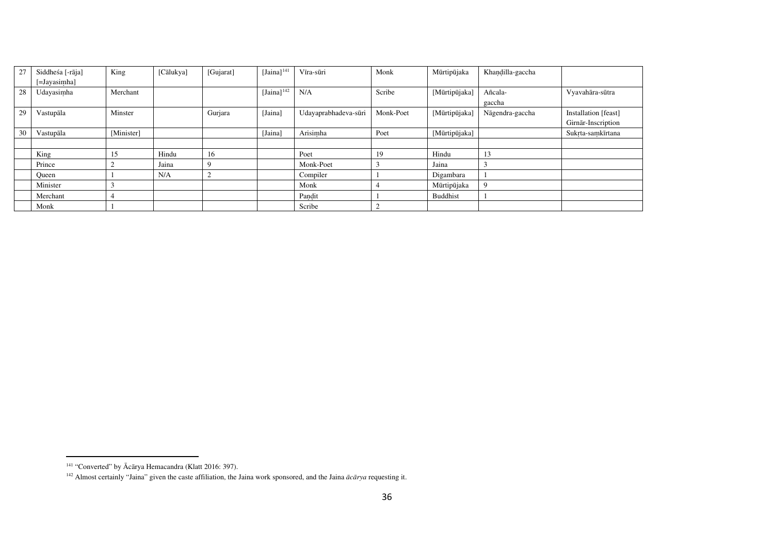<span id="page-35-1"></span><span id="page-35-0"></span>

| 27 | Siddheśa [-rāja] | King       | [Cālukya] | [Gujarat] | $[Jaina]$ <sup>141</sup> | Vīra-sūri            | Monk      | Mūrtipūjaka   | Khandilla-gaccha |                      |
|----|------------------|------------|-----------|-----------|--------------------------|----------------------|-----------|---------------|------------------|----------------------|
|    | [=Jayasimha]     |            |           |           |                          |                      |           |               |                  |                      |
| 28 | Udayasimha       | Merchant   |           |           | [Jaina] $^{142}$         | N/A                  | Scribe    | [Mūrtipūjaka] | Añcala-          | Vyavahāra-sūtra      |
|    |                  |            |           |           |                          |                      |           |               | gaccha           |                      |
| 29 | Vastupāla        | Minster    |           | Gurjara   | [Jaina]                  | Udayaprabhadeva-sūri | Monk-Poet | [Mūrtipūjaka] | Nāgendra-gaccha  | Installation [feast] |
|    |                  |            |           |           |                          |                      |           |               |                  | Girnār-Inscription   |
| 30 | Vastupāla        | [Minister] |           |           | [Jaina]                  | Arisimha             | Poet      | [Mūrtipūjaka] |                  | Sukrta-samkīrtana    |
|    |                  |            |           |           |                          |                      |           |               |                  |                      |
|    | King             | 15         | Hindu     | 16        |                          | Poet                 | 19        | Hindu         | 13               |                      |
|    | Prince           |            | Jaina     | 9         |                          | Monk-Poet            |           | Jaina         | 3                |                      |
|    | <b>Oueen</b>     |            | N/A       |           |                          | Compiler             |           | Digambara     |                  |                      |
|    | Minister         |            |           |           |                          | Monk                 |           | Mūrtipūjaka   | 9                |                      |
|    | Merchant         |            |           |           |                          | Pandit               |           | Buddhist      |                  |                      |
|    | Monk             |            |           |           |                          | Scribe               | ∠         |               |                  |                      |

<sup>&</sup>lt;sup>141</sup> "Converted" by Ācārya Hemacandra (Klatt 2016: 397).

<sup>142</sup> Almost certainly "Jaina" given the caste affiliation, the Jaina work sponsored, and the Jaina *ācārya* requesting it.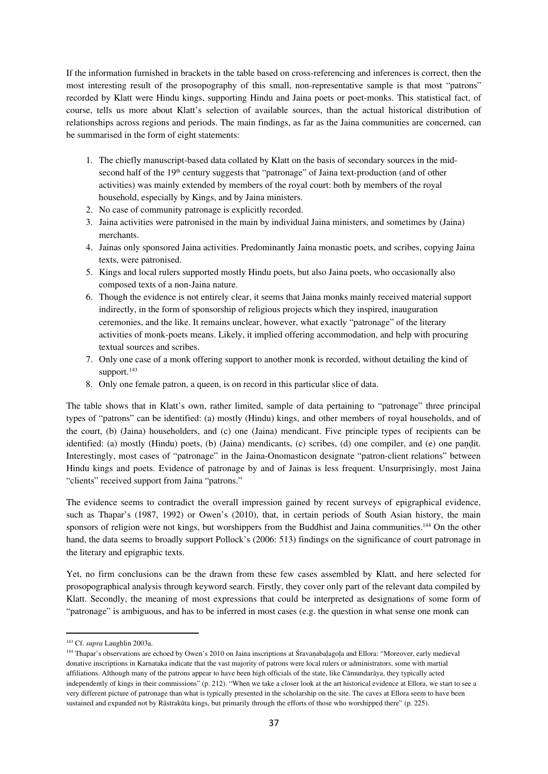If the information furnished in brackets in the table based on cross-referencing and inferences is correct, then the most interesting result of the prosopography of this small, non-representative sample is that most "patrons" recorded by Klatt were Hindu kings, supporting Hindu and Jaina poets or poet-monks. This statistical fact, of course, tells us more about Klatt's selection of available sources, than the actual historical distribution of relationships across regions and periods. The main findings, as far as the Jaina communities are concerned, can be summarised in the form of eight statements:

- 1. The chiefly manuscript-based data collated by Klatt on the basis of secondary sources in the midsecond half of the 19<sup>th</sup> century suggests that "patronage" of Jaina text-production (and of other activities) was mainly extended by members of the royal court: both by members of the royal household, especially by Kings, and by Jaina ministers.
- 2. No case of community patronage is explicitly recorded.
- 3. Jaina activities were patronised in the main by individual Jaina ministers, and sometimes by (Jaina) merchants.
- 4. Jainas only sponsored Jaina activities. Predominantly Jaina monastic poets, and scribes, copying Jaina texts, were patronised.
- 5. Kings and local rulers supported mostly Hindu poets, but also Jaina poets, who occasionally also composed texts of a non-Jaina nature.
- 6. Though the evidence is not entirely clear, it seems that Jaina monks mainly received material support indirectly, in the form of sponsorship of religious projects which they inspired, inauguration ceremonies, and the like. It remains unclear, however, what exactly "patronage" of the literary activities of monk-poets means. Likely, it implied offering accommodation, and help with procuring textual sources and scribes.
- 7. Only one case of a monk offering support to another monk is recorded, without detailing the kind of support.<sup>[143](#page-36-0)</sup>
- 8. Only one female patron, a queen, is on record in this particular slice of data.

The table shows that in Klatt's own, rather limited, sample of data pertaining to "patronage" three principal types of "patrons" can be identified: (a) mostly (Hindu) kings, and other members of royal households, and of the court, (b) (Jaina) householders, and (c) one (Jaina) mendicant. Five principle types of recipients can be identified: (a) mostly (Hindu) poets, (b) (Jaina) mendicants, (c) scribes, (d) one compiler, and (e) one pandit. Interestingly, most cases of "patronage" in the Jaina-Onomasticon designate "patron-client relations" between Hindu kings and poets. Evidence of patronage by and of Jainas is less frequent. Unsurprisingly, most Jaina "clients" received support from Jaina "patrons."

The evidence seems to contradict the overall impression gained by recent surveys of epigraphical evidence, such as Thapar's (1987, 1992) or Owen's (2010), that, in certain periods of South Asian history, the main sponsors of religion were not kings, but worshippers from the Buddhist and Jaina communities.<sup>[144](#page-36-1)</sup> On the other hand, the data seems to broadly support Pollock's (2006: 513) findings on the significance of court patronage in the literary and epigraphic texts.

Yet, no firm conclusions can be the drawn from these few cases assembled by Klatt, and here selected for prosopographical analysis through keyword search. Firstly, they cover only part of the relevant data compiled by Klatt. Secondly, the meaning of most expressions that could be interpreted as designations of some form of "patronage" is ambiguous, and has to be inferred in most cases (e.g. the question in what sense one monk can

<span id="page-36-0"></span><sup>143</sup> Cf. *supra* Laughlin 2003a.

<span id="page-36-1"></span><sup>&</sup>lt;sup>144</sup> Thapar's observations are echoed by Owen's 2010 on Jaina inscriptions at Śravanabalagola and Ellora: "Moreover, early medieval donative inscriptions in Karnataka indicate that the vast majority of patrons were local rulers or administrators, some with martial affiliations. Although many of the patrons appear to have been high officials of the state, like Cāmundarāya, they typically acted independently of kings in their commissions" (p. 212). "When we take a closer look at the art historical evidence at Ellora, we start to see a very different picture of patronage than what is typically presented in the scholarship on the site. The caves at Ellora seem to have been sustained and expanded not by Rāstrakūta kings, but primarily through the efforts of those who worshipped there" (p. 225).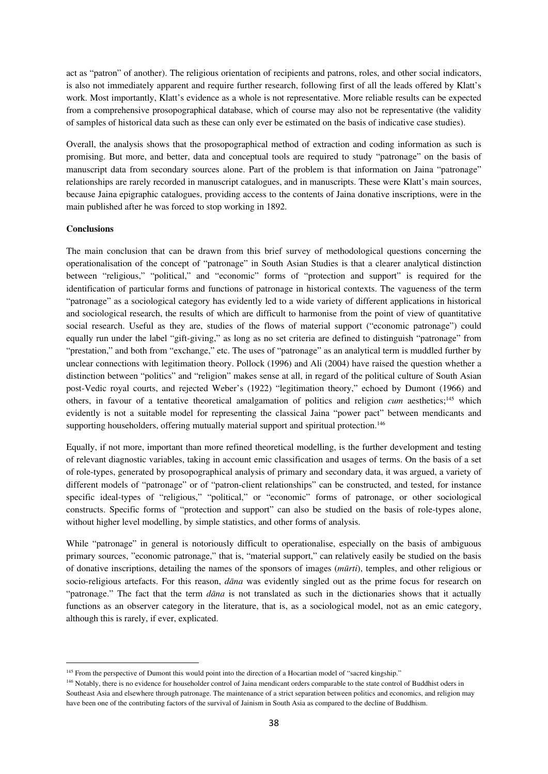act as "patron" of another). The religious orientation of recipients and patrons, roles, and other social indicators, is also not immediately apparent and require further research, following first of all the leads offered by Klatt's work. Most importantly, Klatt's evidence as a whole is not representative. More reliable results can be expected from a comprehensive prosopographical database, which of course may also not be representative (the validity of samples of historical data such as these can only ever be estimated on the basis of indicative case studies).

Overall, the analysis shows that the prosopographical method of extraction and coding information as such is promising. But more, and better, data and conceptual tools are required to study "patronage" on the basis of manuscript data from secondary sources alone. Part of the problem is that information on Jaina "patronage" relationships are rarely recorded in manuscript catalogues, and in manuscripts. These were Klatt's main sources, because Jaina epigraphic catalogues, providing access to the contents of Jaina donative inscriptions, were in the main published after he was forced to stop working in 1892.

### **Conclusions**

The main conclusion that can be drawn from this brief survey of methodological questions concerning the operationalisation of the concept of "patronage" in South Asian Studies is that a clearer analytical distinction between "religious," "political," and "economic" forms of "protection and support" is required for the identification of particular forms and functions of patronage in historical contexts. The vagueness of the term "patronage" as a sociological category has evidently led to a wide variety of different applications in historical and sociological research, the results of which are difficult to harmonise from the point of view of quantitative social research. Useful as they are, studies of the flows of material support ("economic patronage") could equally run under the label "gift-giving," as long as no set criteria are defined to distinguish "patronage" from "prestation," and both from "exchange," etc. The uses of "patronage" as an analytical term is muddled further by unclear connections with legitimation theory. Pollock (1996) and Ali (2004) have raised the question whether a distinction between "politics" and "religion" makes sense at all, in regard of the political culture of South Asian post-Vedic royal courts, and rejected Weber's (1922) "legitimation theory," echoed by Dumont (1966) and others, in favour of a tentative theoretical amalgamation of politics and religion *cum* aesthetics; [145](#page-37-0) which evidently is not a suitable model for representing the classical Jaina "power pact" between mendicants and supporting householders, offering mutually material support and spiritual protection. [146](#page-37-1)

Equally, if not more, important than more refined theoretical modelling, is the further development and testing of relevant diagnostic variables, taking in account emic classification and usages of terms. On the basis of a set of role-types, generated by prosopographical analysis of primary and secondary data, it was argued, a variety of different models of "patronage" or of "patron-client relationships" can be constructed, and tested, for instance specific ideal-types of "religious," "political," or "economic" forms of patronage, or other sociological constructs. Specific forms of "protection and support" can also be studied on the basis of role-types alone, without higher level modelling, by simple statistics, and other forms of analysis.

While "patronage" in general is notoriously difficult to operationalise, especially on the basis of ambiguous primary sources, "economic patronage," that is, "material support," can relatively easily be studied on the basis of donative inscriptions, detailing the names of the sponsors of images (*mūrti*), temples, and other religious or socio-religious artefacts. For this reason, *dāna* was evidently singled out as the prime focus for research on "patronage." The fact that the term *dāna* is not translated as such in the dictionaries shows that it actually functions as an observer category in the literature, that is, as a sociological model, not as an emic category, although this is rarely, if ever, explicated.

<span id="page-37-1"></span><span id="page-37-0"></span><sup>&</sup>lt;sup>145</sup> From the perspective of Dumont this would point into the direction of a Hocartian model of "sacred kingship."<br><sup>146</sup> Notably, there is no evidence for householder control of Jaina mendicant orders comparable to the st Southeast Asia and elsewhere through patronage. The maintenance of a strict separation between politics and economics, and religion may have been one of the contributing factors of the survival of Jainism in South Asia as compared to the decline of Buddhism.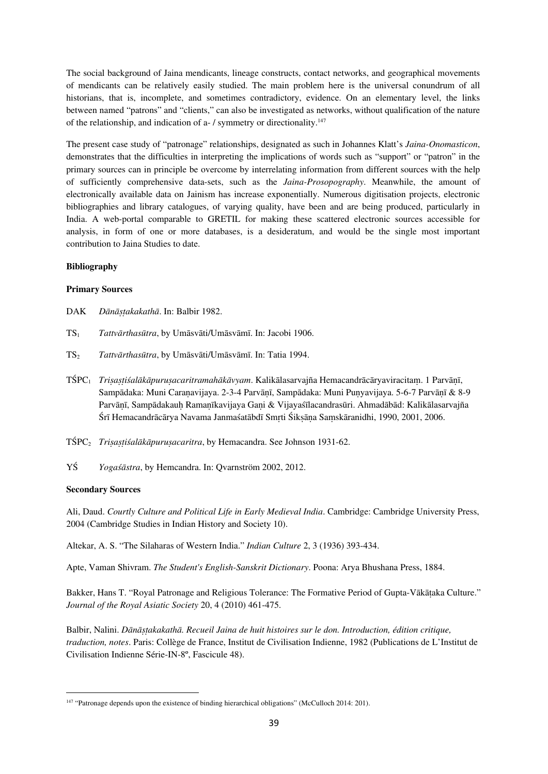The social background of Jaina mendicants, lineage constructs, contact networks, and geographical movements of mendicants can be relatively easily studied. The main problem here is the universal conundrum of all historians, that is, incomplete, and sometimes contradictory, evidence. On an elementary level, the links between named "patrons" and "clients," can also be investigated as networks, without qualification of the nature of the relationship, and indication of a- / symmetry or directionality.[147](#page-38-0)

The present case study of "patronage" relationships, designated as such in Johannes Klatt's *Jaina-Onomasticon*, demonstrates that the difficulties in interpreting the implications of words such as "support" or "patron" in the primary sources can in principle be overcome by interrelating information from different sources with the help of sufficiently comprehensive data-sets, such as the *Jaina-Prosopography*. Meanwhile, the amount of electronically available data on Jainism has increase exponentially. Numerous digitisation projects, electronic bibliographies and library catalogues, of varying quality, have been and are being produced, particularly in India. A web-portal comparable to GRETIL for making these scattered electronic sources accessible for analysis, in form of one or more databases, is a desideratum, and would be the single most important contribution to Jaina Studies to date.

## **Bibliography**

### **Primary Sources**

- DAK *Dānāṣṭakakathā*. In: Balbir 1982.
- TS1 *Tattvārthasūtra*, by Umāsvāti/Umāsvāmī. In: Jacobi 1906.
- TS2 *Tattvārthasūtra*, by Umāsvāti/Umāsvāmī. In: Tatia 1994.
- TŚPC1 *Triṣaṣṭiśalākāpuruṣacaritramahākāvyam*. Kalikālasarvajña Hemacandrācāryaviracitaṃ. 1 Parvāṇī, Sampādaka: Muni Caraṇavijaya. 2-3-4 Parvāṇī, Sampādaka: Muni Puṇyavijaya. 5-6-7 Parvāṇī & 8-9 Parvāṇī, Sampādakauḥ Ramaṇīkavijaya Gaṇi & Vijayaśīlacandrasūri. Ahmadābād: Kalikālasarvajña Śrī Hemacandrācārya Navama Janmaśatābdī Smṛti Śikṣāṇa Saṃskāranidhi, 1990, 2001, 2006.
- TŚPC2 *Triṣaṣṭiśalākāpuruṣacaritra*, by Hemacandra. See Johnson 1931-62.
- YŚ *Yogaśāstra*, by Hemcandra. In: Qvarnström 2002, 2012.

### **Secondary Sources**

Ali, Daud. *Courtly Culture and Political Life in Early Medieval India*. Cambridge: Cambridge University Press, 2004 (Cambridge Studies in Indian History and Society 10).

Altekar, A. S. "The Silaharas of Western India." *Indian Culture* 2, 3 (1936) 393-434.

Apte, Vaman Shivram. *The Student's English-Sanskrit Dictionary*. Poona: Arya Bhushana Press, 1884.

Bakker, Hans T. "Royal Patronage and Religious Tolerance: The Formative Period of Gupta-Vākāṭaka Culture." *Journal of the Royal Asiatic Society* 20, 4 (2010) 461-475.

Balbir, Nalini. *Dānāṣṭakakathā. Recueil Jaina de huit histoires sur le don. Introduction, édition critique, traduction, notes*. Paris: Collège de France, Institut de Civilisation Indienne, 1982 (Publications de L'Institut de Civilisation Indienne Série-IN-8º, Fascicule 48).

<span id="page-38-0"></span><sup>&</sup>lt;sup>147</sup> "Patronage depends upon the existence of binding hierarchical obligations" (McCulloch 2014: 201).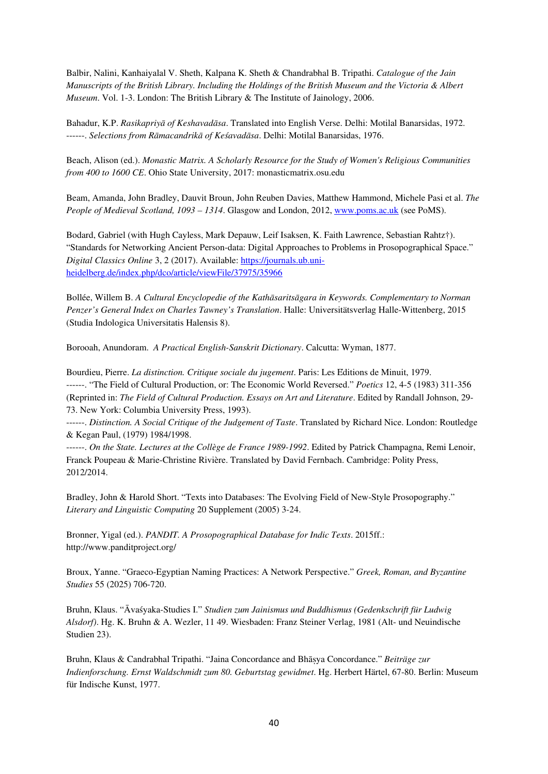Balbir, Nalini, Kanhaiyalal V. Sheth, Kalpana K. Sheth & Chandrabhal B. Tripathi. *Catalogue of the Jain Manuscripts of the British Library. Including the Holdings of the British Museum and the Victoria & Albert Museum*. Vol. 1-3. London: The British Library & The Institute of Jainology, 2006.

Bahadur, K.P. *Rasikapriyā of Keshavadāsa*. Translated into English Verse. Delhi: Motilal Banarsidas, 1972. ------. *Selections from Rāmacandrikā of Keśavadāsa*. Delhi: Motilal Banarsidas, 1976.

Beach, Alison (ed.). *Monastic Matrix. A Scholarly Resource for the Study of Women's Religious Communities from 400 to 1600 CE*. Ohio State University, 2017: monasticmatrix.osu.edu

Beam, Amanda, John Bradley, Dauvit Broun, John Reuben Davies, Matthew Hammond, Michele Pasi et al. *The People of Medieval Scotland, 1093 – 1314*. Glasgow and London, 2012, [www.poms.ac.uk](http://www.poms.ac.uk/) (see PoMS).

Bodard, Gabriel (with Hugh Cayless, Mark Depauw, Leif Isaksen, K. Faith Lawrence, Sebastian Rahtz†). "Standards for Networking Ancient Person-data: Digital Approaches to Problems in Prosopographical Space." *Digital Classics Online* 3, 2 (2017). Available[: https://journals.ub.uni](https://journals.ub.uni-heidelberg.de/index.php/dco/article/viewFile/37975/35966)[heidelberg.de/index.php/dco/article/viewFile/37975/35966](https://journals.ub.uni-heidelberg.de/index.php/dco/article/viewFile/37975/35966)

Bollée, Willem B. *A Cultural Encyclopedie of the Kathāsaritsāgara in Keywords. Complementary to Norman Penzer's General Index on Charles Tawney's Translation*. Halle: Universitätsverlag Halle-Wittenberg, 2015 (Studia Indologica Universitatis Halensis 8).

Borooah, Anundoram. *A Practical English-Sanskrit Dictionary*. Calcutta: Wyman, 1877.

Bourdieu, Pierre. *La distinction. Critique sociale du jugement*. Paris: Les Éditions de Minuit, 1979. ------. "The Field of Cultural Production, or: The Economic World Reversed." *Poetics* 12, 4-5 (1983) 311-356 (Reprinted in: *The Field of Cultural Production. Essays on Art and Literature*. Edited by Randall Johnson, 29- 73. New York: Columbia University Press, 1993).

------. *Distinction. A Social Critique of the Judgement of Taste*. Translated by Richard Nice. London: Routledge & Kegan Paul, (1979) 1984/1998.

------. *On the State. Lectures at the Collège de France 1989-1992*. Edited by Patrick Champagna, Remi Lenoir, Franck Poupeau & Marie-Christine Rivière. Translated by David Fernbach. Cambridge: Polity Press, 2012/2014.

Bradley, John & Harold Short. "Texts into Databases: The Evolving Field of New-Style Prosopography." *Literary and Linguistic Computing* 20 Supplement (2005) 3-24.

Bronner, Yigal (ed.). *PANDIT. A Prosopographical Database for Indic Texts*. 2015ff.: http://www.panditproject.org/

Broux, Yanne. "Graeco-Egyptian Naming Practices: A Network Perspective." *Greek, Roman, and Byzantine Studies* 55 (2025) 706-720.

Bruhn, Klaus. "Āvaśyaka-Studies I." *Studien zum Jainismus und Buddhismus (Gedenkschrift für Ludwig Alsdorf)*. Hg. K. Bruhn & A. Wezler, 11 49. Wiesbaden: Franz Steiner Verlag, 1981 (Alt- und Neuindische Studien 23).

Bruhn, Klaus & Candrabhal Tripathi. "Jaina Concordance and Bhāṣya Concordance." *Beiträge zur Indienforschung. Ernst Waldschmidt zum 80. Geburtstag gewidmet*. Hg. Herbert Härtel, 67-80. Berlin: Museum für Indische Kunst, 1977.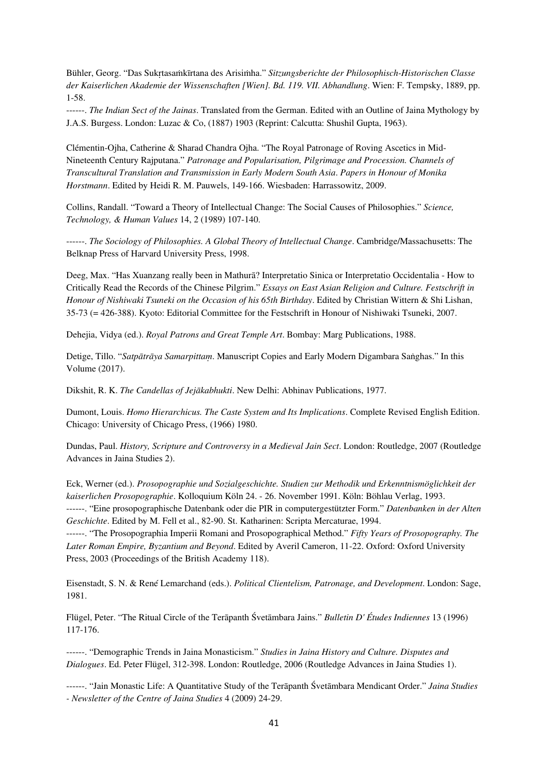Bühler, Georg. "Das Sukṛtasaṁkīrtana des Arisiṁha." *Sitzungsberichte der Philosophisch-Historischen Classe der Kaiserlichen Akademie der Wissenschaften [Wien]. Bd. 119. VII. Abhandlung*. Wien: F. Tempsky, 1889, pp. 1-58.

------. *The Indian Sect of the Jainas*. Translated from the German. Edited with an Outline of Jaina Mythology by J.A.S. Burgess. London: Luzac & Co, (1887) 1903 (Reprint: Calcutta: Shushil Gupta, 1963).

Clémentin-Ojha, Catherine & Sharad Chandra Ojha. "The Royal Patronage of Roving Ascetics in Mid-Nineteenth Century Rajputana." *Patronage and Popularisation, Pilgrimage and Procession. Channels of Transcultural Translation and Transmission in Early Modern South Asia*. *Papers in Honour of Monika Horstmann*. Edited by Heidi R. M. Pauwels, 149-166. Wiesbaden: Harrassowitz, 2009.

Collins, Randall. "Toward a Theory of Intellectual Change: The Social Causes of Philosophies." *Science, Technology, & Human Values* 14, 2 (1989) 107-140.

------. *The Sociology of Philosophies. A Global Theory of Intellectual Change*. Cambridge/Massachusetts: The Belknap Press of Harvard University Press, 1998.

Deeg, Max. "Has Xuanzang really been in Mathurā? Interpretatio Sinica or Interpretatio Occidentalia - How to Critically Read the Records of the Chinese Pilgrim." *Essays on East Asian Religion and Culture. Festschrift in Honour of Nishiwaki Tsuneki on the Occasion of his 65th Birthday*. Edited by Christian Wittern & Shi Lishan, 35-73 (= 426-388). Kyoto: Editorial Committee for the Festschrift in Honour of Nishiwaki Tsuneki, 2007.

Dehejia, Vidya (ed.). *Royal Patrons and Great Temple Art*. Bombay: Marg Publications, 1988.

Detige, Tillo. "*Satpātrāya Samarpittaṃ*. Manuscript Copies and Early Modern Digambara Saṅghas." In this Volume (2017).

Dikshit, R. K. *The Candellas of Jejākabhukti*. New Delhi: Abhinav Publications, 1977.

Press, 2003 (Proceedings of the British Academy 118).

Dumont, Louis. *Homo Hierarchicus. The Caste System and Its Implications*. Complete Revised English Edition. Chicago: University of Chicago Press, (1966) 1980.

Dundas, Paul. *History, Scripture and Controversy in a Medieval Jain Sect*. London: Routledge, 2007 (Routledge Advances in Jaina Studies 2).

Eck, Werner (ed.). *Prosopographie und Sozialgeschichte. Studien zur Methodik und Erkenntnismöglichkeit der kaiserlichen Prosopographie*. Kolloquium Köln 24. - 26. November 1991. Köln: Böhlau Verlag, 1993. ------. "Eine prosopographische Datenbank oder die PIR in computergestützter Form." *Datenbanken in der Alten* 

*Geschichte*. Edited by M. Fell et al., 82-90. St. Katharinen: Scripta Mercaturae, 1994. ------. "The Prosopographia Imperii Romani and Prosopographical Method." *Fifty Years of Prosopography. The Later Roman Empire, Byzantium and Beyond*. Edited by Averil Cameron, 11-22. Oxford: Oxford University

Eisenstadt, S. N. & René Lemarchand (eds.). *Political Clientelism, Patronage, and Development*. London: Sage, 1981.

Flügel, Peter. "The Ritual Circle of the Terāpanth Śvetāmbara Jains." *Bulletin D' Études Indiennes* 13 (1996) 117-176.

------. "Demographic Trends in Jaina Monasticism." *Studies in Jaina History and Culture. Disputes and Dialogues*. Ed. Peter Flügel, 312-398. London: Routledge, 2006 (Routledge Advances in Jaina Studies 1).

------. "Jain Monastic Life: A Quantitative Study of the Terāpanth Śvetāmbara Mendicant Order." *Jaina Studies - Newsletter of the Centre of Jaina Studies* 4 (2009) 24-29.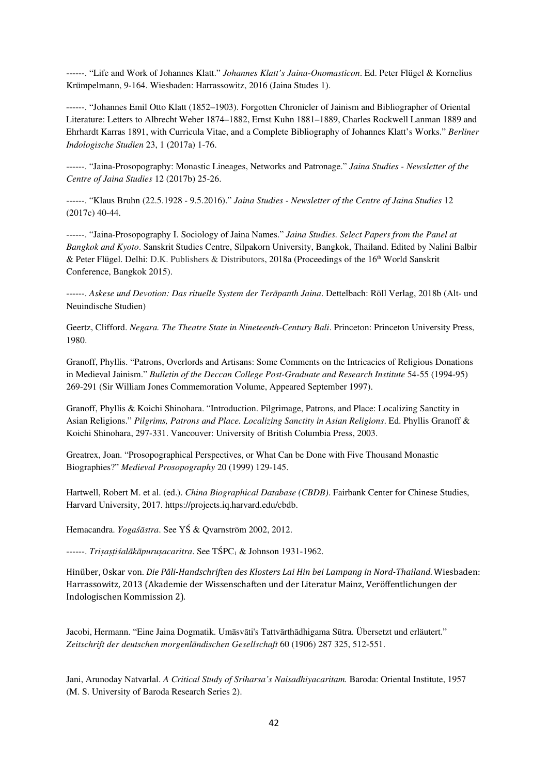------. "Life and Work of Johannes Klatt." *Johannes Klatt's Jaina-Onomasticon*. Ed. Peter Flügel & Kornelius Krümpelmann, 9-164. Wiesbaden: Harrassowitz, 2016 (Jaina Studes 1).

------. "Johannes Emil Otto Klatt (1852–1903). Forgotten Chronicler of Jainism and Bibliographer of Oriental Literature: Letters to Albrecht Weber 1874–1882, Ernst Kuhn 1881–1889, Charles Rockwell Lanman 1889 and Ehrhardt Karras 1891, with Curricula Vitae, and a Complete Bibliography of Johannes Klatt's Works." *Berliner Indologische Studien* 23, 1 (2017a) 1-76.

------. "Jaina-Prosopography: Monastic Lineages, Networks and Patronage." *Jaina Studies - Newsletter of the Centre of Jaina Studies* 12 (2017b) 25-26.

------. "Klaus Bruhn (22.5.1928 - 9.5.2016)." *Jaina Studies - Newsletter of the Centre of Jaina Studies* 12 (2017c) 40-44.

------. "Jaina-Prosopography I. Sociology of Jaina Names." *Jaina Studies. Select Papers from the Panel at Bangkok and Kyoto*. Sanskrit Studies Centre, Silpakorn University, Bangkok, Thailand. Edited by Nalini Balbir & Peter Flügel. Delhi: D.K. Publishers & Distributors, 2018a (Proceedings of the 16<sup>th</sup> World Sanskrit Conference, Bangkok 2015).

------. *Askese und Devotion: Das rituelle System der Terāpanth Jaina*. Dettelbach: Röll Verlag, 2018b (Alt- und Neuindische Studien)

Geertz, Clifford. *Negara. The Theatre State in Nineteenth-Century Bali*. Princeton: Princeton University Press, 1980.

Granoff, Phyllis. "Patrons, Overlords and Artisans: Some Comments on the Intricacies of Religious Donations in Medieval Jainism." *Bulletin of the Deccan College Post-Graduate and Research Institute* 54-55 (1994-95) 269-291 (Sir William Jones Commemoration Volume, Appeared September 1997).

Granoff, Phyllis & Koichi Shinohara. "Introduction. Pilgrimage, Patrons, and Place: Localizing Sanctity in Asian Religions." *Pilgrims, Patrons and Place. Localizing Sanctity in Asian Religions*. Ed. Phyllis Granoff & Koichi Shinohara, 297-331. Vancouver: University of British Columbia Press, 2003.

Greatrex, Joan. "Prosopographical Perspectives, or What Can be Done with Five Thousand Monastic Biographies?" *Medieval Prosopography* 20 (1999) 129-145.

Hartwell, Robert M. et al. (ed.). *China Biographical Database (CBDB)*. Fairbank Center for Chinese Studies, Harvard University, 2017. https://projects.iq.harvard.edu/cbdb.

Hemacandra. *Yogaśāstra*. See YŚ & Qvarnström 2002, 2012.

------. *Trisastiśalākāpurusacaritra*. See TŚPC<sub>1</sub> & Johnson 1931-1962.

Hinüber, Oskar von. *Die Pāli-Handschriften des Klosters Lai Hin bei Lampang in Nord-Thailand*. Wiesbaden: Harrassowitz, 2013 (Akademie der Wissenschaften und der Literatur Mainz, Veröffentlichungen der Indologischen Kommission 2).

Jacobi, Hermann. "Eine Jaina Dogmatik. Umāsvāti's Tattvārthādhigama Sūtra. Übersetzt und erläutert." *Zeitschrift der deutschen morgenländischen Gesellschaft* 60 (1906) 287 325, 512-551.

Jani, Arunoday Natvarlal. *A Critical Study of Sriharsa's Naisadhiyacaritam.* Baroda: Oriental Institute, 1957 (M. S. University of Baroda Research Series 2).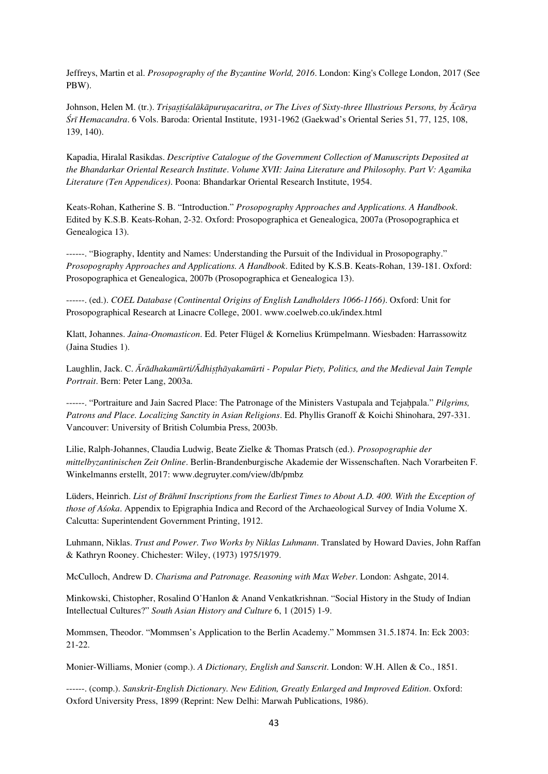Jeffreys, Martin et al. *Prosopography of the Byzantine World, 2016*. London: King's College London, 2017 (See PBW).

Johnson, Helen M. (tr.). *Triṣaṣṭiśalākāpuruṣacaritra*, *or The Lives of Sixty-three Illustrious Persons, by Ācārya Śrī Hemacandra*. 6 Vols. Baroda: Oriental Institute, 1931-1962 (Gaekwad's Oriental Series 51, 77, 125, 108, 139, 140).

Kapadia, Hiralal Rasikdas. *Descriptive Catalogue of the Government Collection of Manuscripts Deposited at the Bhandarkar Oriental Research Institute*. *Volume XVII: Jaina Literature and Philosophy. Part V: Agamika Literature (Ten Appendices)*. Poona: Bhandarkar Oriental Research Institute, 1954.

Keats-Rohan, Katherine S. B. "Introduction." *Prosopography Approaches and Applications. A Handbook*. Edited by K.S.B. Keats-Rohan, 2-32. Oxford: Prosopographica et Genealogica, 2007a (Prosopographica et Genealogica 13).

------. "Biography, Identity and Names: Understanding the Pursuit of the Individual in Prosopography." *Prosopography Approaches and Applications. A Handbook*. Edited by K.S.B. Keats-Rohan, 139-181. Oxford: Prosopographica et Genealogica, 2007b (Prosopographica et Genealogica 13).

------. (ed.). *COEL Database (Continental Origins of English Landholders 1066-1166)*. Oxford: Unit for Prosopographical Research at Linacre College, 2001. www.coelweb.co.uk/index.html

Klatt, Johannes. *Jaina-Onomasticon*. Ed. Peter Flügel & Kornelius Krümpelmann. Wiesbaden: Harrassowitz (Jaina Studies 1).

Laughlin, Jack. C. *Ārādhakamūrti/Ādhiṣṭhāyakamūrti - Popular Piety, Politics, and the Medieval Jain Temple Portrait*. Bern: Peter Lang, 2003a.

------. "Portraiture and Jain Sacred Place: The Patronage of the Ministers Vastupala and Tejaḥpala." *Pilgrims, Patrons and Place. Localizing Sanctity in Asian Religions*. Ed. Phyllis Granoff & Koichi Shinohara, 297-331. Vancouver: University of British Columbia Press, 2003b.

Lilie, Ralph-Johannes, Claudia Ludwig, Beate Zielke & Thomas Pratsch (ed.). *Prosopographie der mittelbyzantinischen Zeit Online*. Berlin-Brandenburgische Akademie der Wissenschaften. Nach Vorarbeiten F. Winkelmanns erstellt, 2017: www.degruyter.com/view/db/pmbz

Lüders, Heinrich. *List of Brāhmī Inscriptions from the Earliest Times to About A.D. 400. With the Exception of those of Aśoka*. Appendix to Epigraphia Indica and Record of the Archaeological Survey of India Volume X. Calcutta: Superintendent Government Printing, 1912.

Luhmann, Niklas. *Trust and Power*. *Two Works by Niklas Luhmann*. Translated by Howard Davies, John Raffan & Kathryn Rooney. Chichester: Wiley, (1973) 1975/1979.

McCulloch, Andrew D. *Charisma and Patronage. Reasoning with Max Weber*. London: Ashgate, 2014.

Minkowski, Chistopher, Rosalind O'Hanlon & Anand Venkatkrishnan. "Social History in the Study of Indian Intellectual Cultures?" *South Asian History and Culture* 6, 1 (2015) 1-9.

Mommsen, Theodor. "Mommsen's Application to the Berlin Academy." Mommsen 31.5.1874. In: Eck 2003: 21-22.

Monier-Williams, Monier (comp.). *A Dictionary, English and Sanscrit*. London: W.H. Allen & Co., 1851.

------. (comp.). *Sanskrit-English Dictionary. New Edition, Greatly Enlarged and Improved Edition*. Oxford: Oxford University Press, 1899 (Reprint: New Delhi: Marwah Publications, 1986).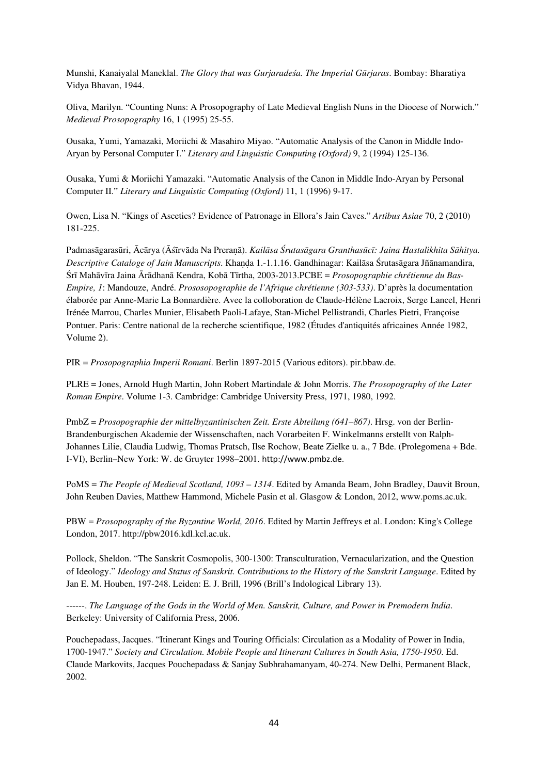Munshi, Kanaiyalal Maneklal. *The Glory that was Gurjaradeśa. The Imperial Gūrjaras*. Bombay: Bharatiya Vidya Bhavan, 1944.

Oliva, Marilyn. "Counting Nuns: A Prosopography of Late Medieval English Nuns in the Diocese of Norwich." *Medieval Prosopography* 16, 1 (1995) 25-55.

Ousaka, Yumi, Yamazaki, Moriichi & Masahiro Miyao. "Automatic Analysis of the Canon in Middle Indo-Aryan by Personal Computer I." *Literary and Linguistic Computing (Oxford)* 9, 2 (1994) 125-136.

Ousaka, Yumi & Moriichi Yamazaki. "Automatic Analysis of the Canon in Middle Indo-Aryan by Personal Computer II." *Literary and Linguistic Computing (Oxford)* 11, 1 (1996) 9-17.

Owen, Lisa N. "Kings of Ascetics? Evidence of Patronage in Ellora's Jain Caves." *Artibus Asiae* 70, 2 (2010) 181-225.

Padmasāgarasūri, Ācārya (Āśīrvāda Na Preraṇā). *Kailāsa Śrutasāgara Granthasūcī: Jaina Hastalikhita Sāhitya. Descriptive Cataloge of Jain Manuscripts*. Khaṇḍa 1.-1.1.16. Gandhinagar: Kailāsa Śrutasāgara Jñānamandira, Śrī Mahāvīra Jaina Ārādhanā Kendra, Kobā Tīrtha, 2003-2013.PCBE = *Prosopographie chrétienne du Bas-Empire, 1*: Mandouze, André. *Prososopographie de l'Afrique chrétienne (303-533)*. D'après la documentation élaborée par Anne-Marie La Bonnardière. Avec la colloboration de Claude-Hélène Lacroix, Serge Lancel, Henri Irénée Marrou, Charles Munier, Elisabeth Paoli-Lafaye, Stan-Michel Pellistrandi, Charles Pietri, Françoise Pontuer. Paris: Centre national de la recherche scientifique, 1982 (Études d'antiquités africaines Année 1982, Volume 2).

PIR = *Prosopographia Imperii Romani*. Berlin 1897-2015 (Various editors). pir.bbaw.de.

PLRE = Jones, Arnold Hugh Martin, John Robert Martindale & John Morris. *The Prosopography of the Later Roman Empire*. Volume 1-3. Cambridge: Cambridge University Press, 1971, 1980, 1992.

PmbZ = *Prosopographie der mittelbyzantinischen Zeit. Erste Abteilung (641–867)*. Hrsg. von der Berlin-Brandenburgischen Akademie der Wissenschaften, nach Vorarbeiten F. Winkelmanns erstellt von Ralph-Johannes Lilie, Claudia Ludwig, Thomas Pratsch, Ilse Rochow, Beate Zielke u. a., 7 Bde. (Prolegomena + Bde. I-VI), Berlin–New York: W. de Gruyter 1998–2001. http://www.pmbz.de.

PoMS = *The People of Medieval Scotland, 1093 – 1314*. Edited by Amanda Beam, John Bradley, Dauvit Broun, John Reuben Davies, Matthew Hammond, Michele Pasin et al. Glasgow & London, 2012, www.poms.ac.uk.

PBW = *Prosopography of the Byzantine World, 2016*. Edited by Martin Jeffreys et al. London: King's College London, 2017. http://pbw2016.kdl.kcl.ac.uk.

Pollock, Sheldon. "The Sanskrit Cosmopolis, 300-1300: Transculturation, Vernacularization, and the Question of Ideology." *Ideology and Status of Sanskrit. Contributions to the History of the Sanskrit Language*. Edited by Jan E. M. Houben, 197-248. Leiden: E. J. Brill, 1996 (Brill's Indological Library 13).

------. *The Language of the Gods in the World of Men. Sanskrit, Culture, and Power in Premodern India*. Berkeley: University of California Press, 2006.

Pouchepadass, Jacques. "Itinerant Kings and Touring Officials: Circulation as a Modality of Power in India, 1700-1947." *Society and Circulation. Mobile People and Itinerant Cultures in South Asia, 1750-1950*. Ed. Claude Markovits, Jacques Pouchepadass & Sanjay Subhrahamanyam, 40-274. New Delhi, Permanent Black, 2002.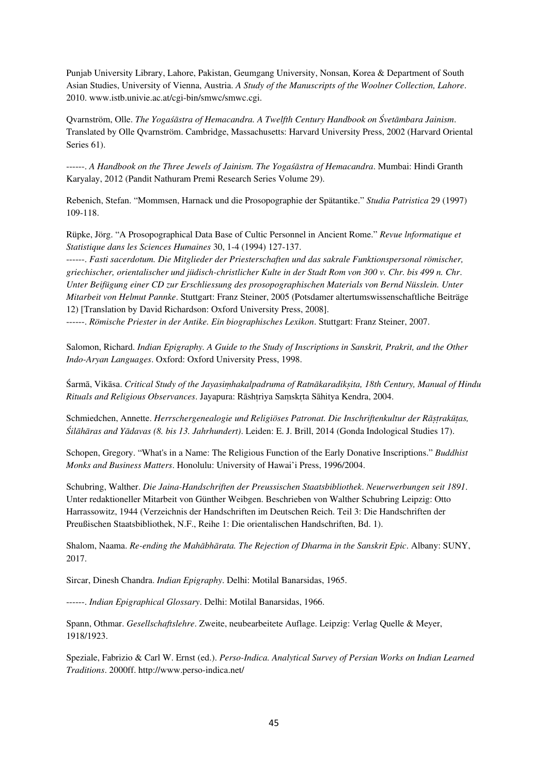Punjab University Library, Lahore, Pakistan, Geumgang University, Nonsan, Korea & Department of South Asian Studies, University of Vienna, Austria. *A Study of the Manuscripts of the Woolner Collection, Lahore*. 2010. www.istb.univie.ac.at/cgi-bin/smwc/smwc.cgi.

Qvarnström, Olle. *The Yogaśāstra of Hemacandra. A Twelfth Century Handbook on Śvetāmbara Jainism*. Translated by Olle Qvarnström. Cambridge, Massachusetts: Harvard University Press, 2002 (Harvard Oriental Series 61).

------. *A Handbook on the Three Jewels of Jainism. The Yogaśāstra of Hemacandra*. Mumbai: Hindi Granth Karyalay, 2012 (Pandit Nathuram Premi Research Series Volume 29).

Rebenich, Stefan. "Mommsen, Harnack und die Prosopographie der Spätantike." *Studia Patristica* 29 (1997) 109-118.

Rüpke, Jörg. "A Prosopographical Data Base of Cultic Personnel in Ancient Rome." *Revue lnformatique et Statistique dans les Sciences Humaines* 30, 1-4 (1994) 127-137.

------. *Fasti sacerdotum. Die Mitglieder der Priesterschaften und das sakrale Funktionspersonal römischer, griechischer, orientalischer und jüdisch-christlicher Kulte in der Stadt Rom von 300 v. Chr. bis 499 n. Chr*. *Unter Beifügung einer CD zur Erschliessung des prosopographischen Materials von Bernd Nüsslein. Unter Mitarbeit von Helmut Pannke*. Stuttgart: Franz Steiner, 2005 (Potsdamer altertumswissenschaftliche Beiträge 12) [Translation by David Richardson: Oxford University Press, 2008].

------. *Römische Priester in der Antike. Ein biographisches Lexikon*. Stuttgart: Franz Steiner, 2007.

Salomon, Richard. *Indian Epigraphy. A Guide to the Study of Inscriptions in Sanskrit, Prakrit, and the Other Indo-Aryan Languages*. Oxford: Oxford University Press, 1998.

Śarmā, Vikāsa. *Critical Study of the Jayasiṃhakalpadruma of Ratnākaradikṣita, 18th Century, Manual of Hindu Rituals and Religious Observances*. Jayapura: Rāshṭriya Saṃskr̥ta Sāhitya Kendra, 2004.

Schmiedchen, Annette. *Herrschergenealogie und Religiöses Patronat. Die Inschriftenkultur der Rāṣṭrakūṭas, Śilāhāras and Yādavas (8. bis 13. Jahrhundert)*. Leiden: E. J. Brill, 2014 (Gonda Indological Studies 17).

Schopen, Gregory. "What's in a Name: The Religious Function of the Early Donative Inscriptions." *Buddhist Monks and Business Matters*. Honolulu: University of Hawai'i Press, 1996/2004.

Schubring, Walther. *Die Jaina-Handschriften der Preussischen Staatsbibliothek*. *Neuerwerbungen seit 1891*. Unter redaktioneller Mitarbeit von Günther Weibgen. Beschrieben von Walther Schubring Leipzig: Otto Harrassowitz, 1944 (Verzeichnis der Handschriften im Deutschen Reich. Teil 3: Die Handschriften der Preußischen Staatsbibliothek, N.F., Reihe 1: Die orientalischen Handschriften, Bd. 1).

Shalom, Naama. *Re-ending the Mahābhārata. The Rejection of Dharma in the Sanskrit Epic*. Albany: SUNY, 2017.

Sircar, Dinesh Chandra. *Indian Epigraphy*. Delhi: Motilal Banarsidas, 1965.

------. *Indian Epigraphical Glossary*. Delhi: Motilal Banarsidas, 1966.

Spann, Othmar. *Gesellschaftslehre*. Zweite, neubearbeitete Auflage. Leipzig: Verlag Quelle & Meyer, 1918/1923.

Speziale, Fabrizio & Carl W. Ernst (ed.). *Perso-Indica. Analytical Survey of Persian Works on Indian Learned Traditions*. 2000ff. http://www.perso-indica.net/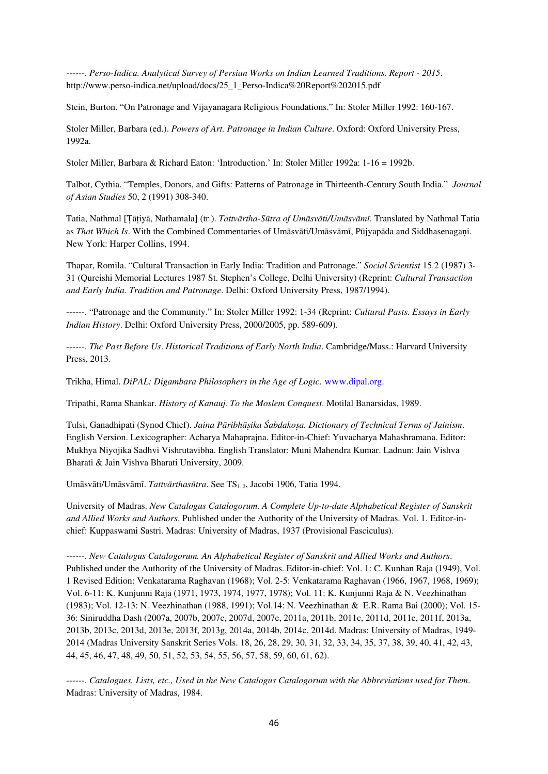------. *Perso-Indica. Analytical Survey of Persian Works on Indian Learned Traditions. Report - 2015*. http://www.perso-indica.net/upload/docs/25\_1\_Perso-Indica%20Report%202015.pdf

Stein, Burton. "On Patronage and Vijayanagara Religious Foundations." In: Stoler Miller 1992: 160-167.

Stoler Miller, Barbara (ed.). *Powers of Art. Patronage in Indian Culture*. Oxford: Oxford University Press, 1992a.

Stoler Miller, Barbara & Richard Eaton: 'Introduction.' In: Stoler Miller 1992a: 1-16 = 1992b.

Talbot, Cythia. "Temples, Donors, and Gifts: Patterns of Patronage in Thirteenth-Century South India." *Journal of Asian Studies* 50, 2 (1991) 308-340.

Tatia, Nathmal [Ṭāṭiyā, Nathamala] (tr.). *Tattvārtha-Sūtra of Umāsvāti/Umāsvāmī*. Translated by Nathmal Tatia as *That Which Is*. With the Combined Commentaries of Umāsvāti/Umāsvāmī, Pūjyapāda and Siddhasenagaṇi. New York: Harper Collins, 1994.

Thapar, Romila. "Cultural Transaction in Early India: Tradition and Patronage." *Social Scientist* 15.2 (1987) 3- 31 (Qureishi Memorial Lectures 1987 St. Stephen's College, Delhi University) (Reprint: *Cultural Transaction and Early India. Tradition and Patronage*. Delhi: Oxford University Press, 1987/1994).

------. "Patronage and the Community." In: Stoler Miller 1992: 1-34 (Reprint: *Cultural Pasts. Essays in Early Indian History*. Delhi: Oxford University Press, 2000/2005, pp. 589-609).

------. *The Past Before Us*. *Historical Traditions of Early North India*. Cambridge/Mass.: Harvard University Press, 2013.

Trikha, Himal. *DiPAL: Digambara Philosophers in the Age of Logic*. [www.dipal.org.](http://www.dipal.org/)

Tripathi, Rama Shankar. *History of Kanauj. To the Moslem Conquest*. Motilal Banarsidas, 1989.

Tulsi, Ganadhipati (Synod Chief). *Jaina Pāribhāṣika Śabdakoṣa. Dictionary of Technical Terms of Jainism*. English Version. Lexicographer: Acharya Mahaprajna. Editor-in-Chief: Yuvacharya Mahashramana. Editor: Mukhya Niyojika Sadhvi Vishrutavibha. English Translator: Muni Mahendra Kumar. Ladnun: Jain Vishva Bharati & Jain Vishva Bharati University, 2009.

Umāsvāti/Umāsvāmī. *Tattvārthasūtra*. See TS<sub>1,2</sub>, Jacobi 1906, Tatia 1994.

University of Madras. *New Catalogus Catalogorum. A Complete Up-to-date Alphabetical Register of Sanskrit and Allied Works and Authors*. Published under the Authority of the University of Madras. Vol. 1. Editor-inchief: Kuppaswami Sastri. Madras: University of Madras, 1937 (Provisional Fasciculus).

------. *New Catalogus Catalogorum. An Alphabetical Register of Sanskrit and Allied Works and Authors*. Published under the Authority of the University of Madras. Editor-in-chief: Vol. 1: C. Kunhan Raja (1949), Vol. 1 Revised Edition: Venkatarama Raghavan (1968); Vol. 2-5: Venkatarama Raghavan (1966, 1967, 1968, 1969); Vol. 6-11: K. Kunjunni Raja (1971, 1973, 1974, 1977, 1978); Vol. 11: K. Kunjunni Raja & N. Veezhinathan (1983); Vol. 12-13: N. Veezhinathan (1988, 1991); Vol.14: N. Veezhinathan & E.R. Rama Bai (2000); Vol. 15- 36: Siniruddha Dash (2007a, 2007b, 2007c, 2007d, 2007e, 2011a, 2011b, 2011c, 2011d, 2011e, 2011f, 2013a, 2013b, 2013c, 2013d, 2013e, 2013f, 2013g, 2014a, 2014b, 2014c, 2014d. Madras: University of Madras, 1949- 2014 (Madras University Sanskrit Series Vols. 18, 26, 28, 29, 30, 31, 32, 33, 34, 35, 37, 38, 39, 40, 41, 42, 43, 44, 45, 46, 47, 48, 49, 50, 51, 52, 53, 54, 55, 56, 57, 58, 59, 60, 61, 62).

------. *Catalogues, Lists, etc., Used in the New Catalogus Catalogorum with the Abbreviations used for Them*. Madras: University of Madras, 1984.